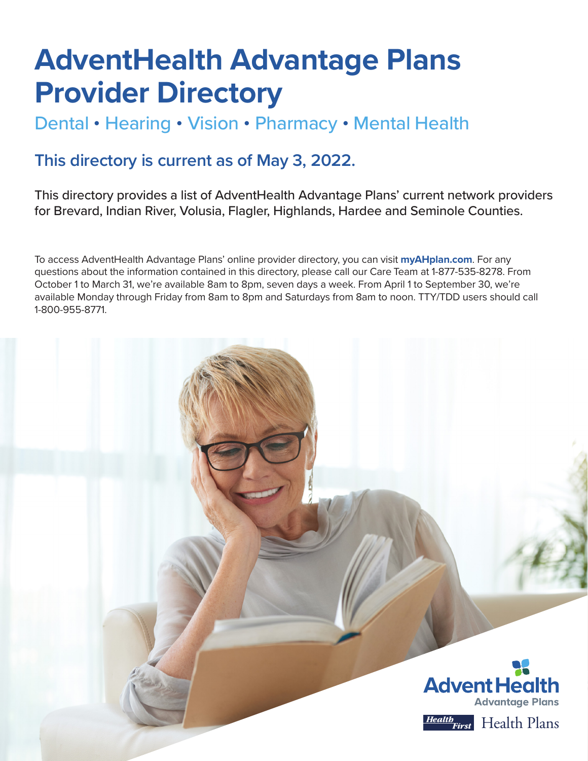# **AdventHealth Advantage Plans Provider Directory**

# Dental • Hearing • Vision • Pharmacy • Mental Health

# **This directory is current as of May 3, 2022.**

This directory provides a list of AdventHealth Advantage Plans' current network providers for Brevard, Indian River, Volusia, Flagler, Highlands, Hardee and Seminole Counties.

To access AdventHealth Advantage Plans' online provider directory, you can visit **[myAHplan.com](http://myAHplan.com)**. For any questions about the information contained in this directory, please call our Care Team at 1-877-535-8278. From October 1 to March 31, we're available 8am to 8pm, seven days a week. From April 1 to September 30, we're available Monday through Friday from 8am to 8pm and Saturdays from 8am to noon. TTY/TDD users should call 1-800-955-8771.



Health Plans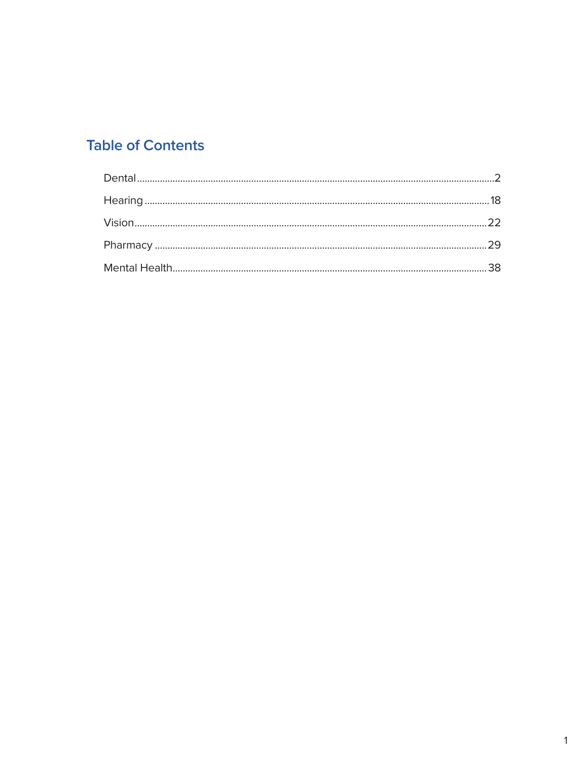# **Table of Contents**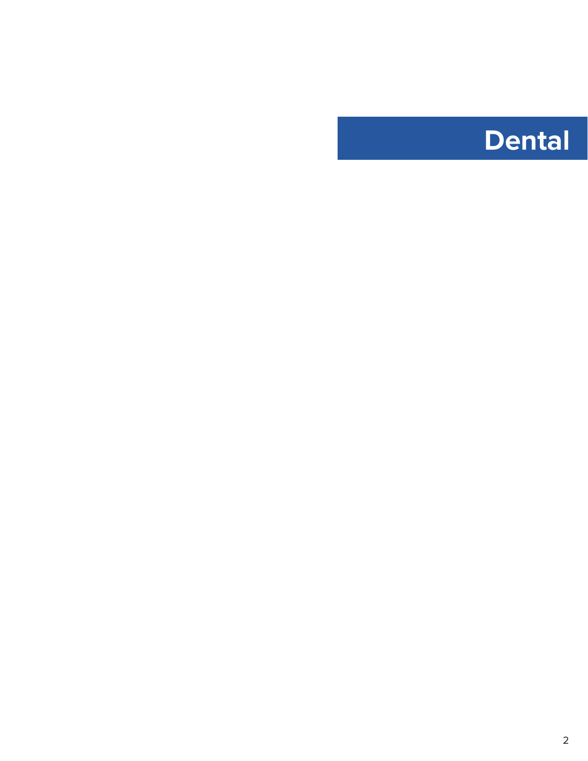<span id="page-2-0"></span>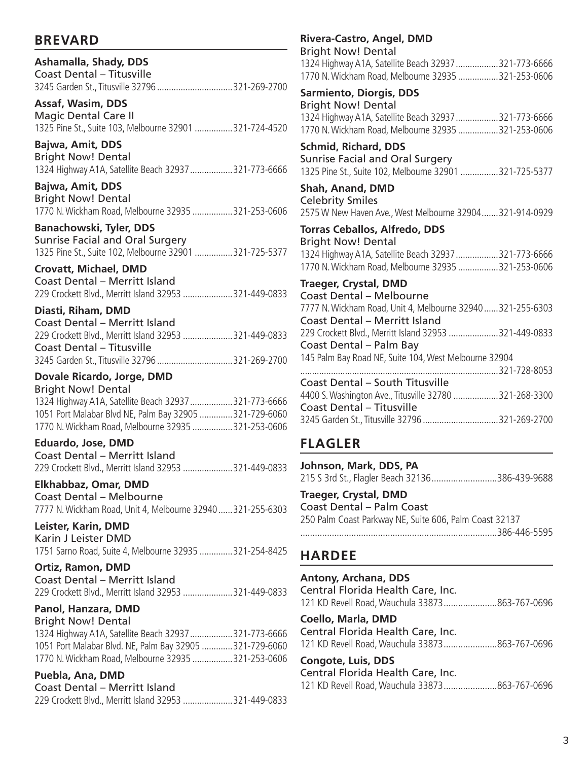# **BREVARD**

**Ashamalla, Shady, DDS** Coast Dental – Titusville 3245 Garden St., Titusville 32796 ................................321-269-2700

**Assaf, Wasim, DDS** Magic Dental Care II 1325 Pine St., Suite 103, Melbourne 32901 ................321-724-4520

**Bajwa, Amit, DDS** Bright Now! Dental 1324 Highway A1A, Satellite Beach 32937..................321-773-6666

**Bajwa, Amit, DDS** Bright Now! Dental 1770 N. Wickham Road, Melbourne 32935 .................321-253-0606

**Banachowski, Tyler, DDS** Sunrise Facial and Oral Surgery 1325 Pine St., Suite 102, Melbourne 32901 ................321-725-5377

**Crovatt, Michael, DMD** Coast Dental – Merritt Island 229 Crockett Blvd., Merritt Island 32953 .....................321-449-0833

**Diasti, Riham, DMD** Coast Dental – Merritt Island 229 Crockett Blvd., Merritt Island 32953 .....................321-449-0833 Coast Dental – Titusville 3245 Garden St., Titusville 32796 ................................321-269-2700

# **Dovale Ricardo, Jorge, DMD**

Bright Now! Dental 1324 Highway A1A, Satellite Beach 32937..................321-773-6666 1051 Port Malabar Blvd NE, Palm Bay 32905 ..............321-729-6060 1770 N. Wickham Road, Melbourne 32935 .................321-253-0606

**Eduardo, Jose, DMD** Coast Dental – Merritt Island 229 Crockett Blvd., Merritt Island 32953 .....................321-449-0833

**Elkhabbaz, Omar, DMD** Coast Dental – Melbourne 7777 N. Wickham Road, Unit 4, Melbourne 32940......321-255-6303

**Leister, Karin, DMD** Karin J Leister DMD 1751 Sarno Road, Suite 4, Melbourne 32935 ..............321-254-8425

**Ortiz, Ramon, DMD** Coast Dental – Merritt Island 229 Crockett Blvd., Merritt Island 32953 .....................321-449-0833

**Panol, Hanzara, DMD** Bright Now! Dental 1324 Highway A1A, Satellite Beach 32937..................321-773-6666 1051 Port Malabar Blvd. NE, Palm Bay 32905 .............321-729-6060 1770 N. Wickham Road, Melbourne 32935 .................321-253-0606

### **Puebla, Ana, DMD**

| Coast Dental – Merritt Island                         |  |
|-------------------------------------------------------|--|
| 229 Crockett Blvd., Merritt Island 32953 321-449-0833 |  |

**Rivera-Castro, Angel, DMD** Bright Now! Dental 1324 Highway A1A, Satellite Beach 32937..................321-773-6666 1770 N. Wickham Road, Melbourne 32935 .................321-253-0606 **Sarmiento, Diorgis, DDS** Bright Now! Dental 1324 Highway A1A, Satellite Beach 32937..................321-773-6666 1770 N. Wickham Road, Melbourne 32935 .................321-253-0606 **Schmid, Richard, DDS** Sunrise Facial and Oral Surgery 1325 Pine St., Suite 102, Melbourne 32901 ................321-725-5377 **Shah, Anand, DMD** Celebrity Smiles 2575 W New Haven Ave., West Melbourne 32904.......321-914-0929 **Torras Ceballos, Alfredo, DDS** Bright Now! Dental 1324 Highway A1A, Satellite Beach 32937..................321-773-6666 1770 N. Wickham Road, Melbourne 32935 .................321-253-0606 **Traeger, Crystal, DMD** Coast Dental – Melbourne 7777 N. Wickham Road, Unit 4, Melbourne 32940......321-255-6303 Coast Dental – Merritt Island 229 Crockett Blvd., Merritt Island 32953 .....................321-449-0833 Coast Dental – Palm Bay

145 Palm Bay Road NE, Suite 104, West Melbourne 32904 ....................................................................................321-728-8053 Coast Dental – South Titusville 4400 S. Washington Ave., Titusville 32780 ...................321-268-3300 Coast Dental – Titusville 3245 Garden St., Titusville 32796 ................................321-269-2700

# **FLAGLER**

**Johnson, Mark, DDS, PA** 215 S 3rd St., Flagler Beach 32136...........................386-439-9688

**Traeger, Crystal, DMD** Coast Dental – Palm Coast 250 Palm Coast Parkway NE, Suite 606, Palm Coast 32137 .................................................................................386-446-5595

# **HARDEE**

**Antony, Archana, DDS** Central Florida Health Care, Inc. 121 KD Revell Road, Wauchula 33873......................863-767-0696 **Coello, Marla, DMD** Central Florida Health Care, Inc. 121 KD Revell Road, Wauchula 33873......................863-767-0696 **Congote, Luis, DDS** Central Florida Health Care, Inc. 121 KD Revell Road, Wauchula 33873......................863-767-0696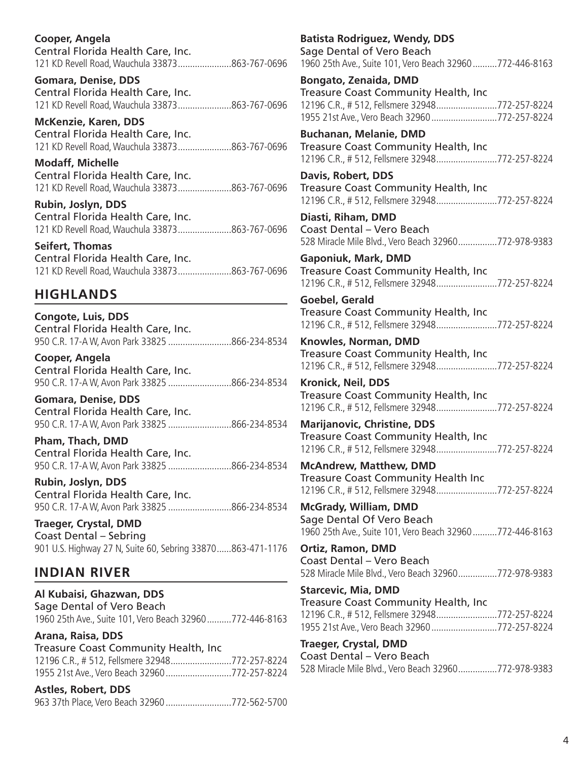**Cooper, Angela**  Central Florida Health Care, Inc. 121 KD Revell Road, Wauchula 33873......................863-767-0696

**Gomara, Denise, DDS** Central Florida Health Care, Inc. 121 KD Revell Road, Wauchula 33873......................863-767-0696

**McKenzie, Karen, DDS** Central Florida Health Care, Inc. 121 KD Revell Road, Wauchula 33873......................863-767-0696

**Modaff, Michelle**  Central Florida Health Care, Inc. 121 KD Revell Road, Wauchula 33873......................863-767-0696

**Rubin, Joslyn, DDS** Central Florida Health Care, Inc. 121 KD Revell Road, Wauchula 33873......................863-767-0696

**Seifert, Thomas**  Central Florida Health Care, Inc. 121 KD Revell Road, Wauchula 33873......................863-767-0696

# **HIGHLANDS**

**Congote, Luis, DDS** Central Florida Health Care, Inc. 950 C.R. 17-A W, Avon Park 33825 ..........................866-234-8534

**Cooper, Angela**  Central Florida Health Care, Inc. 950 C.R. 17-A W, Avon Park 33825 ..........................866-234-8534

**Gomara, Denise, DDS** Central Florida Health Care, Inc. 950 C.R. 17-A W, Avon Park 33825 ..........................866-234-8534

**Pham, Thach, DMD** Central Florida Health Care, Inc. 950 C.R. 17-A W, Avon Park 33825 ..........................866-234-8534

**Rubin, Joslyn, DDS** Central Florida Health Care, Inc. 950 C.R. 17-A W, Avon Park 33825 ..........................866-234-8534

**Traeger, Crystal, DMD** Coast Dental – Sebring 901 U.S. Highway 27 N, Suite 60, Sebring 33870......863-471-1176

# **INDIAN RIVER**

**Al Kubaisi, Ghazwan, DDS** Sage Dental of Vero Beach 1960 25th Ave., Suite 101, Vero Beach 32960..........772-446-8163

**Arana, Raisa, DDS** Treasure Coast Community Health, Inc 12196 C.R., # 512, Fellsmere 32948.........................772-257-8224 1955 21st Ave., Vero Beach 32960...........................772-257-8224

**Astles, Robert, DDS**  963 37th Place, Vero Beach 32960...........................772-562-5700 **Batista Rodriguez, Wendy, DDS** Sage Dental of Vero Beach 1960 25th Ave., Suite 101, Vero Beach 32960..........772-446-8163

**Bongato, Zenaida, DMD** Treasure Coast Community Health, Inc 12196 C.R., # 512, Fellsmere 32948.........................772-257-8224 1955 21st Ave., Vero Beach 32960...........................772-257-8224

**Buchanan, Melanie, DMD** Treasure Coast Community Health, Inc 12196 C.R., # 512, Fellsmere 32948.........................772-257-8224

**Davis, Robert, DDS** Treasure Coast Community Health, Inc 12196 C.R., # 512, Fellsmere 32948.........................772-257-8224

**Diasti, Riham, DMD** Coast Dental – Vero Beach 528 Miracle Mile Blvd., Vero Beach 32960................772-978-9383

**Gaponiuk, Mark, DMD** Treasure Coast Community Health, Inc 12196 C.R., # 512, Fellsmere 32948.........................772-257-8224

**Goebel, Gerald**  Treasure Coast Community Health, Inc 12196 C.R., # 512, Fellsmere 32948.........................772-257-8224

**Knowles, Norman, DMD** Treasure Coast Community Health, Inc 12196 C.R., # 512, Fellsmere 32948.........................772-257-8224

**Kronick, Neil, DDS** Treasure Coast Community Health, Inc 12196 C.R., # 512, Fellsmere 32948.........................772-257-8224

**Marijanovic, Christine, DDS** Treasure Coast Community Health, Inc 12196 C.R., # 512, Fellsmere 32948.........................772-257-8224

**McAndrew, Matthew, DMD** Treasure Coast Community Health Inc 12196 C.R., # 512, Fellsmere 32948.........................772-257-8224

**McGrady, William, DMD** Sage Dental Of Vero Beach 1960 25th Ave., Suite 101, Vero Beach 32960..........772-446-8163

**Ortiz, Ramon, DMD** Coast Dental – Vero Beach 528 Miracle Mile Blvd., Vero Beach 32960................772-978-9383

**Starcevic, Mia, DMD** Treasure Coast Community Health, Inc 12196 C.R., # 512, Fellsmere 32948.........................772-257-8224 1955 21st Ave., Vero Beach 32960...........................772-257-8224

**Traeger, Crystal, DMD** Coast Dental – Vero Beach 528 Miracle Mile Blvd., Vero Beach 32960................772-978-9383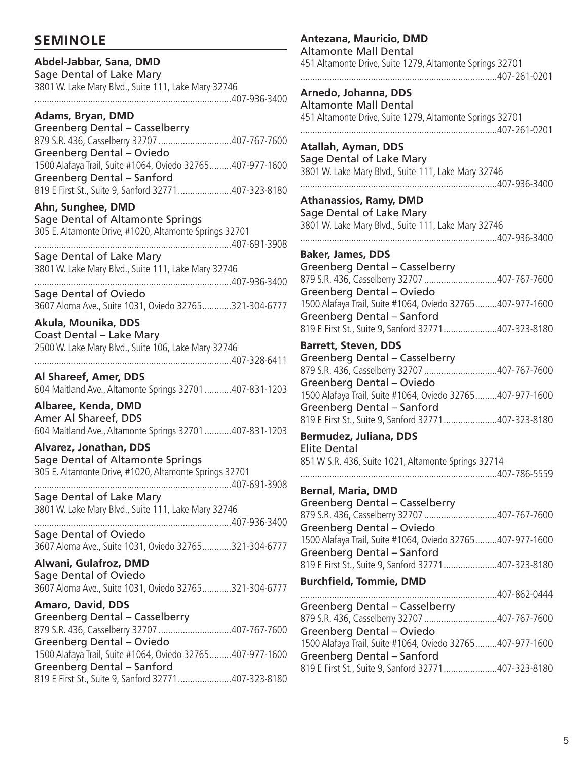# **SEMINOLE**

**Abdel-Jabbar, Sana, DMD**

# Sage Dental of Lake Mary 3801 W. Lake Mary Blvd., Suite 111, Lake Mary 32746 .................................................................................407-936-3400 **Adams, Bryan, DMD** Greenberg Dental – Casselberry 879 S.R. 436, Casselberry 32707 ..............................407-767-7600 Greenberg Dental – Oviedo

1500 Alafaya Trail, Suite #1064, Oviedo 32765.........407-977-1600 Greenberg Dental – Sanford 819 E First St., Suite 9, Sanford 32771......................407-323-8180

# **Ahn, Sunghee, DMD**

Sage Dental of Altamonte Springs 305 E. Altamonte Drive, #1020, Altamonte Springs 32701 .................................................................................407-691-3908

Sage Dental of Lake Mary 3801 W. Lake Mary Blvd., Suite 111, Lake Mary 32746

.................................................................................407-936-3400 Sage Dental of Oviedo 3607 Aloma Ave., Suite 1031, Oviedo 32765............321-304-6777

**Akula, Mounika, DDS** Coast Dental – Lake Mary 2500 W. Lake Mary Blvd., Suite 106, Lake Mary 32746 .................................................................................407-328-6411

**Al Shareef, Amer, DDS**  604 Maitland Ave., Altamonte Springs 32701...........407-831-1203

**Albaree, Kenda, DMD** Amer Al Shareef, DDS 604 Maitland Ave., Altamonte Springs 32701...........407-831-1203

**Alvarez, Jonathan, DDS** Sage Dental of Altamonte Springs 305 E. Altamonte Drive, #1020, Altamonte Springs 32701 .................................................................................407-691-3908

Sage Dental of Lake Mary 3801 W. Lake Mary Blvd., Suite 111, Lake Mary 32746 .................................................................................407-936-3400

Sage Dental of Oviedo 3607 Aloma Ave., Suite 1031, Oviedo 32765............321-304-6777

**Alwani, Gulafroz, DMD** Sage Dental of Oviedo 3607 Aloma Ave., Suite 1031, Oviedo 32765............321-304-6777

**Amaro, David, DDS** Greenberg Dental – Casselberry 879 S.R. 436, Casselberry 32707 ..............................407-767-7600 Greenberg Dental – Oviedo 1500 Alafaya Trail, Suite #1064, Oviedo 32765.........407-977-1600 Greenberg Dental – Sanford 819 E First St., Suite 9, Sanford 32771......................407-323-8180

**Antezana, Mauricio, DMD** Altamonte Mall Dental 451 Altamonte Drive, Suite 1279, Altamonte Springs 32701 .................................................................................407-261-0201 **Arnedo, Johanna, DDS** Altamonte Mall Dental 451 Altamonte Drive, Suite 1279, Altamonte Springs 32701 .................................................................................407-261-0201 **Atallah, Ayman, DDS** Sage Dental of Lake Mary 3801 W. Lake Mary Blvd., Suite 111, Lake Mary 32746 .................................................................................407-936-3400 **Athanassios, Ramy, DMD** Sage Dental of Lake Mary 3801 W. Lake Mary Blvd., Suite 111, Lake Mary 32746 .................................................................................407-936-3400 **Baker, James, DDS** Greenberg Dental – Casselberry 879 S.R. 436, Casselberry 32707 ..............................407-767-7600 Greenberg Dental – Oviedo 1500 Alafaya Trail, Suite #1064, Oviedo 32765.........407-977-1600 Greenberg Dental – Sanford 819 E First St., Suite 9, Sanford 32771......................407-323-8180 **Barrett, Steven, DDS** Greenberg Dental – Casselberry 879 S.R. 436, Casselberry 32707 ..............................407-767-7600 Greenberg Dental – Oviedo 1500 Alafaya Trail, Suite #1064, Oviedo 32765.........407-977-1600 Greenberg Dental – Sanford 819 E First St., Suite 9, Sanford 32771......................407-323-8180 **Bermudez, Juliana, DDS** Elite Dental 851 W S.R. 436, Suite 1021, Altamonte Springs 32714 .................................................................................407-786-5559 **Bernal, Maria, DMD** Greenberg Dental – Casselberry 879 S.R. 436, Casselberry 32707 ..............................407-767-7600 Greenberg Dental – Oviedo 1500 Alafaya Trail, Suite #1064, Oviedo 32765.........407-977-1600 Greenberg Dental – Sanford 819 E First St., Suite 9, Sanford 32771......................407-323-8180 **Burchfield, Tommie, DMD** .................................................................................407-862-0444 Greenberg Dental – Casselberry 879 S.R. 436, Casselberry 32707 ..............................407-767-7600 Greenberg Dental – Oviedo 1500 Alafaya Trail, Suite #1064, Oviedo 32765.........407-977-1600

Greenberg Dental – Sanford

819 E First St., Suite 9, Sanford 32771......................407-323-8180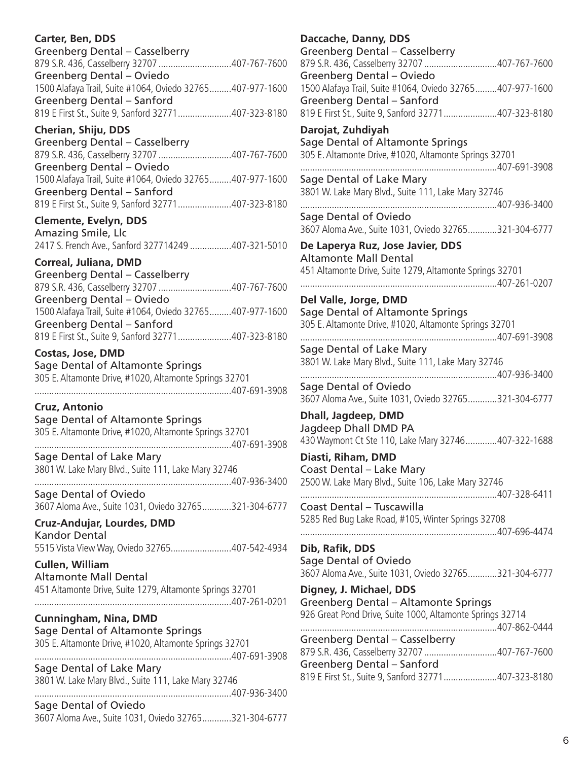# **Carter, Ben, DDS**

| Greenberg Dental - Casselberry                            |  |
|-----------------------------------------------------------|--|
|                                                           |  |
| Greenberg Dental - Oviedo                                 |  |
| 1500 Alafaya Trail, Suite #1064, Oviedo 32765407-977-1600 |  |
| Greenberg Dental - Sanford                                |  |
| 819 E First St., Suite 9, Sanford 32771407-323-8180       |  |
|                                                           |  |

### **Cherian, Shiju, DDS**

| Greenberg Dental - Casselberry                            |  |
|-----------------------------------------------------------|--|
| 879 S.R. 436, Casselberry 32707 407-767-7600              |  |
| Greenberg Dental – Oviedo                                 |  |
| 1500 Alafaya Trail, Suite #1064, Oviedo 32765407-977-1600 |  |
| Greenberg Dental - Sanford                                |  |
| 819 E First St., Suite 9, Sanford 32771407-323-8180       |  |

# **Clemente, Evelyn, DDS**

Amazing Smile, Llc 2417 S. French Ave., Sanford 327714249 .................407-321-5010

### **Correal, Juliana, DMD**

| Greenberg Dental - Casselberry                            |  |
|-----------------------------------------------------------|--|
| 879 S.R. 436, Casselberry 32707 407-767-7600              |  |
| Greenberg Dental - Oviedo                                 |  |
| 1500 Alafaya Trail, Suite #1064, Oviedo 32765407-977-1600 |  |
| Greenberg Dental - Sanford                                |  |
| 819 E First St., Suite 9, Sanford 32771407-323-8180       |  |

#### **Costas, Jose, DMD** Sage Dental of Altamonte Springs 305 E. Altamonte Drive, #1020, Altamonte Springs 32701 .................................................................................407-691-3908

# **Cruz, Antonio**

Sage Dental of Altamonte Springs 305 E. Altamonte Drive, #1020, Altamonte Springs 32701 .................................................................................407-691-3908 Sage Dental of Lake Mary 3801 W. Lake Mary Blvd., Suite 111, Lake Mary 32746 .................................................................................407-936-3400

Sage Dental of Oviedo 3607 Aloma Ave., Suite 1031, Oviedo 32765............321-304-6777

#### **Cruz-Andujar, Lourdes, DMD** Kandor Dental

5515 Vista View Way, Oviedo 32765.........................407-542-4934

**Cullen, William**  Altamonte Mall Dental 451 Altamonte Drive, Suite 1279, Altamonte Springs 32701 .................................................................................407-261-0201

# **Cunningham, Nina, DMD**

Sage Dental of Altamonte Springs 305 E. Altamonte Drive, #1020, Altamonte Springs 32701 .................................................................................407-691-3908

Sage Dental of Lake Mary 3801 W. Lake Mary Blvd., Suite 111, Lake Mary 32746

.................................................................................407-936-3400 Sage Dental of Oviedo 3607 Aloma Ave., Suite 1031, Oviedo 32765............321-304-6777

## **Daccache, Danny, DDS**

| Daccache, Danny, DDS                                                            |
|---------------------------------------------------------------------------------|
| Greenberg Dental - Casselberry                                                  |
| 879 S.R. 436, Casselberry 32707 407-767-7600                                    |
| <b>Greenberg Dental - Oviedo</b>                                                |
| 1500 Alafaya Trail, Suite #1064, Oviedo 32765407-977-1600                       |
| Greenberg Dental - Sanford                                                      |
| 819 E First St., Suite 9, Sanford 32771407-323-8180                             |
| Darojat, Zuhdiyah                                                               |
| Sage Dental of Altamonte Springs                                                |
| 305 E. Altamonte Drive, #1020, Altamonte Springs 32701                          |
|                                                                                 |
| Sage Dental of Lake Mary                                                        |
| 3801 W. Lake Mary Blvd., Suite 111, Lake Mary 32746                             |
|                                                                                 |
| Sage Dental of Oviedo                                                           |
| 3607 Aloma Ave., Suite 1031, Oviedo 32765321-304-6777                           |
| De Laperya Ruz, Jose Javier, DDS                                                |
| <b>Altamonte Mall Dental</b>                                                    |
| 451 Altamonte Drive, Suite 1279, Altamonte Springs 32701                        |
|                                                                                 |
|                                                                                 |
| Del Valle, Jorge, DMD                                                           |
| Sage Dental of Altamonte Springs                                                |
| 305 E. Altamonte Drive, #1020, Altamonte Springs 32701                          |
|                                                                                 |
| Sage Dental of Lake Mary                                                        |
| 3801 W. Lake Mary Blvd., Suite 111, Lake Mary 32746                             |
|                                                                                 |
| Sage Dental of Oviedo                                                           |
| 3607 Aloma Ave., Suite 1031, Oviedo 32765321-304-6777                           |
| Dhall, Jagdeep, DMD                                                             |
| Jagdeep Dhall DMD PA                                                            |
| 430 Waymont Ct Ste 110, Lake Mary 32746407-322-1688                             |
| Diasti, Riham, DMD                                                              |
|                                                                                 |
| Coast Dental - Lake Mary<br>2500 W. Lake Mary Blvd., Suite 106, Lake Mary 32746 |
|                                                                                 |
| Coast Dental - Tuscawilla                                                       |
| 5285 Red Bug Lake Road, #105, Winter Springs 32708                              |
|                                                                                 |
|                                                                                 |
| Dib, Rafik, DDS                                                                 |
| Sage Dental of Oviedo                                                           |
| 3607 Aloma Ave., Suite 1031, Oviedo 32765321-304-6777                           |
| Digney, J. Michael, DDS                                                         |
| Greenberg Dental - Altamonte Springs                                            |
| 926 Great Pond Drive, Suite 1000, Altamonte Springs 32714                       |
|                                                                                 |
| <b>Greenberg Dental - Casselberry</b>                                           |
| 879 S.R. 436, Casselberry 32707 407-767-7600                                    |
| Greenberg Dental - Sanford                                                      |
| 819 E First St., Suite 9, Sanford 32771407-323-8180                             |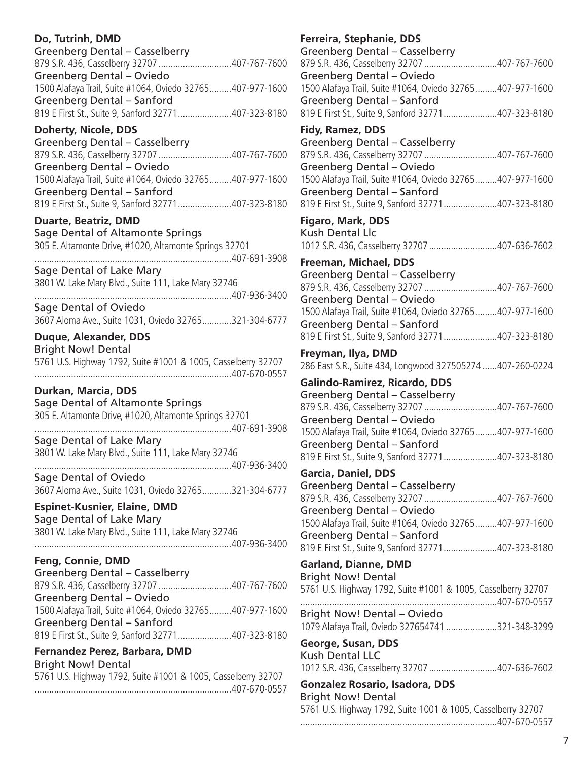# **Do, Tutrinh, DMD**

| Greenberg Dental - Casselberry                            |  |
|-----------------------------------------------------------|--|
|                                                           |  |
| Greenberg Dental - Oviedo                                 |  |
| 1500 Alafaya Trail, Suite #1064, Oviedo 32765407-977-1600 |  |
| Greenberg Dental - Sanford                                |  |
| 819 E First St., Suite 9, Sanford 32771407-323-8180       |  |
|                                                           |  |

# **Doherty, Nicole, DDS**

Greenberg Dental – Casselberry 879 S.R. 436, Casselberry 32707 ..............................407-767-7600 Greenberg Dental – Oviedo 1500 Alafaya Trail, Suite #1064, Oviedo 32765.........407-977-1600 Greenberg Dental – Sanford 819 E First St., Suite 9, Sanford 32771......................407-323-8180

# **Duarte, Beatriz, DMD**

Sage Dental of Altamonte Springs 305 E. Altamonte Drive, #1020, Altamonte Springs 32701 .................................................................................407-691-3908

Sage Dental of Lake Mary 3801 W. Lake Mary Blvd., Suite 111, Lake Mary 32746

.................................................................................407-936-3400 Sage Dental of Oviedo 3607 Aloma Ave., Suite 1031, Oviedo 32765............321-304-6777

**Duque, Alexander, DDS**

Bright Now! Dental 5761 U.S. Highway 1792, Suite #1001 & 1005, Casselberry 32707 .................................................................................407-670-0557

# **Durkan, Marcia, DDS**

Sage Dental of Altamonte Springs 305 E. Altamonte Drive, #1020, Altamonte Springs 32701 .................................................................................407-691-3908 Sage Dental of Lake Mary 3801 W. Lake Mary Blvd., Suite 111, Lake Mary 32746 .................................................................................407-936-3400

Sage Dental of Oviedo 3607 Aloma Ave., Suite 1031, Oviedo 32765............321-304-6777

#### **Espinet-Kusnier, Elaine, DMD** Sage Dental of Lake Mary

3801 W. Lake Mary Blvd., Suite 111, Lake Mary 32746 .................................................................................407-936-3400

# **Feng, Connie, DMD**

Greenberg Dental – Casselberry 879 S.R. 436, Casselberry 32707 ..............................407-767-7600 Greenberg Dental – Oviedo 1500 Alafaya Trail, Suite #1064, Oviedo 32765.........407-977-1600 Greenberg Dental – Sanford 819 E First St., Suite 9, Sanford 32771......................407-323-8180

#### **Fernandez Perez, Barbara, DMD** Bright Now! Dental

| <b>DIGITURY DURIOL</b>                                        |  |
|---------------------------------------------------------------|--|
| 5761 U.S. Highway 1792, Suite #1001 & 1005, Casselberry 32707 |  |
|                                                               |  |

# **Ferreira, Stephanie, DDS**

| Ferreira, Stephanie, DDS                                                                   |
|--------------------------------------------------------------------------------------------|
| Greenberg Dental - Casselberry                                                             |
| 879 S.R. 436, Casselberry 32707 407-767-7600                                               |
| Greenberg Dental - Oviedo                                                                  |
| 1500 Alafaya Trail, Suite #1064, Oviedo 32765407-977-1600<br>Greenberg Dental - Sanford    |
| 819 E First St., Suite 9, Sanford 32771407-323-8180                                        |
|                                                                                            |
| <b>Fidy, Ramez, DDS</b>                                                                    |
| <b>Greenberg Dental - Casselberry</b>                                                      |
| 879 S.R. 436, Casselberry 32707 407-767-7600                                               |
| Greenberg Dental - Oviedo<br>1500 Alafaya Trail, Suite #1064, Oviedo 32765407-977-1600     |
| Greenberg Dental - Sanford                                                                 |
| 819 E First St., Suite 9, Sanford 32771407-323-8180                                        |
|                                                                                            |
| <b>Figaro, Mark, DDS</b>                                                                   |
| <b>Kush Dental Llc</b><br>1012 S.R. 436, Casselberry 32707 407-636-7602                    |
|                                                                                            |
| Freeman, Michael, DDS                                                                      |
| Greenberg Dental - Casselberry                                                             |
| 879 S.R. 436, Casselberry 32707 407-767-7600                                               |
| Greenberg Dental - Oviedo                                                                  |
| 1500 Alafaya Trail, Suite #1064, Oviedo 32765407-977-1600<br>Greenberg Dental - Sanford    |
| 819 E First St., Suite 9, Sanford 32771407-323-8180                                        |
|                                                                                            |
| Freyman, Ilya, DMD                                                                         |
| 286 East S.R., Suite 434, Longwood 327505274  407-260-0224                                 |
| Galindo-Ramirez, Ricardo, DDS                                                              |
| Greenberg Dental - Casselberry                                                             |
| 879 S.R. 436, Casselberry 32707 407-767-7600                                               |
| Greenberg Dental - Oviedo                                                                  |
| 1500 Alafaya Trail, Suite #1064, Oviedo 32765407-977-1600                                  |
| <b>Greenberg Dental - Sanford</b><br>819 E First St., Suite 9, Sanford 32771407-323-8180   |
|                                                                                            |
| Garcia, Daniel, DDS                                                                        |
| Greenberg Dental - Casselberry                                                             |
| 879 S.R. 436, Casselberry 32707 407-767-7600                                               |
| Greenberg Dental - Oviedo<br>1500 Alafaya Trail, Suite #1064, Oviedo 32765407-977-1600     |
| Greenberg Dental - Sanford                                                                 |
| 819 E First St., Suite 9, Sanford 32771407-323-8180                                        |
|                                                                                            |
| <b>Garland, Dianne, DMD</b>                                                                |
| <b>Bright Now! Dental</b><br>5761 U.S. Highway 1792, Suite #1001 & 1005, Casselberry 32707 |
|                                                                                            |
| <b>Bright Now! Dental - Oviedo</b>                                                         |
| 1079 Alafaya Trail, Oviedo 327654741 321-348-3299                                          |
|                                                                                            |
| George, Susan, DDS<br><b>Kush Dental LLC</b>                                               |
| 1012 S.R. 436, Casselberry 32707 407-636-7602                                              |
|                                                                                            |
| <b>Gonzalez Rosario, Isadora, DDS</b>                                                      |

Bright Now! Dental 5761 U.S. Highway 1792, Suite 1001 & 1005, Casselberry 32707 .................................................................................407-670-0557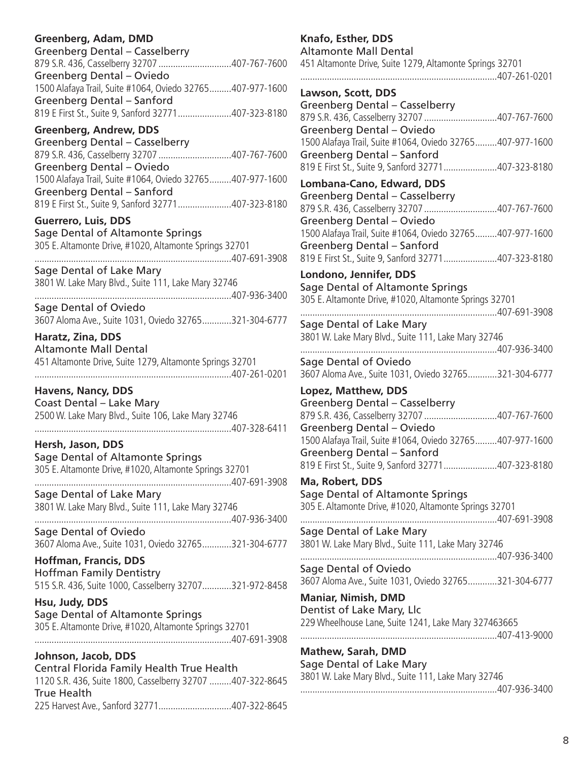# **Greenberg, Adam, DMD**

| Greenberg Dental - Casselberry                            |  |
|-----------------------------------------------------------|--|
| 879 S.R. 436, Casselberry 32707 407-767-7600              |  |
| Greenberg Dental - Oviedo                                 |  |
| 1500 Alafaya Trail, Suite #1064, Oviedo 32765407-977-1600 |  |
| Greenberg Dental - Sanford                                |  |
| 819 E First St., Suite 9, Sanford 32771407-323-8180       |  |
|                                                           |  |

# **Greenberg, Andrew, DDS**

Greenberg Dental – Casselberry 879 S.R. 436, Casselberry 32707 ..............................407-767-7600 Greenberg Dental – Oviedo 1500 Alafaya Trail, Suite #1064, Oviedo 32765.........407-977-1600 Greenberg Dental – Sanford 819 E First St., Suite 9, Sanford 32771......................407-323-8180

# **Guerrero, Luis, DDS**

Sage Dental of Altamonte Springs 305 E. Altamonte Drive, #1020, Altamonte Springs 32701 .................................................................................407-691-3908

Sage Dental of Lake Mary 3801 W. Lake Mary Blvd., Suite 111, Lake Mary 32746

.................................................................................407-936-3400 Sage Dental of Oviedo 3607 Aloma Ave., Suite 1031, Oviedo 32765............321-304-6777

**Haratz, Zina, DDS**  Altamonte Mall Dental 451 Altamonte Drive, Suite 1279, Altamonte Springs 32701 .................................................................................407-261-0201

**Havens, Nancy, DDS** Coast Dental – Lake Mary 2500 W. Lake Mary Blvd., Suite 106, Lake Mary 32746 .................................................................................407-328-6411

**Hersh, Jason, DDS** Sage Dental of Altamonte Springs 305 E. Altamonte Drive, #1020, Altamonte Springs 32701

.................................................................................407-691-3908 Sage Dental of Lake Mary 3801 W. Lake Mary Blvd., Suite 111, Lake Mary 32746

.................................................................................407-936-3400 Sage Dental of Oviedo 3607 Aloma Ave., Suite 1031, Oviedo 32765............321-304-6777

**Hoffman, Francis, DDS** Hoffman Family Dentistry 515 S.R. 436, Suite 1000, Casselberry 32707............321-972-8458

**Hsu, Judy, DDS** Sage Dental of Altamonte Springs 305 E. Altamonte Drive, #1020, Altamonte Springs 32701 .................................................................................407-691-3908

**Johnson, Jacob, DDS** Central Florida Family Health True Health 1120 S.R. 436, Suite 1800, Casselberry 32707 .........407-322-8645 True Health 225 Harvest Ave., Sanford 32771..............................407-322-8645

# **Knafo, Esther, DDS**  Altamonte Mall Dental 451 Altamonte Drive, Suite 1279, Altamonte Springs 32701 .................................................................................407-261-0201 **Lawson, Scott, DDS** Greenberg Dental – Casselberry 879 S.R. 436, Casselberry 32707 ..............................407-767-7600 Greenberg Dental – Oviedo 1500 Alafaya Trail, Suite #1064, Oviedo 32765.........407-977-1600 Greenberg Dental – Sanford 819 E First St., Suite 9, Sanford 32771......................407-323-8180 **Lombana-Cano, Edward, DDS** Greenberg Dental – Casselberry 879 S.R. 436, Casselberry 32707 ..............................407-767-7600 Greenberg Dental – Oviedo 1500 Alafaya Trail, Suite #1064, Oviedo 32765.........407-977-1600 Greenberg Dental – Sanford 819 E First St., Suite 9, Sanford 32771......................407-323-8180 **Londono, Jennifer, DDS** Sage Dental of Altamonte Springs 305 E. Altamonte Drive, #1020, Altamonte Springs 32701 .................................................................................407-691-3908 Sage Dental of Lake Mary 3801 W. Lake Mary Blvd., Suite 111, Lake Mary 32746 .................................................................................407-936-3400 Sage Dental of Oviedo 3607 Aloma Ave., Suite 1031, Oviedo 32765............321-304-6777 **Lopez, Matthew, DDS** Greenberg Dental – Casselberry 879 S.R. 436, Casselberry 32707 ..............................407-767-7600 Greenberg Dental – Oviedo 1500 Alafaya Trail, Suite #1064, Oviedo 32765.........407-977-1600 Greenberg Dental – Sanford 819 E First St., Suite 9, Sanford 32771......................407-323-8180 **Ma, Robert, DDS** Sage Dental of Altamonte Springs 305 E. Altamonte Drive, #1020, Altamonte Springs 32701 .................................................................................407-691-3908 Sage Dental of Lake Mary 3801 W. Lake Mary Blvd., Suite 111, Lake Mary 32746 .................................................................................407-936-3400 Sage Dental of Oviedo 3607 Aloma Ave., Suite 1031, Oviedo 32765............321-304-6777 **Maniar, Nimish, DMD** Dentist of Lake Mary, Llc 229 Wheelhouse Lane, Suite 1241, Lake Mary 327463665 .................................................................................407-413-9000

**Mathew, Sarah, DMD** Sage Dental of Lake Mary 3801 W. Lake Mary Blvd., Suite 111, Lake Mary 32746 .................................................................................407-936-3400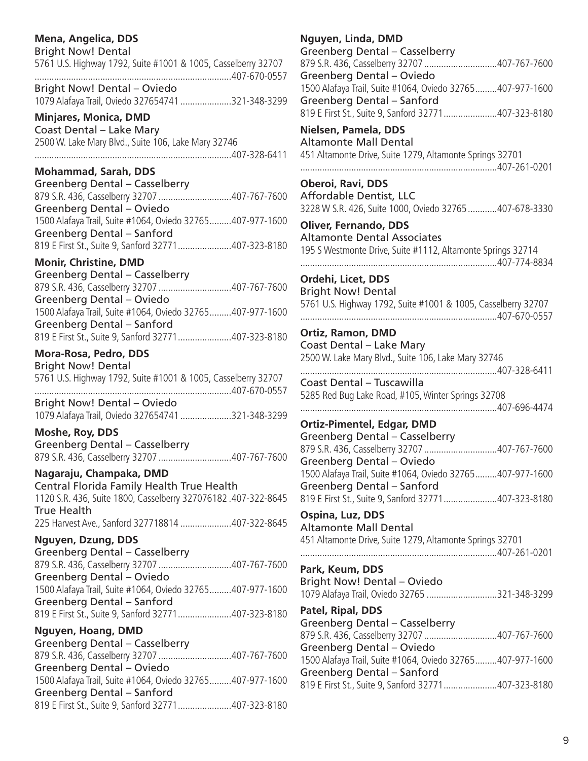# **Mena, Angelica, DDS**

| <b>Bright Now! Dental</b><br>5761 U.S. Highway 1792, Suite #1001 & 1005, Casselberry 32707<br>407-670-0557                                                                                                     |
|----------------------------------------------------------------------------------------------------------------------------------------------------------------------------------------------------------------|
| <b>Bright Now! Dental - Oviedo</b><br>1079 Alafaya Trail, Oviedo 327654741 321-348-3299                                                                                                                        |
| <b>Minjares, Monica, DMD</b><br>Coast Dental - Lake Mary<br>2500 W. Lake Mary Blvd., Suite 106, Lake Mary 32746                                                                                                |
| <b>Mohammad, Sarah, DDS</b>                                                                                                                                                                                    |
| Greenberg Dental - Casselberry<br>879 S.R. 436, Casselberry 32707 407-767-7600<br>Greenberg Dental - Oviedo                                                                                                    |
| 1500 Alafaya Trail, Suite #1064, Oviedo 32765407-977-1600<br>Greenberg Dental - Sanford                                                                                                                        |
| 819 E First St., Suite 9, Sanford 32771407-323-8180<br><b>Monir, Christine, DMD</b>                                                                                                                            |
| Greenberg Dental - Casselberry<br>879 S.R. 436, Casselberry 32707 407-767-7600<br>Greenberg Dental - Oviedo<br>1500 Alafaya Trail, Suite #1064, Oviedo 32765407-977-1600<br>Greenberg Dental - Sanford         |
| 819 E First St., Suite 9, Sanford 32771407-323-8180                                                                                                                                                            |
| Mora-Rosa, Pedro, DDS<br><b>Bright Now! Dental</b><br>5761 U.S. Highway 1792, Suite #1001 & 1005, Casselberry 32707<br><b>Bright Now! Dental - Oviedo</b><br>1079 Alafaya Trail, Oviedo 327654741 321-348-3299 |
| Moshe, Roy, DDS                                                                                                                                                                                                |
| Greenberg Dental - Casselberry<br>879 S.R. 436, Casselberry 32707 407-767-7600                                                                                                                                 |
| Nagaraju, Champaka, DMD<br>Central Florida Family Health True Health<br>1120 S.R. 436, Suite 1800, Casselberry 327076182.407-322-8645<br>True Health<br>225 Harvest Ave., Sanford 327718814 407-322-8645       |
| <b>Nguyen, Dzung, DDS</b>                                                                                                                                                                                      |
| Greenberg Dental - Casselberry<br>879 S.R. 436, Casselberry 32707 407-767-7600<br>Greenberg Dental - Oviedo                                                                                                    |
| 1500 Alafaya Trail, Suite #1064, Oviedo 32765407-977-1600<br><b>Greenberg Dental - Sanford</b><br>819 E First St., Suite 9, Sanford 32771407-323-8180                                                          |
| Nguyen, Hoang, DMD                                                                                                                                                                                             |
| Greenberg Dental - Casselberry<br>879 S.R. 436, Casselberry 32707 407-767-7600<br>Greenberg Dental - Oviedo<br>1500 Alafaya Trail, Suite #1064, Oviedo 32765407-977-1600                                       |
| Greenberg Dental - Sanford<br>819 E First St., Suite 9, Sanford 32771407-323-8180                                                                                                                              |

# **Nguyen, Linda, DMD**

| Nguyen, Linda, DiviD                                          |
|---------------------------------------------------------------|
| Greenberg Dental - Casselberry                                |
| 879 S.R. 436, Casselberry 32707 407-767-7600                  |
| <b>Greenberg Dental - Oviedo</b>                              |
| 1500 Alafaya Trail, Suite #1064, Oviedo 32765407-977-1600     |
| Greenberg Dental - Sanford                                    |
| 819 E First St., Suite 9, Sanford 32771407-323-8180           |
|                                                               |
| Nielsen, Pamela, DDS                                          |
| Altamonte Mall Dental                                         |
| 451 Altamonte Drive, Suite 1279, Altamonte Springs 32701      |
|                                                               |
| <b>Oberoi, Ravi, DDS</b>                                      |
| Affordable Dentist, LLC                                       |
| 3228 W S.R. 426, Suite 1000, Oviedo 32765 407-678-3330        |
|                                                               |
| <b>Oliver, Fernando, DDS</b>                                  |
| <b>Altamonte Dental Associates</b>                            |
| 195 S Westmonte Drive, Suite #1112, Altamonte Springs 32714   |
|                                                               |
| Ordehi, Licet, DDS                                            |
|                                                               |
| <b>Bright Now! Dental</b>                                     |
| 5761 U.S. Highway 1792, Suite #1001 & 1005, Casselberry 32707 |
|                                                               |
| <b>Ortiz, Ramon, DMD</b>                                      |
| Coast Dental - Lake Mary                                      |
| 2500 W. Lake Mary Blvd., Suite 106, Lake Mary 32746           |
| 407-328-6411                                                  |
| Coast Dental - Tuscawilla                                     |
|                                                               |
| 5285 Red Bug Lake Road, #105, Winter Springs 32708            |
|                                                               |
| <b>Ortiz-Pimentel, Edgar, DMD</b>                             |
| Greenberg Dental - Casselberry                                |
|                                                               |
| Greenberg Dental - Oviedo                                     |
| 1500 Alafaya Trail, Suite #1064, Oviedo 32765407-977-1600     |
| <b>Greenberg Dental - Sanford</b>                             |
|                                                               |
| 819 E First St., Suite 9, Sanford 32771407-323-8180           |
| Ospina, Luz, DDS                                              |
| <b>Altamonte Mall Dental</b>                                  |
| 451 Altamonte Drive, Suite 1279, Altamonte Springs 32701      |
|                                                               |
|                                                               |
| Park, Keum, DDS                                               |
| <b>Bright Now! Dental - Oviedo</b>                            |
| 1079 Alafaya Trail, Oviedo 32765 321-348-3299                 |
| Patel, Ripal, DDS                                             |
| Greenberg Dental - Casselberry                                |
|                                                               |
| 879 S.R. 436, Casselberry 32707 407-767-7600                  |
| Greenberg Dental - Oviedo                                     |
| 1500 Alafaya Trail, Suite #1064, Oviedo 32765407-977-1600     |
| Greenberg Dental - Sanford                                    |
| 819 E First St., Suite 9, Sanford 32771407-323-8180           |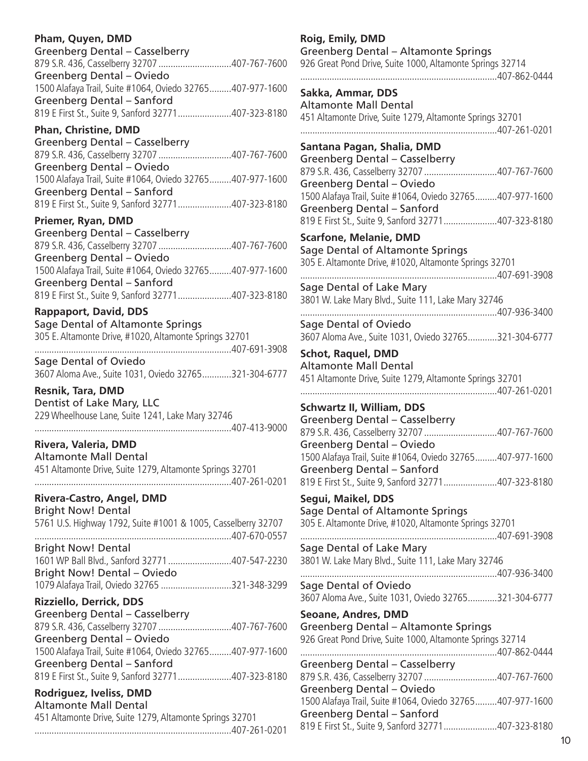# **Pham, Quyen, DMD**

| Greenberg Dental - Casselberry                            |  |
|-----------------------------------------------------------|--|
|                                                           |  |
| Greenberg Dental - Oviedo                                 |  |
| 1500 Alafaya Trail, Suite #1064, Oviedo 32765407-977-1600 |  |
| Greenberg Dental - Sanford                                |  |
| 819 E First St., Suite 9, Sanford 32771407-323-8180       |  |
|                                                           |  |

# **Phan, Christine, DMD**

Greenberg Dental – Casselberry 879 S.R. 436, Casselberry 32707 ..............................407-767-7600 Greenberg Dental – Oviedo 1500 Alafaya Trail, Suite #1064, Oviedo 32765.........407-977-1600 Greenberg Dental – Sanford 819 E First St., Suite 9, Sanford 32771......................407-323-8180

# **Priemer, Ryan, DMD**

Greenberg Dental – Casselberry 879 S.R. 436, Casselberry 32707 ..............................407-767-7600 Greenberg Dental – Oviedo 1500 Alafaya Trail, Suite #1064, Oviedo 32765.........407-977-1600 Greenberg Dental – Sanford 819 E First St., Suite 9, Sanford 32771......................407-323-8180

# **Rappaport, David, DDS**

Sage Dental of Altamonte Springs 305 E. Altamonte Drive, #1020, Altamonte Springs 32701 .................................................................................407-691-3908 Sage Dental of Oviedo

3607 Aloma Ave., Suite 1031, Oviedo 32765............321-304-6777

**Resnik, Tara, DMD**  Dentist of Lake Mary, LLC 229 Wheelhouse Lane, Suite 1241, Lake Mary 32746 .................................................................................407-413-9000

**Rivera, Valeria, DMD** Altamonte Mall Dental 451 Altamonte Drive, Suite 1279, Altamonte Springs 32701 .................................................................................407-261-0201

# **Rivera-Castro, Angel, DMD**

Bright Now! Dental 5761 U.S. Highway 1792, Suite #1001 & 1005, Casselberry 32707 .................................................................................407-670-0557

Bright Now! Dental 1601 WP Ball Blvd., Sanford 32771..........................407-547-2230 Bright Now! Dental – Oviedo 1079 Alafaya Trail, Oviedo 32765 .............................321-348-3299

# **Rizziello, Derrick, DDS**

Greenberg Dental – Casselberry 879 S.R. 436, Casselberry 32707 ..............................407-767-7600 Greenberg Dental – Oviedo 1500 Alafaya Trail, Suite #1064, Oviedo 32765.........407-977-1600 Greenberg Dental – Sanford 819 E First St., Suite 9, Sanford 32771......................407-323-8180

# **Rodriguez, Iveliss, DMD**

Altamonte Mall Dental 451 Altamonte Drive, Suite 1279, Altamonte Springs 32701 .................................................................................407-261-0201

# **Roig, Emily, DMD** Greenberg Dental – Altamonte Springs 926 Great Pond Drive, Suite 1000, Altamonte Springs 32714 .................................................................................407-862-0444 **Sakka, Ammar, DDS** Altamonte Mall Dental 451 Altamonte Drive, Suite 1279, Altamonte Springs 32701 .................................................................................407-261-0201 **Santana Pagan, Shalia, DMD** Greenberg Dental – Casselberry 879 S.R. 436, Casselberry 32707 ..............................407-767-7600 Greenberg Dental – Oviedo 1500 Alafaya Trail, Suite #1064, Oviedo 32765.........407-977-1600 Greenberg Dental – Sanford 819 E First St., Suite 9, Sanford 32771......................407-323-8180 **Scarfone, Melanie, DMD** Sage Dental of Altamonte Springs 305 E. Altamonte Drive, #1020, Altamonte Springs 32701 .................................................................................407-691-3908 Sage Dental of Lake Mary 3801 W. Lake Mary Blvd., Suite 111, Lake Mary 32746 .................................................................................407-936-3400 Sage Dental of Oviedo 3607 Aloma Ave., Suite 1031, Oviedo 32765............321-304-6777 **Schot, Raquel, DMD** Altamonte Mall Dental 451 Altamonte Drive, Suite 1279, Altamonte Springs 32701 .................................................................................407-261-0201 **Schwartz II, William, DDS** Greenberg Dental – Casselberry 879 S.R. 436, Casselberry 32707 ..............................407-767-7600 Greenberg Dental – Oviedo 1500 Alafaya Trail, Suite #1064, Oviedo 32765.........407-977-1600 Greenberg Dental – Sanford 819 E First St., Suite 9, Sanford 32771......................407-323-8180 **Segui, Maikel, DDS** Sage Dental of Altamonte Springs 305 E. Altamonte Drive, #1020, Altamonte Springs 32701 .................................................................................407-691-3908 Sage Dental of Lake Mary 3801 W. Lake Mary Blvd., Suite 111, Lake Mary 32746 .................................................................................407-936-3400 Sage Dental of Oviedo 3607 Aloma Ave., Suite 1031, Oviedo 32765............321-304-6777 **Seoane, Andres, DMD** Greenberg Dental – Altamonte Springs 926 Great Pond Drive, Suite 1000, Altamonte Springs 32714

.................................................................................407-862-0444 Greenberg Dental – Casselberry 879 S.R. 436, Casselberry 32707 ..............................407-767-7600 Greenberg Dental – Oviedo 1500 Alafaya Trail, Suite #1064, Oviedo 32765.........407-977-1600 Greenberg Dental – Sanford 819 E First St., Suite 9, Sanford 32771......................407-323-8180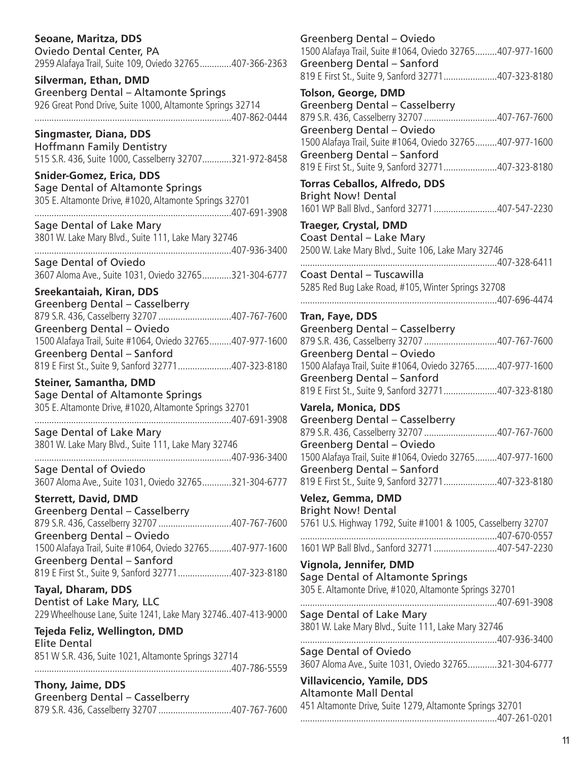# **Seoane, Maritza, DDS**

Oviedo Dental Center, PA 2959 Alafaya Trail, Suite 109, Oviedo 32765.............407-366-2363

**Silverman, Ethan, DMD** Greenberg Dental – Altamonte Springs 926 Great Pond Drive, Suite 1000, Altamonte Springs 32714 .................................................................................407-862-0444

**Singmaster, Diana, DDS** Hoffmann Family Dentistry 515 S.R. 436, Suite 1000, Casselberry 32707............321-972-8458

**Snider-Gomez, Erica, DDS** Sage Dental of Altamonte Springs 305 E. Altamonte Drive, #1020, Altamonte Springs 32701 .................................................................................407-691-3908

Sage Dental of Lake Mary 3801 W. Lake Mary Blvd., Suite 111, Lake Mary 32746

.................................................................................407-936-3400 Sage Dental of Oviedo 3607 Aloma Ave., Suite 1031, Oviedo 32765............321-304-6777

**Sreekantaiah, Kiran, DDS** Greenberg Dental – Casselberry 879 S.R. 436, Casselberry 32707 ..............................407-767-7600 Greenberg Dental – Oviedo 1500 Alafaya Trail, Suite #1064, Oviedo 32765.........407-977-1600 Greenberg Dental – Sanford 819 E First St., Suite 9, Sanford 32771......................407-323-8180

**Steiner, Samantha, DMD** Sage Dental of Altamonte Springs 305 E. Altamonte Drive, #1020, Altamonte Springs 32701 .................................................................................407-691-3908

Sage Dental of Lake Mary 3801 W. Lake Mary Blvd., Suite 111, Lake Mary 32746

.................................................................................407-936-3400 Sage Dental of Oviedo 3607 Aloma Ave., Suite 1031, Oviedo 32765............321-304-6777

**Sterrett, David, DMD** Greenberg Dental – Casselberry 879 S.R. 436, Casselberry 32707 ..............................407-767-7600 Greenberg Dental – Oviedo 1500 Alafaya Trail, Suite #1064, Oviedo 32765.........407-977-1600 Greenberg Dental – Sanford 819 E First St., Suite 9, Sanford 32771......................407-323-8180

**Tayal, Dharam, DDS** Dentist of Lake Mary, LLC 229 Wheelhouse Lane, Suite 1241, Lake Mary 32746..407-413-9000

**Tejeda Feliz, Wellington, DMD** Elite Dental 851 W S.R. 436, Suite 1021, Altamonte Springs 32714

.................................................................................407-786-5559

**Thony, Jaime, DDS** Greenberg Dental – Casselberry 879 S.R. 436, Casselberry 32707 ..............................407-767-7600 Greenberg Dental – Oviedo 1500 Alafaya Trail, Suite #1064, Oviedo 32765.........407-977-1600 Greenberg Dental – Sanford 819 E First St., Suite 9, Sanford 32771......................407-323-8180 **Tolson, George, DMD** Greenberg Dental – Casselberry 879 S.R. 436, Casselberry 32707 ..............................407-767-7600 Greenberg Dental – Oviedo 1500 Alafaya Trail, Suite #1064, Oviedo 32765.........407-977-1600 Greenberg Dental – Sanford 819 E First St., Suite 9, Sanford 32771......................407-323-8180 **Torras Ceballos, Alfredo, DDS** Bright Now! Dental 1601 WP Ball Blvd., Sanford 32771..........................407-547-2230 **Traeger, Crystal, DMD** Coast Dental – Lake Mary 2500 W. Lake Mary Blvd., Suite 106, Lake Mary 32746 .................................................................................407-328-6411 Coast Dental – Tuscawilla 5285 Red Bug Lake Road, #105, Winter Springs 32708 .................................................................................407-696-4474 **Tran, Faye, DDS** Greenberg Dental – Casselberry 879 S.R. 436, Casselberry 32707 ..............................407-767-7600 Greenberg Dental – Oviedo 1500 Alafaya Trail, Suite #1064, Oviedo 32765.........407-977-1600 Greenberg Dental – Sanford 819 E First St., Suite 9, Sanford 32771......................407-323-8180 **Varela, Monica, DDS** Greenberg Dental – Casselberry 879 S.R. 436, Casselberry 32707 ..............................407-767-7600 Greenberg Dental – Oviedo 1500 Alafaya Trail, Suite #1064, Oviedo 32765.........407-977-1600 Greenberg Dental – Sanford 819 E First St., Suite 9, Sanford 32771......................407-323-8180 **Velez, Gemma, DMD** Bright Now! Dental 5761 U.S. Highway 1792, Suite #1001 & 1005, Casselberry 32707 .................................................................................407-670-0557 1601 WP Ball Blvd., Sanford 32771..........................407-547-2230 **Vignola, Jennifer, DMD** Sage Dental of Altamonte Springs 305 E. Altamonte Drive, #1020, Altamonte Springs 32701 .................................................................................407-691-3908 Sage Dental of Lake Mary 3801 W. Lake Mary Blvd., Suite 111, Lake Mary 32746 .................................................................................407-936-3400 Sage Dental of Oviedo 3607 Aloma Ave., Suite 1031, Oviedo 32765............321-304-6777 **Villavicencio, Yamile, DDS** Altamonte Mall Dental 451 Altamonte Drive, Suite 1279, Altamonte Springs 32701 .................................................................................407-261-0201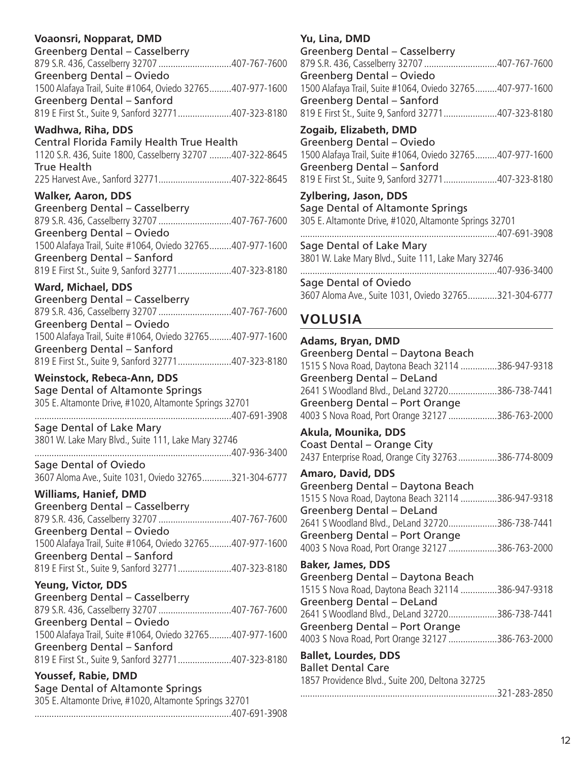# **Voaonsri, Nopparat, DMD**

| Greenberg Dental - Casselberry                            |  |
|-----------------------------------------------------------|--|
| 879 S.R. 436, Casselberry 32707 407-767-7600              |  |
| Greenberg Dental - Oviedo                                 |  |
| 1500 Alafaya Trail, Suite #1064, Oviedo 32765407-977-1600 |  |
| Greenberg Dental - Sanford                                |  |
| 819 E First St., Suite 9, Sanford 32771407-323-8180       |  |
|                                                           |  |

# **Wadhwa, Riha, DDS**

Central Florida Family Health True Health 1120 S.R. 436, Suite 1800, Casselberry 32707 .........407-322-8645 True Health 225 Harvest Ave., Sanford 32771..............................407-322-8645

# **Walker, Aaron, DDS**

Greenberg Dental – Casselberry 879 S.R. 436, Casselberry 32707 ..............................407-767-7600 Greenberg Dental – Oviedo 1500 Alafaya Trail, Suite #1064, Oviedo 32765.........407-977-1600 Greenberg Dental – Sanford 819 E First St., Suite 9, Sanford 32771......................407-323-8180

# **Ward, Michael, DDS**

Greenberg Dental – Casselberry 879 S.R. 436, Casselberry 32707 ..............................407-767-7600 Greenberg Dental – Oviedo 1500 Alafaya Trail, Suite #1064, Oviedo 32765.........407-977-1600 Greenberg Dental – Sanford 819 E First St., Suite 9, Sanford 32771......................407-323-8180

# **Weinstock, Rebeca-Ann, DDS**

Sage Dental of Altamonte Springs 305 E. Altamonte Drive, #1020, Altamonte Springs 32701 .................................................................................407-691-3908

Sage Dental of Lake Mary 3801 W. Lake Mary Blvd., Suite 111, Lake Mary 32746 .................................................................................407-936-3400

Sage Dental of Oviedo 3607 Aloma Ave., Suite 1031, Oviedo 32765............321-304-6777

**Williams, Hanief, DMD** Greenberg Dental – Casselberry 879 S.R. 436, Casselberry 32707 ..............................407-767-7600 Greenberg Dental – Oviedo 1500 Alafaya Trail, Suite #1064, Oviedo 32765.........407-977-1600 Greenberg Dental – Sanford 819 E First St., Suite 9, Sanford 32771......................407-323-8180

### **Yeung, Victor, DDS**

Greenberg Dental – Casselberry 879 S.R. 436, Casselberry 32707 ..............................407-767-7600 Greenberg Dental – Oviedo 1500 Alafaya Trail, Suite #1064, Oviedo 32765.........407-977-1600 Greenberg Dental – Sanford 819 E First St., Suite 9, Sanford 32771......................407-323-8180

### **Youssef, Rabie, DMD**

Sage Dental of Altamonte Springs 305 E. Altamonte Drive, #1020, Altamonte Springs 32701 .................................................................................407-691-3908

# **Yu, Lina, DMD**

Greenberg Dental – Casselberry 879 S.R. 436, Casselberry 32707 ..............................407-767-7600 Greenberg Dental – Oviedo 1500 Alafaya Trail, Suite #1064, Oviedo 32765.........407-977-1600 Greenberg Dental – Sanford 819 E First St., Suite 9, Sanford 32771......................407-323-8180

**Zogaib, Elizabeth, DMD** Greenberg Dental – Oviedo 1500 Alafaya Trail, Suite #1064, Oviedo 32765.........407-977-1600 Greenberg Dental – Sanford 819 E First St., Suite 9, Sanford 32771......................407-323-8180

### **Zylbering, Jason, DDS** Sage Dental of Altamonte Springs 305 E. Altamonte Drive, #1020, Altamonte Springs 32701 .................................................................................407-691-3908 Sage Dental of Lake Mary 3801 W. Lake Mary Blvd., Suite 111, Lake Mary 32746 .................................................................................407-936-3400 Sage Dental of Oviedo 3607 Aloma Ave., Suite 1031, Oviedo 32765............321-304-6777

# **VOLUSIA**

| Adams, Bryan, DMD                                                                                                   |  |
|---------------------------------------------------------------------------------------------------------------------|--|
| Greenberg Dental - Daytona Beach<br>1515 S Nova Road, Daytona Beach 32114 386-947-9318<br>Greenberg Dental - DeLand |  |
| 2641 S Woodland Blvd., DeLand 32720386-738-7441<br><b>Greenberg Dental - Port Orange</b>                            |  |
| 4003 S Nova Road, Port Orange 32127 386-763-2000                                                                    |  |
| Akula, Mounika, DDS<br>Coast Dental - Orange City<br>2437 Enterprise Road, Orange City 32763 386-774-8009           |  |
|                                                                                                                     |  |
| <b>Amaro, David, DDS</b><br>Greenberg Dental - Daytona Beach                                                        |  |
| 1515 S Nova Road, Daytona Beach 32114 386-947-9318<br><b>Greenberg Dental - DeLand</b>                              |  |
| 2641 S Woodland Blvd., DeLand 32720386-738-7441                                                                     |  |
| Greenberg Dental - Port Orange                                                                                      |  |
| 4003 S Nova Road, Port Orange 32127 386-763-2000                                                                    |  |
| <b>Baker, James, DDS</b>                                                                                            |  |
| Greenberg Dental - Daytona Beach                                                                                    |  |
| 1515 S Nova Road, Daytona Beach 32114 386-947-9318<br><b>Greenberg Dental - DeLand</b>                              |  |
| 2641 S Woodland Blvd., DeLand 32720386-738-7441                                                                     |  |
| <b>Greenberg Dental - Port Orange</b>                                                                               |  |
| 4003 S Nova Road, Port Orange 32127 386-763-2000                                                                    |  |
| <b>Ballet, Lourdes, DDS</b><br><b>Ballet Dental Care</b>                                                            |  |
| 1857 Providence Blvd., Suite 200, Deltona 32725                                                                     |  |
| 321-283-2850<br>.                                                                                                   |  |
|                                                                                                                     |  |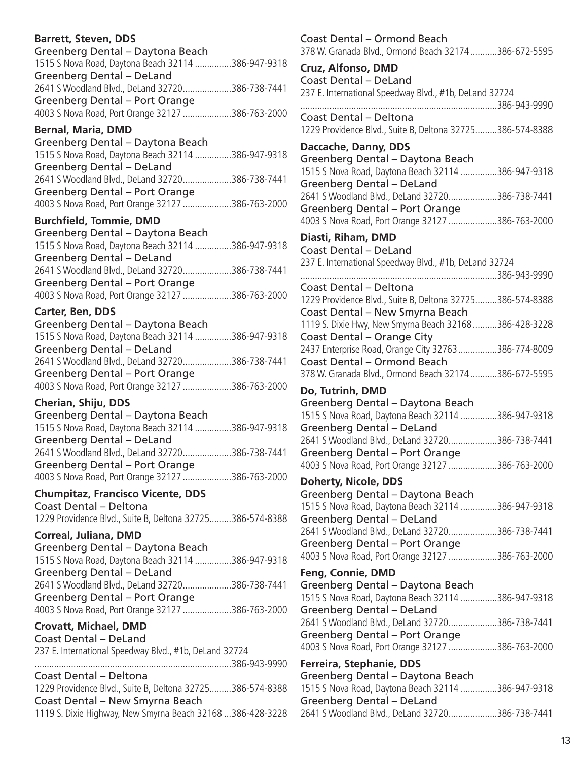# **Barrett, Steven, DDS**

| Greenberg Dental - Daytona Beach                   |  |
|----------------------------------------------------|--|
| 1515 S Nova Road, Daytona Beach 32114 386-947-9318 |  |
| Greenberg Dental - DeLand                          |  |
| 2641 S Woodland Blvd., DeLand 32720386-738-7441    |  |
| Greenberg Dental - Port Orange                     |  |
| 4003 S Nova Road, Port Orange 32127 386-763-2000   |  |
|                                                    |  |

# **Bernal, Maria, DMD**

| 1515 S Nova Road, Daytona Beach 32114 386-947-9318 |
|----------------------------------------------------|
|                                                    |
| 2641 S Woodland Blvd., DeLand 32720386-738-7441    |
|                                                    |
| 4003 S Nova Road, Port Orange 32127 386-763-2000   |
|                                                    |

# **Burchfield, Tommie, DMD**

| Greenberg Dental - Daytona Beach                   |  |
|----------------------------------------------------|--|
| 1515 S Nova Road, Daytona Beach 32114 386-947-9318 |  |
| Greenberg Dental - DeLand                          |  |
| 2641 S Woodland Blvd., DeLand 32720386-738-7441    |  |
| Greenberg Dental - Port Orange                     |  |
| 4003 S Nova Road, Port Orange 32127 386-763-2000   |  |
|                                                    |  |

# **Carter, Ben, DDS**

| 1515 S Nova Road, Daytona Beach 32114 386-947-9318 |
|----------------------------------------------------|
|                                                    |
| 2641 S Woodland Blvd., DeLand 32720386-738-7441    |
|                                                    |
| 4003 S Nova Road, Port Orange 32127 386-763-2000   |
|                                                    |

### **Cherian, Shiju, DDS** Greenberg Dental – Daytona Beach 1515 S Nova Road, Daytona Beach 32114 ...............386-947-9318 Greenberg Dental – DeLand 2641 S Woodland Blvd., DeLand 32720....................386-738-7441 Greenberg Dental – Port Orange 4003 S Nova Road, Port Orange 32127 ....................386-763-2000

# **Chumpitaz, Francisco Vicente, DDS**

Coast Dental – Deltona 1229 Providence Blvd., Suite B, Deltona 32725.........386-574-8388

**Correal, Juliana, DMD** Greenberg Dental – Daytona Beach 1515 S Nova Road, Daytona Beach 32114 ...............386-947-9318 Greenberg Dental – DeLand 2641 S Woodland Blvd., DeLand 32720....................386-738-7441 Greenberg Dental – Port Orange 4003 S Nova Road, Port Orange 32127 ....................386-763-2000

**Crovatt, Michael, DMD** Coast Dental – DeLand 237 E. International Speedway Blvd., #1b, DeLand 32724 .................................................................................386-943-9990 Coast Dental – Deltona 1229 Providence Blvd., Suite B, Deltona 32725.........386-574-8388 Coast Dental – New Smyrna Beach 1119 S. Dixie Highway, New Smyrna Beach 32168 ...386-428-3228 Coast Dental – Ormond Beach 378 W. Granada Blvd., Ormond Beach 32174...........386-672-5595 **Cruz, Alfonso, DMD** Coast Dental – DeLand 237 E. International Speedway Blvd., #1b, DeLand 32724 .................................................................................386-943-9990 Coast Dental – Deltona 1229 Providence Blvd., Suite B, Deltona 32725.........386-574-8388 **Daccache, Danny, DDS** Greenberg Dental – Daytona Beach 1515 S Nova Road, Daytona Beach 32114 ...............386-947-9318 Greenberg Dental – DeLand 2641 S Woodland Blvd., DeLand 32720....................386-738-7441 Greenberg Dental – Port Orange 4003 S Nova Road, Port Orange 32127 ....................386-763-2000 **Diasti, Riham, DMD** Coast Dental – DeLand 237 E. International Speedway Blvd., #1b, DeLand 32724 .................................................................................386-943-9990 Coast Dental – Deltona 1229 Providence Blvd., Suite B, Deltona 32725.........386-574-8388 Coast Dental – New Smyrna Beach 1119 S. Dixie Hwy, New Smyrna Beach 32168..........386-428-3228 Coast Dental – Orange City 2437 Enterprise Road, Orange City 32763................386-774-8009 Coast Dental – Ormond Beach 378 W. Granada Blvd., Ormond Beach 32174...........386-672-5595 **Do, Tutrinh, DMD** Greenberg Dental – Daytona Beach 1515 S Nova Road, Daytona Beach 32114 ...............386-947-9318 Greenberg Dental – DeLand 2641 S Woodland Blvd., DeLand 32720....................386-738-7441 Greenberg Dental – Port Orange 4003 S Nova Road, Port Orange 32127 ....................386-763-2000 **Doherty, Nicole, DDS** Greenberg Dental – Daytona Beach 1515 S Nova Road, Daytona Beach 32114 ...............386-947-9318 Greenberg Dental – DeLand 2641 S Woodland Blvd., DeLand 32720....................386-738-7441 Greenberg Dental – Port Orange 4003 S Nova Road, Port Orange 32127 ....................386-763-2000 **Feng, Connie, DMD** Greenberg Dental – Daytona Beach 1515 S Nova Road, Daytona Beach 32114 ...............386-947-9318 Greenberg Dental – DeLand 2641 S Woodland Blvd., DeLand 32720....................386-738-7441 Greenberg Dental – Port Orange 4003 S Nova Road, Port Orange 32127 ....................386-763-2000 **Ferreira, Stephanie, DDS** Greenberg Dental – Daytona Beach 1515 S Nova Road, Daytona Beach 32114 ...............386-947-9318 Greenberg Dental – DeLand 2641 S Woodland Blvd., DeLand 32720....................386-738-7441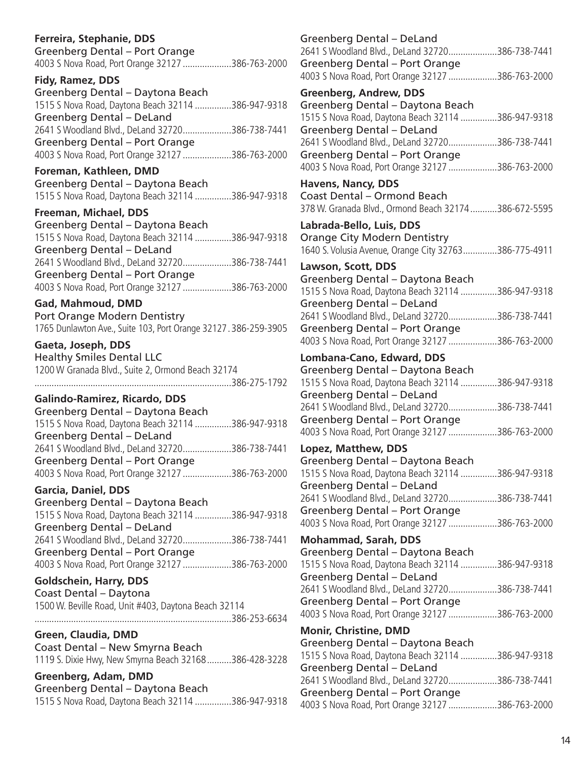# **Ferreira, Stephanie, DDS**

Greenberg Dental – Port Orange 4003 S Nova Road, Port Orange 32127 ....................386-763-2000

**Fidy, Ramez, DDS** Greenberg Dental – Daytona Beach 1515 S Nova Road, Daytona Beach 32114 ...............386-947-9318 Greenberg Dental – DeLand 2641 S Woodland Blvd., DeLand 32720....................386-738-7441 Greenberg Dental – Port Orange 4003 S Nova Road, Port Orange 32127 ....................386-763-2000

**Foreman, Kathleen, DMD** Greenberg Dental – Daytona Beach 1515 S Nova Road, Daytona Beach 32114 ...............386-947-9318

**Freeman, Michael, DDS** Greenberg Dental – Daytona Beach 1515 S Nova Road, Daytona Beach 32114 ...............386-947-9318 Greenberg Dental – DeLand 2641 S Woodland Blvd., DeLand 32720....................386-738-7441 Greenberg Dental – Port Orange 4003 S Nova Road, Port Orange 32127 ....................386-763-2000

**Gad, Mahmoud, DMD** Port Orange Modern Dentistry 1765 Dunlawton Ave., Suite 103, Port Orange 32127. 386-259-3905

**Gaeta, Joseph, DDS** Healthy Smiles Dental LLC 1200 W Granada Blvd., Suite 2, Ormond Beach 32174 .................................................................................386-275-1792

**Galindo-Ramirez, Ricardo, DDS** Greenberg Dental – Daytona Beach 1515 S Nova Road, Daytona Beach 32114 ...............386-947-9318 Greenberg Dental – DeLand 2641 S Woodland Blvd., DeLand 32720....................386-738-7441 Greenberg Dental – Port Orange 4003 S Nova Road, Port Orange 32127 ....................386-763-2000

**Garcia, Daniel, DDS** Greenberg Dental – Daytona Beach 1515 S Nova Road, Daytona Beach 32114 ...............386-947-9318 Greenberg Dental – DeLand 2641 S Woodland Blvd., DeLand 32720....................386-738-7441 Greenberg Dental – Port Orange 4003 S Nova Road, Port Orange 32127 ....................386-763-2000

**Goldschein, Harry, DDS** Coast Dental – Daytona 1500 W. Beville Road, Unit #403, Daytona Beach 32114 .................................................................................386-253-6634

**Green, Claudia, DMD** Coast Dental – New Smyrna Beach 1119 S. Dixie Hwy, New Smyrna Beach 32168..........386-428-3228

**Greenberg, Adam, DMD** Greenberg Dental – Daytona Beach 1515 S Nova Road, Daytona Beach 32114 ...............386-947-9318 Greenberg Dental – DeLand 2641 S Woodland Blvd., DeLand 32720....................386-738-7441 Greenberg Dental – Port Orange 4003 S Nova Road, Port Orange 32127 ....................386-763-2000 **Greenberg, Andrew, DDS** Greenberg Dental – Daytona Beach 1515 S Nova Road, Daytona Beach 32114 ...............386-947-9318 Greenberg Dental – DeLand 2641 S Woodland Blvd., DeLand 32720....................386-738-7441 Greenberg Dental – Port Orange 4003 S Nova Road, Port Orange 32127 ....................386-763-2000 **Havens, Nancy, DDS** Coast Dental – Ormond Beach 378 W. Granada Blvd., Ormond Beach 32174...........386-672-5595 **Labrada-Bello, Luis, DDS** Orange City Modern Dentistry 1640 S. Volusia Avenue, Orange City 32763..............386-775-4911 **Lawson, Scott, DDS** Greenberg Dental – Daytona Beach 1515 S Nova Road, Daytona Beach 32114 ...............386-947-9318 Greenberg Dental – DeLand 2641 S Woodland Blvd., DeLand 32720....................386-738-7441 Greenberg Dental – Port Orange 4003 S Nova Road, Port Orange 32127 ....................386-763-2000 **Lombana-Cano, Edward, DDS** Greenberg Dental – Daytona Beach 1515 S Nova Road, Daytona Beach 32114 ...............386-947-9318 Greenberg Dental – DeLand 2641 S Woodland Blvd., DeLand 32720....................386-738-7441 Greenberg Dental – Port Orange 4003 S Nova Road, Port Orange 32127 ....................386-763-2000 **Lopez, Matthew, DDS** Greenberg Dental – Daytona Beach 1515 S Nova Road, Daytona Beach 32114 ...............386-947-9318 Greenberg Dental – DeLand 2641 S Woodland Blvd., DeLand 32720....................386-738-7441 Greenberg Dental – Port Orange 4003 S Nova Road, Port Orange 32127 ....................386-763-2000 **Mohammad, Sarah, DDS** Greenberg Dental – Daytona Beach 1515 S Nova Road, Daytona Beach 32114 ...............386-947-9318 Greenberg Dental – DeLand 2641 S Woodland Blvd., DeLand 32720....................386-738-7441 Greenberg Dental – Port Orange 4003 S Nova Road, Port Orange 32127 ....................386-763-2000 **Monir, Christine, DMD** Greenberg Dental – Daytona Beach 1515 S Nova Road, Daytona Beach 32114 ...............386-947-9318 Greenberg Dental – DeLand 2641 S Woodland Blvd., DeLand 32720....................386-738-7441 Greenberg Dental – Port Orange 4003 S Nova Road, Port Orange 32127 ....................386-763-2000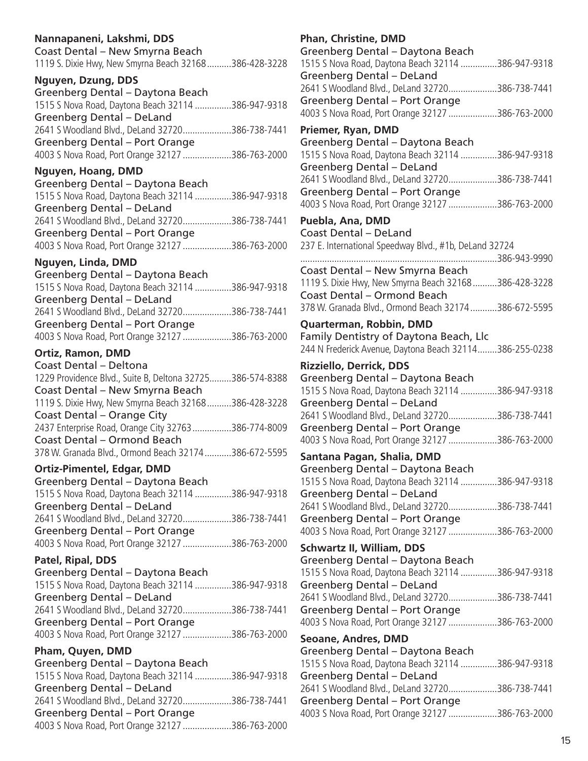| Nannapaneni, Lakshmi, DDS<br>Coast Dental - New Smyrna Beach                           | P<br>G           |
|----------------------------------------------------------------------------------------|------------------|
| 1119 S. Dixie Hwy, New Smyrna Beach 32168386-428-3228                                  | 1!               |
| Nguyen, Dzung, DDS                                                                     | G                |
| Greenberg Dental - Daytona Beach                                                       | 2 <sub>0</sub>   |
| 1515 S Nova Road, Daytona Beach 32114 386-947-9318                                     | G                |
| <b>Greenberg Dental - DeLand</b>                                                       | 4(               |
| 2641 S Woodland Blvd., DeLand 32720386-738-7441                                        | P                |
| Greenberg Dental - Port Orange                                                         | G                |
| 4003 S Nova Road, Port Orange 32127 386-763-2000                                       | 1!               |
| Nguyen, Hoang, DMD                                                                     | G                |
| Greenberg Dental - Daytona Beach                                                       | $\overline{2}$   |
| 1515 S Nova Road, Daytona Beach 32114 386-947-9318                                     | G                |
| Greenberg Dental - DeLand                                                              | 4(               |
| 2641 S Woodland Blvd., DeLand 32720386-738-7441                                        | P                |
| <b>Greenberg Dental - Port Orange</b>                                                  | C                |
| 4003 S Nova Road, Port Orange 32127 386-763-2000                                       | 2:               |
| Nguyen, Linda, DMD                                                                     |                  |
| Greenberg Dental - Daytona Beach                                                       | C<br>$1^{\circ}$ |
| 1515 S Nova Road, Daytona Beach 32114 386-947-9318                                     | C                |
| <b>Greenberg Dental - DeLand</b>                                                       | $\mathsf{B}$     |
| 2641 S Woodland Blvd., DeLand 32720386-738-7441                                        |                  |
| <b>Greenberg Dental - Port Orange</b>                                                  | Q                |
| 4003 S Nova Road, Port Orange 32127 386-763-2000                                       | F.               |
| <b>Ortiz, Ramon, DMD</b>                                                               | 2 <sup>4</sup>   |
| Coast Dental - Deltona                                                                 | R                |
| 1229 Providence Blvd., Suite B, Deltona 32725386-574-8388                              | G                |
| Coast Dental - New Smyrna Beach                                                        | 1!               |
| 1119 S. Dixie Hwy, New Smyrna Beach 32168 386-428-3228                                 | G                |
| Coast Dental - Orange City<br>2437 Enterprise Road, Orange City 32763 386-774-8009     | 2(<br>G          |
| Coast Dental - Ormond Beach                                                            | 4(               |
| 378 W. Granada Blvd., Ormond Beach 32174386-672-5595                                   |                  |
|                                                                                        | S.               |
| <b>Ortiz-Pimentel, Edgar, DMD</b>                                                      | G                |
| Greenberg Dental - Daytona Beach<br>1515 S Nova Road, Daytona Beach 32114 386-947-9318 | 1!<br>G          |
| <b>Greenberg Dental - DeLand</b>                                                       | 2(               |
| 2641 S Woodland Blvd., DeLand 32720386-738-7441                                        | G                |
| Greenberg Dental - Port Orange                                                         | 4(               |
| 4003 S Nova Road, Port Orange 32127 386-763-2000                                       | S                |
| Patel, Ripal, DDS                                                                      | G                |
| Greenberg Dental - Daytona Beach                                                       | 1!               |
| 1515 S Nova Road, Daytona Beach 32114 386-947-9318                                     | G                |
| Greenberg Dental - DeLand                                                              | 2(               |
| 2641 S Woodland Blvd., DeLand 32720386-738-7441                                        | G                |
| <b>Greenberg Dental - Port Orange</b>                                                  | $\overline{4}$   |
| 4003 S Nova Road, Port Orange 32127 386-763-2000                                       | S                |
| Pham, Quyen, DMD                                                                       | G                |
| Greenberg Dental - Daytona Beach                                                       | 1!               |
| 1515 S Nova Road, Daytona Beach 32114 386-947-9318                                     | G                |
| <b>Greenberg Dental - DeLand</b>                                                       | 2 <sub>0</sub>   |
| 2641 S Woodland Blvd., DeLand 32720386-738-7441                                        | G                |
| Greenberg Dental - Port Orange                                                         | 4(               |
| 4003 S Nova Road, Port Orange 32127 386-763-2000                                       |                  |

| <b>Phan, Christine, DMD</b>                             |  |
|---------------------------------------------------------|--|
| Greenberg Dental - Daytona Beach                        |  |
| 1515 S Nova Road, Daytona Beach 32114 386-947-9318      |  |
| Greenberg Dental - DeLand                               |  |
| 2641 S Woodland Blvd., DeLand 32720386-738-7441         |  |
| Greenberg Dental - Port Orange                          |  |
| 4003 S Nova Road, Port Orange 32127 386-763-2000        |  |
| Priemer, Ryan, DMD                                      |  |
| Greenberg Dental - Daytona Beach                        |  |
| 1515 S Nova Road, Daytona Beach 32114 386-947-9318      |  |
| Greenberg Dental - DeLand                               |  |
| 2641 S Woodland Blvd., DeLand 32720386-738-7441         |  |
| Greenberg Dental - Port Orange                          |  |
| 4003 S Nova Road, Port Orange 32127 386-763-2000        |  |
| Puebla, Ana, DMD                                        |  |
| <b>Coast Dental - DeLand</b>                            |  |
| 237 E. International Speedway Blvd., #1b, DeLand 32724  |  |
| 386-943-9990                                            |  |
| Coast Dental - New Smyrna Beach                         |  |
| 1119 S. Dixie Hwy, New Smyrna Beach 32168 386-428-3228  |  |
| <b>Coast Dental - Ormond Beach</b>                      |  |
| 378 W. Granada Blvd., Ormond Beach 32174386-672-5595    |  |
| Quarterman, Robbin, DMD                                 |  |
| Family Dentistry of Daytona Beach, Llc                  |  |
| 244 N Frederick Avenue, Daytona Beach 32114386-255-0238 |  |
| <b>Rizziello, Derrick, DDS</b>                          |  |
| Greenberg Dental - Daytona Beach                        |  |
| 1515 S Nova Road, Daytona Beach 32114 386-947-9318      |  |
| <b>Greenberg Dental - DeLand</b>                        |  |
| 2641 S Woodland Blvd., DeLand 32720386-738-7441         |  |
| Greenberg Dental - Port Orange                          |  |
| 4003 S Nova Road, Port Orange 32127 386-763-2000        |  |
| Santana Pagan, Shalia, DMD                              |  |
| Greenberg Dental - Daytona Beach                        |  |
| 1515 S Nova Road, Daytona Beach 32114 386-947-9318      |  |
| Greenberg Dental - DeLand                               |  |
| 2641 S Woodland Blvd., DeLand 32720386-738-7441         |  |
| Greenberg Dental - Port Orange                          |  |
| 4003 S Nova Road, Port Orange 32127 386-763-2000        |  |
| <b>Schwartz II, William, DDS</b>                        |  |
| Greenberg Dental - Daytona Beach                        |  |
| 1515 S Nova Road, Daytona Beach 32114 386-947-9318      |  |
| Greenberg Dental - DeLand                               |  |
| 2641 S Woodland Blvd., DeLand 32720386-738-7441         |  |
| Greenberg Dental - Port Orange                          |  |
| 4003 S Nova Road, Port Orange 32127 386-763-2000        |  |
| <b>Seoane, Andres, DMD</b>                              |  |
| Greenberg Dental - Daytona Beach                        |  |
| 1515 S Nova Road, Daytona Beach 32114 386-947-9318      |  |
| Greenberg Dental - DeLand                               |  |
| 2641 S Woodland Blvd., DeLand 32720386-738-7441         |  |
| Greenberg Dental - Port Orange                          |  |
| 4003 S Nova Road, Port Orange 32127 386-763-2000        |  |
|                                                         |  |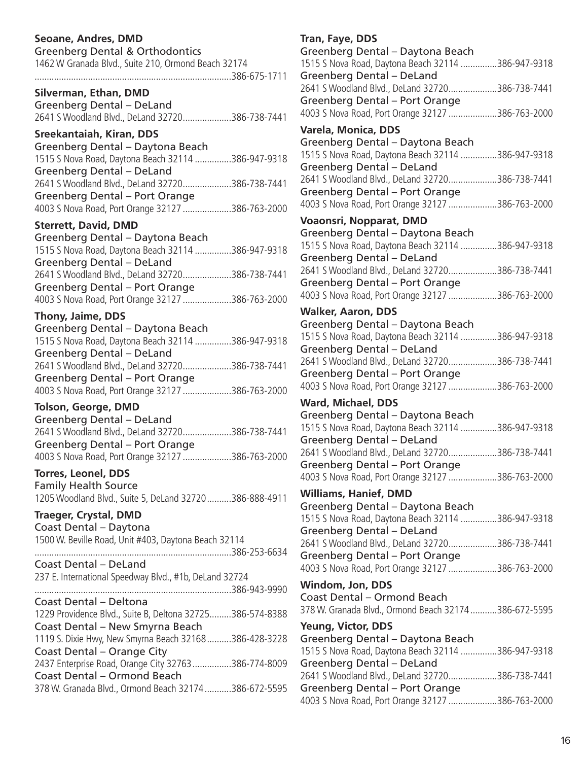# **Seoane, Andres, DMD**

| <b>Greenberg Dental &amp; Orthodontics</b>          |  |
|-----------------------------------------------------|--|
| 1462 W Granada Blvd., Suite 210, Ormond Beach 32174 |  |
|                                                     |  |
| Silverman, Ethan, DMD                               |  |
| Greenberg Dental - DeLand                           |  |
| 2641 S Woodland Blvd., DeLand 32720386-738-7441     |  |

### **Sreekantaiah, Kiran, DDS**

| Greenberg Dental – Daytona Beach                   |  |
|----------------------------------------------------|--|
| 1515 S Nova Road, Daytona Beach 32114 386-947-9318 |  |
| Greenberg Dental - DeLand                          |  |
| 2641 S Woodland Blvd., DeLand 32720386-738-7441    |  |
| Greenberg Dental – Port Orange                     |  |
| 4003 S Nova Road, Port Orange 32127 386-763-2000   |  |

### **Sterrett, David, DMD**

| Greenberg Dental – Daytona Beach                   |  |
|----------------------------------------------------|--|
| 1515 S Nova Road, Daytona Beach 32114 386-947-9318 |  |
| Greenberg Dental - DeLand                          |  |
| 2641 S Woodland Blvd., DeLand 32720386-738-7441    |  |
| Greenberg Dental - Port Orange                     |  |
| 4003 S Nova Road, Port Orange 32127 386-763-2000   |  |
|                                                    |  |

### **Thony, Jaime, DDS**

| 1515 S Nova Road, Daytona Beach 32114 386-947-9318 |
|----------------------------------------------------|
|                                                    |
| 2641 S Woodland Blvd., DeLand 32720386-738-7441    |
|                                                    |
| 4003 S Nova Road, Port Orange 32127 386-763-2000   |
|                                                    |

### **Tolson, George, DMD**

| Greenberg Dental - DeLand                        |  |
|--------------------------------------------------|--|
| 2641 S Woodland Blvd., DeLand 32720386-738-7441  |  |
| Greenberg Dental - Port Orange                   |  |
| 4003 S Nova Road, Port Orange 32127 386-763-2000 |  |

### **Torres, Leonel, DDS** Family Health Source 1205 Woodland Blvd., Suite 5, DeLand 32720..........386-888-4911

**Traeger, Crystal, DMD** Coast Dental – Daytona 1500 W. Beville Road, Unit #403, Daytona Beach 32114 .................................................................................386-253-6634 Coast Dental – DeLand 237 E. International Speedway Blvd., #1b, DeLand 32724 .................................................................................386-943-9990 Coast Dental – Deltona 1229 Providence Blvd., Suite B, Deltona 32725.........386-574-8388 Coast Dental – New Smyrna Beach 1119 S. Dixie Hwy, New Smyrna Beach 32168..........386-428-3228 Coast Dental – Orange City 2437 Enterprise Road, Orange City 32763................386-774-8009 Coast Dental – Ormond Beach 378 W. Granada Blvd., Ormond Beach 32174...........386-672-5595

# **Tran, Faye, DDS**

| Greenberg Dental - Daytona Beach<br>1515 S Nova Road, Daytona Beach 32114 386-947-9318<br>Greenberg Dental - DeLand      |
|--------------------------------------------------------------------------------------------------------------------------|
| 2641 S Woodland Blvd., DeLand 32720386-738-7441<br><b>Greenberg Dental - Port Orange</b>                                 |
| 4003 S Nova Road, Port Orange 32127 386-763-2000<br>Varela, Monica, DDS                                                  |
| Greenberg Dental - Daytona Beach<br>1515 S Nova Road, Daytona Beach 32114 386-947-9318<br>Greenberg Dental - DeLand      |
| 2641 S Woodland Blvd., DeLand 32720386-738-7441<br><b>Greenberg Dental - Port Orange</b>                                 |
| 4003 S Nova Road, Port Orange 32127 386-763-2000                                                                         |
| <b>Voaonsri, Nopparat, DMD</b><br>Greenberg Dental - Daytona Beach<br>1515 S Nova Road, Daytona Beach 32114 386-947-9318 |
| Greenberg Dental - DeLand<br>2641 S Woodland Blvd., DeLand 32720386-738-7441                                             |
| Greenberg Dental - Port Orange<br>4003 S Nova Road, Port Orange 32127 386-763-2000                                       |
| <b>Walker, Aaron, DDS</b>                                                                                                |
| Greenberg Dental - Daytona Beach<br>1515 S Nova Road, Daytona Beach 32114 386-947-9318<br>Greenberg Dental - DeLand      |
| 2641 S Woodland Blvd., DeLand 32720386-738-7441<br><b>Greenberg Dental - Port Orange</b>                                 |
| 4003 S Nova Road, Port Orange 32127 386-763-2000                                                                         |
| <b>Ward, Michael, DDS</b>                                                                                                |
| Greenberg Dental - Daytona Beach                                                                                         |
| 1515 S Nova Road, Daytona Beach 32114 386-947-9318<br>Greenberg Dental - DeLand                                          |
| 2641 S Woodland Blvd., DeLand 32720386-738-7441                                                                          |
| <b>Greenberg Dental - Port Orange</b><br>4003 S Nova Road, Port Orange 32127 386-763-2000                                |
| <b>Williams, Hanief, DMD</b>                                                                                             |
| Greenberg Dental - Daytona Beach<br>1515 S Nova Road, Daytona Beach 32114 386-947-9318                                   |
| Greenberg Dental - DeLand<br>2641 S Woodland Blvd., DeLand 32720386-738-7441                                             |
| <b>Greenberg Dental - Port Orange</b><br>4003 S Nova Road, Port Orange 32127 386-763-2000                                |
| Windom, Jon, DDS                                                                                                         |
| <b>Coast Dental - Ormond Beach</b><br>378 W. Granada Blvd., Ormond Beach 32174386-672-5595                               |
| <b>Yeung, Victor, DDS</b>                                                                                                |
| Greenberg Dental - Daytona Beach<br>1515 S Nova Road, Daytona Beach 32114 386-947-9318                                   |
| <b>Greenberg Dental - DeLand</b>                                                                                         |
| 2641 S Woodland Blvd., DeLand 32720386-738-7441                                                                          |
| <b>Greenberg Dental - Port Orange</b><br>4003 S Nova Road, Port Orange 32127 386-763-2000                                |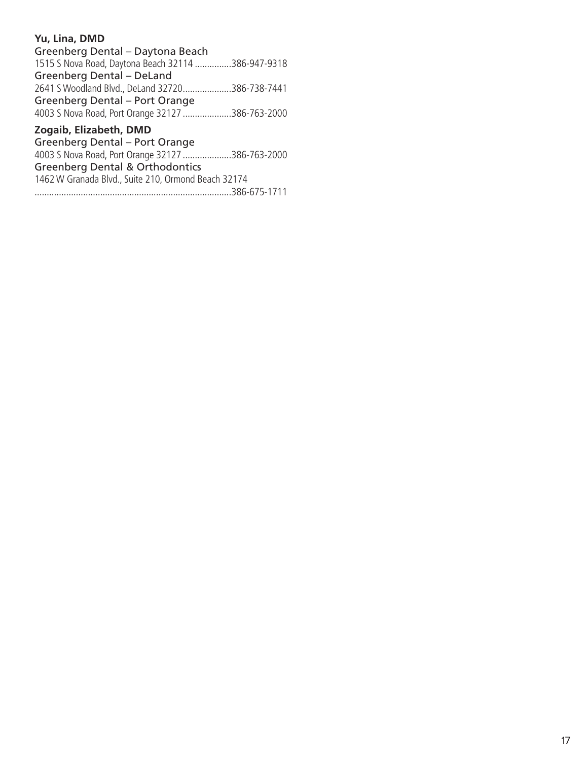# **Yu, Lina, DMD**

| Greenberg Dental - Daytona Beach                   |  |
|----------------------------------------------------|--|
| 1515 S Nova Road, Daytona Beach 32114 386-947-9318 |  |
| Greenberg Dental - DeLand                          |  |
| 2641 S Woodland Blvd., DeLand 32720386-738-7441    |  |
| Greenberg Dental - Port Orange                     |  |
| 4003 S Nova Road, Port Orange 32127 386-763-2000   |  |
|                                                    |  |

# **Zogaib, Elizabeth, DMD**

Greenberg Dental – Port Orange 4003 S Nova Road, Port Orange 32127 ....................386-763-2000 Greenberg Dental & Orthodontics 1462 W Granada Blvd., Suite 210, Ormond Beach 32174

.................................................................................386-675-1711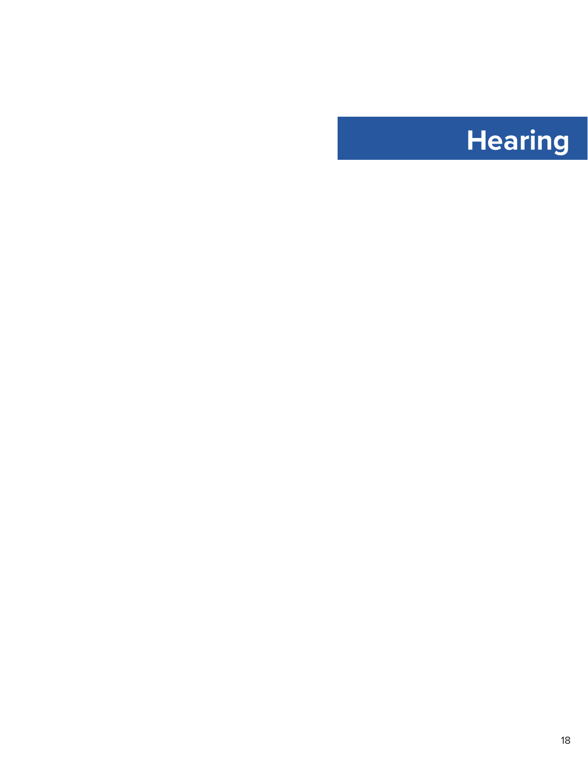# <span id="page-18-0"></span>**Hearing**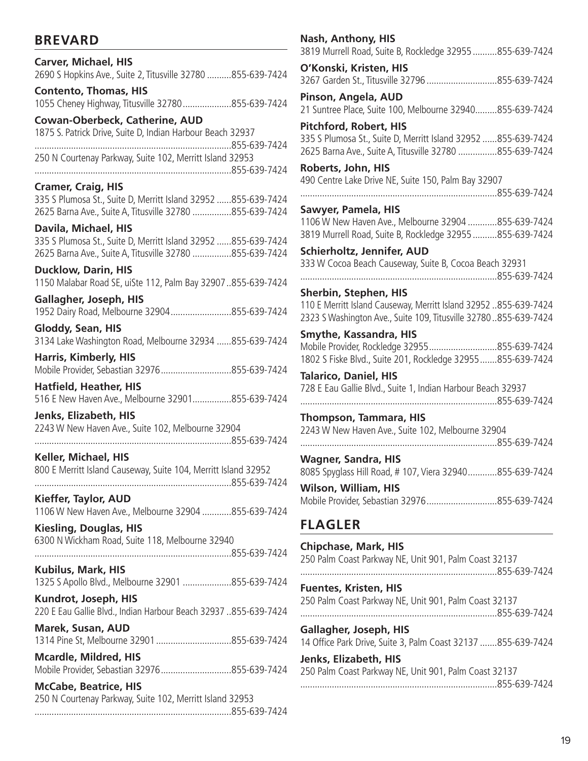# **BREVARD**

|                                                                                          | -0015 IVIUITEII NUQU, JUITE D, NUCKIEUYE 32933 005-039-7424                   |
|------------------------------------------------------------------------------------------|-------------------------------------------------------------------------------|
| <b>Carver, Michael, HIS</b>                                                              | O'Konski, Kristen, HIS                                                        |
| 2690 S Hopkins Ave., Suite 2, Titusville 32780 855-639-7424                              | 3267 Garden St., Titusville 32796 855-639-7424                                |
| <b>Contento, Thomas, HIS</b>                                                             | Pinson, Angela, AUD                                                           |
| 1055 Cheney Highway, Titusville 32780855-639-7424                                        | 21 Suntree Place, Suite 100, Melbourne 32940855-639-7424                      |
| <b>Cowan-Oberbeck, Catherine, AUD</b>                                                    | <b>Pitchford, Robert, HIS</b>                                                 |
| 1875 S. Patrick Drive, Suite D, Indian Harbour Beach 32937                               | 335 S Plumosa St., Suite D, Merritt Island 32952  855-639-7424                |
|                                                                                          | 2625 Barna Ave., Suite A, Titusville 32780 855-639-7424                       |
| 250 N Courtenay Parkway, Suite 102, Merritt Island 32953                                 | Roberts, John, HIS                                                            |
| <b>Cramer, Craig, HIS</b>                                                                | 490 Centre Lake Drive NE, Suite 150, Palm Bay 32907                           |
| 335 S Plumosa St., Suite D, Merritt Island 32952 855-639-7424                            |                                                                               |
| 2625 Barna Ave., Suite A, Titusville 32780 855-639-7424                                  | Sawyer, Pamela, HIS                                                           |
| Davila, Michael, HIS                                                                     | 1106 W New Haven Ave., Melbourne 32904 855-639-7424                           |
| 335 S Plumosa St., Suite D, Merritt Island 32952 855-639-7424                            | 3819 Murrell Road, Suite B, Rockledge 32955855-639-7424                       |
| 2625 Barna Ave., Suite A, Titusville 32780 855-639-7424                                  | Schierholtz, Jennifer, AUD                                                    |
| <b>Ducklow, Darin, HIS</b>                                                               | 333 W Cocoa Beach Causeway, Suite B, Cocoa Beach 32931                        |
| 1150 Malabar Road SE, uiSte 112, Palm Bay 32907855-639-7424                              |                                                                               |
| Gallagher, Joseph, HIS                                                                   | Sherbin, Stephen, HIS                                                         |
| 1952 Dairy Road, Melbourne 32904855-639-7424                                             | 110 E Merritt Island Causeway, Merritt Island 32952 855-639-7424              |
| Gloddy, Sean, HIS                                                                        | 2323 S Washington Ave., Suite 109, Titusville 32780855-639-7424               |
| 3134 Lake Washington Road, Melbourne 32934 855-639-7424                                  | <b>Smythe, Kassandra, HIS</b><br>Mobile Provider, Rockledge 32955855-639-7424 |
| <b>Harris, Kimberly, HIS</b>                                                             | 1802 S Fiske Blvd., Suite 201, Rockledge 32955855-639-7424                    |
| Mobile Provider, Sebastian 32976855-639-7424                                             | <b>Talarico, Daniel, HIS</b>                                                  |
| <b>Hatfield, Heather, HIS</b>                                                            | 728 E Eau Gallie Blvd., Suite 1, Indian Harbour Beach 32937                   |
| 516 E New Haven Ave., Melbourne 32901855-639-7424                                        |                                                                               |
| Jenks, Elizabeth, HIS                                                                    | <b>Thompson, Tammara, HIS</b>                                                 |
| 2243 W New Haven Ave., Suite 102, Melbourne 32904                                        | 2243 W New Haven Ave., Suite 102, Melbourne 32904                             |
|                                                                                          |                                                                               |
| Keller, Michael, HIS                                                                     | <b>Wagner, Sandra, HIS</b>                                                    |
| 800 E Merritt Island Causeway, Suite 104, Merritt Island 32952                           | 8085 Spyglass Hill Road, #107, Viera 32940855-639-7424                        |
|                                                                                          | Wilson, William, HIS                                                          |
| Kieffer, Taylor, AUD                                                                     | Mobile Provider, Sebastian 32976855-639-7424                                  |
| 1106 W New Haven Ave., Melbourne 32904 855-639-7424<br><b>Kiesling, Douglas, HIS</b>     | <b>FLAGLER</b>                                                                |
| 6300 N Wickham Road, Suite 118, Melbourne 32940                                          | <b>Chipchase, Mark, HIS</b>                                                   |
|                                                                                          | 250 Palm Coast Parkway NE, Unit 901, Palm Coast 32137                         |
| Kubilus, Mark, HIS                                                                       |                                                                               |
| 1325 S Apollo Blvd., Melbourne 32901 855-639-7424                                        | <b>Fuentes, Kristen, HIS</b>                                                  |
| Kundrot, Joseph, HIS                                                                     | 250 Palm Coast Parkway NE, Unit 901, Palm Coast 32137                         |
| 220 E Eau Gallie Blvd., Indian Harbour Beach 32937 855-639-7424                          |                                                                               |
| <b>Marek, Susan, AUD</b>                                                                 | Gallagher, Joseph, HIS                                                        |
| 1314 Pine St, Melbourne 32901855-639-7424                                                | 14 Office Park Drive, Suite 3, Palm Coast 32137 855-639-7424                  |
| <b>Mcardle, Mildred, HIS</b>                                                             | Jenks, Elizabeth, HIS                                                         |
| Mobile Provider, Sebastian 32976855-639-7424                                             | 250 Palm Coast Parkway NE, Unit 901, Palm Coast 32137                         |
| <b>McCabe, Beatrice, HIS</b><br>250 N Courtenay Parkway, Suite 102, Merritt Island 32953 |                                                                               |
|                                                                                          |                                                                               |

| <b>Nash, Anthony, HIS</b><br>3819 Murrell Road, Suite B, Rockledge 32955 855-639-7424                                    |  |
|--------------------------------------------------------------------------------------------------------------------------|--|
| O'Konski, Kristen, HIS                                                                                                   |  |
| 3267 Garden St., Titusville 32796 855-639-7424                                                                           |  |
| Pinson, Angela, AUD<br>21 Suntree Place, Suite 100, Melbourne 32940855-639-7424                                          |  |
| Pitchford, Robert, HIS                                                                                                   |  |
| 335 S Plumosa St., Suite D, Merritt Island 32952 855-639-7424<br>2625 Barna Ave., Suite A, Titusville 32780 855-639-7424 |  |
| Roberts, John, HIS                                                                                                       |  |
| 490 Centre Lake Drive NE, Suite 150, Palm Bay 32907                                                                      |  |
| 855-639-7424                                                                                                             |  |
| Sawyer, Pamela, HIS                                                                                                      |  |
| 1106 W New Haven Ave., Melbourne 32904 855-639-7424<br>3819 Murrell Road, Suite B, Rockledge 32955 855-639-7424          |  |
| <b>Schierholtz, Jennifer, AUD</b>                                                                                        |  |
| 333 W Cocoa Beach Causeway, Suite B, Cocoa Beach 32931                                                                   |  |
|                                                                                                                          |  |
| <b>Sherbin, Stephen, HIS</b>                                                                                             |  |
| 110 E Merritt Island Causeway, Merritt Island 32952 855-639-7424                                                         |  |
| 2323 S Washington Ave., Suite 109, Titusville 32780855-639-7424                                                          |  |
| <b>Smythe, Kassandra, HIS</b>                                                                                            |  |
| Mobile Provider, Rockledge 32955855-639-7424                                                                             |  |
| 1802 S Fiske Blvd., Suite 201, Rockledge 32955855-639-7424                                                               |  |
| <b>Talarico, Daniel, HIS</b><br>728 E Eau Gallie Blvd., Suite 1, Indian Harbour Beach 32937                              |  |
| 855-639-7424                                                                                                             |  |
| Thompson, Tammara, HIS                                                                                                   |  |
| 2243 W New Haven Ave., Suite 102, Melbourne 32904                                                                        |  |
|                                                                                                                          |  |
| Wagner, Sandra, HIS                                                                                                      |  |
| 8085 Spyglass Hill Road, # 107, Viera 32940855-639-7424                                                                  |  |
| Wilson, William, HIS                                                                                                     |  |
| Mobile Provider, Sebastian 32976855-639-7424                                                                             |  |
| <b>FLAGLER</b>                                                                                                           |  |
| <b>Chipchase, Mark, HIS</b><br>250 Palm Coast Parkway NE, Unit 901, Palm Coast 32137                                     |  |
| <b>Fuentes, Kristen, HIS</b>                                                                                             |  |

19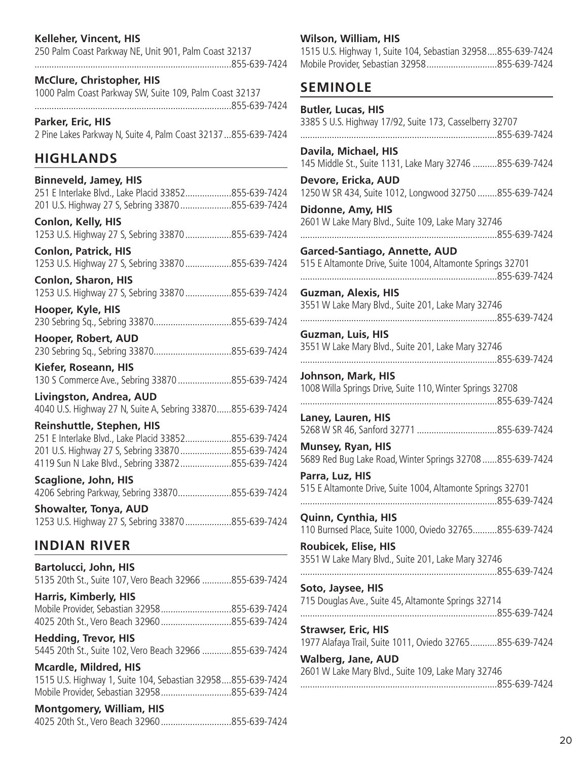# **Kelleher, Vincent, HIS**

250 Palm Coast Parkway NE, Unit 901, Palm Coast 32137 .................................................................................855-639-7424

**McClure, Christopher, HIS** 1000 Palm Coast Parkway SW, Suite 109, Palm Coast 32137 .................................................................................855-639-7424

**Parker, Eric, HIS** 2 Pine Lakes Parkway N, Suite 4, Palm Coast 32137...855-639-7424

# **HIGHLANDS**

# **Binneveld, Jamey, HIS**

|  | 251 E Interlake Blvd., Lake Placid 33852855-639-7424 |  |
|--|------------------------------------------------------|--|
|  | 201 U.S. Highway 27 S, Sebring 33870 855-639-7424    |  |

**Conlon, Kelly, HIS** 1253 U.S. Highway 27 S, Sebring 33870...................855-639-7424

**Conlon, Patrick, HIS** 1253 U.S. Highway 27 S, Sebring 33870...................855-639-7424

**Conlon, Sharon, HIS** 1253 U.S. Highway 27 S, Sebring 33870...................855-639-7424

**Hooper, Kyle, HIS** 230 Sebring Sq., Sebring 33870................................855-639-7424

**Hooper, Robert, AUD** 230 Sebring Sq., Sebring 33870................................855-639-7424

**Kiefer, Roseann, HIS** 130 S Commerce Ave., Sebring 33870......................855-639-7424

**Livingston, Andrea, AUD** 4040 U.S. Highway 27 N, Suite A, Sebring 33870......855-639-7424

### **Reinshuttle, Stephen, HIS**

251 E Interlake Blvd., Lake Placid 33852...................855-639-7424 201 U.S. Highway 27 S, Sebring 33870.....................855-639-7424 4119 Sun N Lake Blvd., Sebring 33872.....................855-639-7424

**Scaglione, John, HIS** 4206 Sebring Parkway, Sebring 33870......................855-639-7424

**Showalter, Tonya, AUD** 1253 U.S. Highway 27 S, Sebring 33870...................855-639-7424

# **INDIAN RIVER**

**Bartolucci, John, HIS** 5135 20th St., Suite 107, Vero Beach 32966 ............855-639-7424

**Harris, Kimberly, HIS** Mobile Provider, Sebastian 32958.............................855-639-7424 4025 20th St., Vero Beach 32960.............................855-639-7424

**Hedding, Trevor, HIS** 5445 20th St., Suite 102, Vero Beach 32966 ............855-639-7424

**Mcardle, Mildred, HIS** 1515 U.S. Highway 1, Suite 104, Sebastian 32958....855-639-7424 Mobile Provider, Sebastian 32958.............................855-639-7424

### **Montgomery, William, HIS**

4025 20th St., Vero Beach 32960.............................855-639-7424

### **Wilson, William, HIS**

1515 U.S. Highway 1, Suite 104, Sebastian 32958....855-639-7424 Mobile Provider, Sebastian 32958.............................855-639-7424

# **SEMINOLE**

| <b>Butler, Lucas, HIS</b><br>3385 S U.S. Highway 17/92, Suite 173, Casselberry 32707        |
|---------------------------------------------------------------------------------------------|
| Davila, Michael, HIS<br>145 Middle St., Suite 1131, Lake Mary 32746 855-639-7424            |
| Devore, Ericka, AUD<br>1250 W SR 434, Suite 1012, Longwood 32750 855-639-7424               |
| Didonne, Amy, HIS<br>2601 W Lake Mary Blvd., Suite 109, Lake Mary 32746                     |
| Garced-Santiago, Annette, AUD<br>515 E Altamonte Drive, Suite 1004, Altamonte Springs 32701 |
| <b>Guzman, Alexis, HIS</b>                                                                  |
| 3551 W Lake Mary Blvd., Suite 201, Lake Mary 32746                                          |
| <b>Guzman, Luis, HIS</b><br>3551 W Lake Mary Blvd., Suite 201, Lake Mary 32746              |
| Johnson, Mark, HIS<br>1008 Willa Springs Drive, Suite 110, Winter Springs 32708             |
| Laney, Lauren, HIS                                                                          |
|                                                                                             |
| <b>Munsey, Ryan, HIS</b><br>5689 Red Bug Lake Road, Winter Springs 32708  855-639-7424      |
| Parra, Luz, HIS<br>515 E Altamonte Drive, Suite 1004, Altamonte Springs 32701               |
| Quinn, Cynthia, HIS                                                                         |
| 110 Burnsed Place, Suite 1000, Oviedo 32765855-639-7424                                     |
| <b>Roubicek, Elise, HIS</b><br>3551 W Lake Mary Blvd., Suite 201, Lake Mary 32746           |
| Soto, Jaysee, HIS<br>715 Douglas Ave., Suite 45, Altamonte Springs 32714                    |
| <b>Strawser, Eric, HIS</b>                                                                  |
| 1977 Alafaya Trail, Suite 1011, Oviedo 32765855-639-7424<br><b>Walberg, Jane, AUD</b>       |
| 2601 W Lake Mary Blvd., Suite 109, Lake Mary 32746                                          |
|                                                                                             |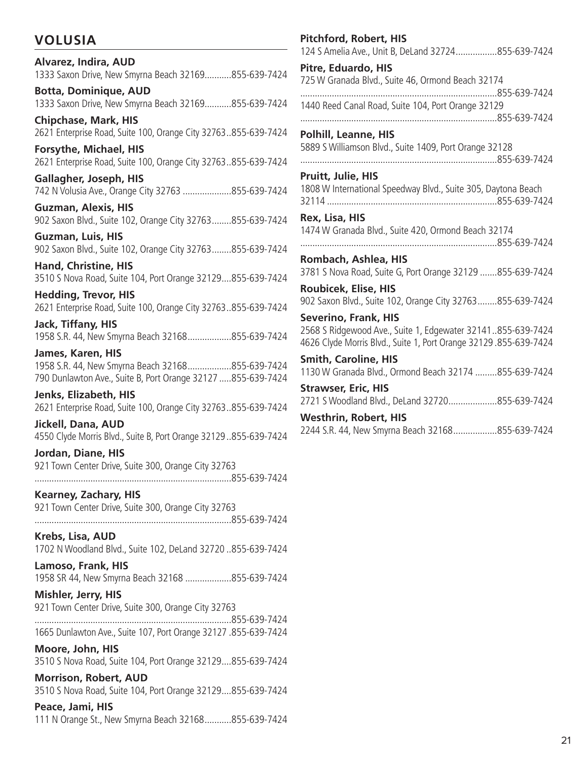# **VOLUSIA**

# **Alvarez, Indira, AUD** 1333 Saxon Drive, New Smyrna Beach 32169...........855-639-7424 **Botta, Dominique, AUD**

1333 Saxon Drive, New Smyrna Beach 32169...........855-639-7424

**Chipchase, Mark, HIS** 2621 Enterprise Road, Suite 100, Orange City 32763..855-639-7424

**Forsythe, Michael, HIS** 2621 Enterprise Road, Suite 100, Orange City 32763..855-639-7424

**Gallagher, Joseph, HIS** 742 N Volusia Ave., Orange City 32763 ....................855-639-7424

**Guzman, Alexis, HIS** 902 Saxon Blvd., Suite 102, Orange City 32763........855-639-7424

**Guzman, Luis, HIS** 902 Saxon Blvd., Suite 102, Orange City 32763........855-639-7424

**Hand, Christine, HIS** 3510 S Nova Road, Suite 104, Port Orange 32129....855-639-7424

**Hedding, Trevor, HIS** 2621 Enterprise Road, Suite 100, Orange City 32763..855-639-7424

**Jack, Tiffany, HIS** 1958 S.R. 44, New Smyrna Beach 32168..................855-639-7424

**James, Karen, HIS** 1958 S.R. 44, New Smyrna Beach 32168..................855-639-7424 790 Dunlawton Ave., Suite B, Port Orange 32127 .....855-639-7424

**Jenks, Elizabeth, HIS** 2621 Enterprise Road, Suite 100, Orange City 32763..855-639-7424

**Jickell, Dana, AUD** 4550 Clyde Morris Blvd., Suite B, Port Orange 32129..855-639-7424

**Jordan, Diane, HIS** 921 Town Center Drive, Suite 300, Orange City 32763 .................................................................................855-639-7424

**Kearney, Zachary, HIS** 921 Town Center Drive, Suite 300, Orange City 32763

.................................................................................855-639-7424

**Krebs, Lisa, AUD** 1702 N Woodland Blvd., Suite 102, DeLand 32720 ..855-639-7424

**Lamoso, Frank, HIS** 1958 SR 44, New Smyrna Beach 32168 ...................855-639-7424

**Mishler, Jerry, HIS** 921 Town Center Drive, Suite 300, Orange City 32763

.................................................................................855-639-7424 1665 Dunlawton Ave., Suite 107, Port Orange 32127 .855-639-7424

**Moore, John, HIS** 3510 S Nova Road, Suite 104, Port Orange 32129....855-639-7424

**Morrison, Robert, AUD** 3510 S Nova Road, Suite 104, Port Orange 32129....855-639-7424

# **Peace, Jami, HIS**

111 N Orange St., New Smyrna Beach 32168...........855-639-7424

| <b>Pitchford, Robert, HIS</b><br>124 S Amelia Ave., Unit B, DeLand 32724855-639-7424                                                                           |
|----------------------------------------------------------------------------------------------------------------------------------------------------------------|
| Pitre, Eduardo, HIS<br>725 W Granada Blvd., Suite 46, Ormond Beach 32174<br>855-639-7424                                                                       |
| 1440 Reed Canal Road, Suite 104, Port Orange 32129                                                                                                             |
| <b>Polhill, Leanne, HIS</b><br>5889 S Williamson Blvd., Suite 1409, Port Orange 32128                                                                          |
| <b>Pruitt, Julie, HIS</b><br>1808 W International Speedway Blvd., Suite 305, Daytona Beach                                                                     |
| Rex, Lisa, HIS<br>1474 W Granada Blvd., Suite 420, Ormond Beach 32174                                                                                          |
| Rombach, Ashlea, HIS<br>3781 S Nova Road, Suite G, Port Orange 32129 855-639-7424                                                                              |
| Roubicek, Elise, HIS<br>902 Saxon Blvd., Suite 102, Orange City 32763855-639-7424                                                                              |
| <b>Severino, Frank, HIS</b><br>2568 S Ridgewood Ave., Suite 1, Edgewater 32141855-639-7424<br>4626 Clyde Morris Blvd., Suite 1, Port Orange 32129.855-639-7424 |
| <b>Smith, Caroline, HIS</b><br>1130 W Granada Blvd., Ormond Beach 32174 855-639-7424                                                                           |
| <b>Strawser, Eric, HIS</b><br>2721 S Woodland Blvd., DeLand 32720855-639-7424                                                                                  |
| <b>Westhrin, Robert, HIS</b><br>2244 S.R. 44, New Smyrna Beach 32168855-639-7424                                                                               |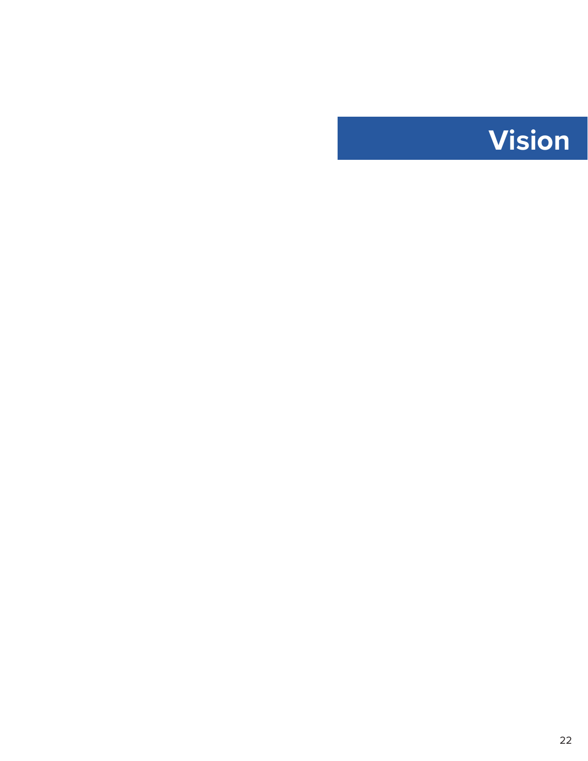<span id="page-22-0"></span>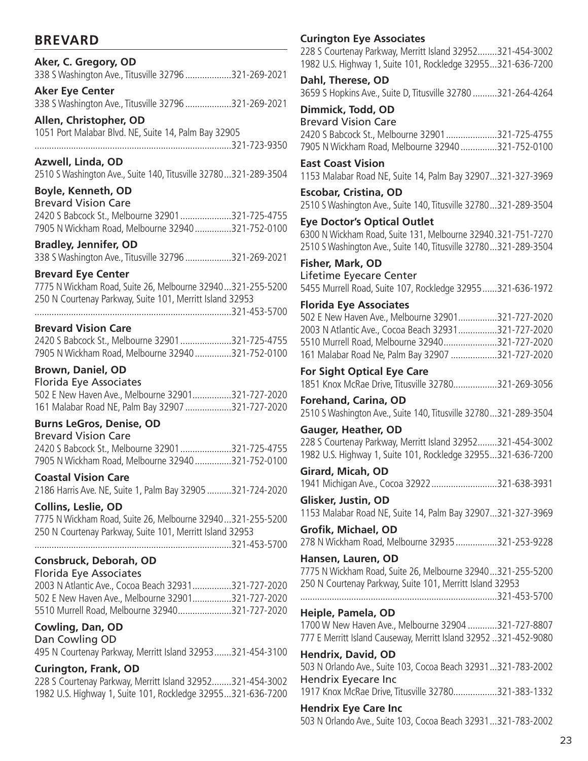# **BREVARD**

# **Aker, C. Gregory, OD**

338 S Washington Ave., Titusville 32796...................321-269-2021

**Aker Eye Center**  338 S Washington Ave., Titusville 32796...................321-269-2021

**Allen, Christopher, OD** 1051 Port Malabar Blvd. NE, Suite 14, Palm Bay 32905 .................................................................................321-723-9350

**Azwell, Linda, OD**

2510 S Washington Ave., Suite 140, Titusville 32780...321-289-3504

# **Boyle, Kenneth, OD**

| <b>Brevard Vision Care</b>                       |  |
|--------------------------------------------------|--|
| 2420 S Babcock St., Melbourne 32901321-725-4755  |  |
| 7905 N Wickham Road, Melbourne 32940321-752-0100 |  |

### **Bradley, Jennifer, OD**

338 S Washington Ave., Titusville 32796...................321-269-2021

### **Brevard Eye Center**

7775 N Wickham Road, Suite 26, Melbourne 32940...321-255-5200 250 N Courtenay Parkway, Suite 101, Merritt Island 32953 .................................................................................321-453-5700

### **Brevard Vision Care**

| 2420 S Babcock St., Melbourne 32901 321-725-4755 |  |
|--------------------------------------------------|--|
| 7905 N Wickham Road, Melbourne 32940321-752-0100 |  |

# **Brown, Daniel, OD**

Florida Eye Associates

502 E New Haven Ave., Melbourne 32901................321-727-2020 161 Malabar Road NE, Palm Bay 32907...................321-727-2020

### **Burns LeGros, Denise, OD**

| <b>Brevard Vision Care</b>                       |  |
|--------------------------------------------------|--|
| 2420 S Babcock St., Melbourne 32901321-725-4755  |  |
| 7905 N Wickham Road, Melbourne 32940321-752-0100 |  |

# **Coastal Vision Care**

2186 Harris Ave. NE, Suite 1, Palm Bay 32905 ..........321-724-2020

### **Collins, Leslie, OD**

7775 N Wickham Road, Suite 26, Melbourne 32940...321-255-5200 250 N Courtenay Parkway, Suite 101, Merritt Island 32953 .................................................................................321-453-5700

# **Consbruck, Deborah, OD**

### Florida Eye Associates

2003 N Atlantic Ave., Cocoa Beach 32931................321-727-2020 502 E New Haven Ave., Melbourne 32901................321-727-2020 5510 Murrell Road, Melbourne 32940......................321-727-2020

# **Cowling, Dan, OD**

Dan Cowling OD 495 N Courtenay Parkway, Merritt Island 32953.......321-454-3100

# **Curington, Frank, OD**

228 S Courtenay Parkway, Merritt Island 32952........321-454-3002 1982 U.S. Highway 1, Suite 101, Rockledge 32955...321-636-7200

# **Curington Eye Associates**

228 S Courtenay Parkway, Merritt Island 32952........321-454-3002 1982 U.S. Highway 1, Suite 101, Rockledge 32955...321-636-7200

**Dahl, Therese, OD** 3659 S Hopkins Ave., Suite D, Titusville 32780 ..........321-264-4264

### **Dimmick, Todd, OD** Brevard Vision Care 2420 S Babcock St., Melbourne 32901.....................321-725-4755 7905 N Wickham Road, Melbourne 32940...............321-752-0100

**East Coast Vision**  1153 Malabar Road NE, Suite 14, Palm Bay 32907...321-327-3969

**Escobar, Cristina, OD** 2510 S Washington Ave., Suite 140, Titusville 32780...321-289-3504

### **Eye Doctor's Optical Outlet**

6300 N Wickham Road, Suite 131, Melbourne 32940.321-751-7270 2510 S Washington Ave., Suite 140, Titusville 32780...321-289-3504

#### **Fisher, Mark, OD** Lifetime Eyecare Center

5455 Murrell Road, Suite 107, Rockledge 32955......321-636-1972

### **Florida Eye Associates**

| 502 E New Haven Ave., Melbourne 32901321-727-2020   |  |
|-----------------------------------------------------|--|
| 2003 N Atlantic Ave., Cocoa Beach 32931321-727-2020 |  |
| 5510 Murrell Road, Melbourne 32940321-727-2020      |  |
| 161 Malabar Road Ne, Palm Bay 32907 321-727-2020    |  |

# **For Sight Optical Eye Care**

1851 Knox McRae Drive, Titusville 32780..................321-269-3056

**Forehand, Carina, OD** 2510 S Washington Ave., Suite 140, Titusville 32780...321-289-3504

### **Gauger, Heather, OD**

228 S Courtenay Parkway, Merritt Island 32952........321-454-3002 1982 U.S. Highway 1, Suite 101, Rockledge 32955...321-636-7200

**Girard, Micah, OD** 1941 Michigan Ave., Cocoa 32922...........................321-638-3931

**Glisker, Justin, OD** 1153 Malabar Road NE, Suite 14, Palm Bay 32907...321-327-3969

#### **Grofik, Michael, OD** 278 N Wickham Road, Melbourne 32935.................321-253-9228

### **Hansen, Lauren, OD**

7775 N Wickham Road, Suite 26, Melbourne 32940...321-255-5200 250 N Courtenay Parkway, Suite 101, Merritt Island 32953 .................................................................................321-453-5700

# **Heiple, Pamela, OD**

1700 W New Haven Ave., Melbourne 32904 ............321-727-8807 777 E Merritt Island Causeway, Merritt Island 32952 ..321-452-9080

### **Hendrix, David, OD**

503 N Orlando Ave., Suite 103, Cocoa Beach 32931...321-783-2002 Hendrix Eyecare Inc 1917 Knox McRae Drive, Titusville 32780..................321-383-1332

### **Hendrix Eye Care Inc**

503 N Orlando Ave., Suite 103, Cocoa Beach 32931...321-783-2002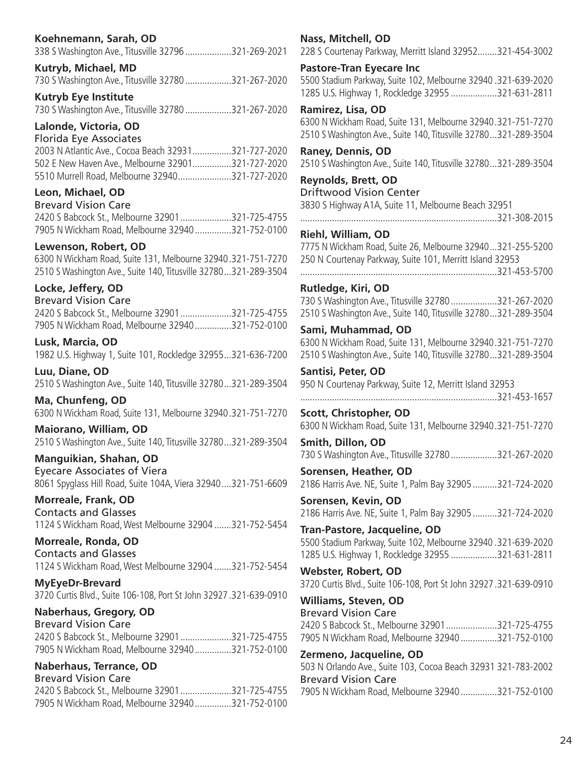# **Koehnemann, Sarah, OD**

338 S Washington Ave., Titusville 32796...................321-269-2021

#### **Kutryb, Michael, MD**

730 S Washington Ave., Titusville 32780...................321-267-2020

# **Kutryb Eye Institute**

730 S Washington Ave., Titusville 32780...................321-267-2020

# **Lalonde, Victoria, OD**

Florida Eye Associates 2003 N Atlantic Ave., Cocoa Beach 32931................321-727-2020

| 2005 N Atlahtic AVe., COCOd DedCh 32931321-727-2020 |  |
|-----------------------------------------------------|--|
| 502 E New Haven Ave., Melbourne 32901321-727-2020   |  |
| 5510 Murrell Road, Melbourne 32940321-727-2020      |  |

# **Leon, Michael, OD**

| <b>Brevard Vision Care</b>                       |  |
|--------------------------------------------------|--|
| 2420 S Babcock St., Melbourne 32901 321-725-4755 |  |
| 7905 N Wickham Road, Melbourne 32940321-752-0100 |  |

# **Lewenson, Robert, OD**

6300 N Wickham Road, Suite 131, Melbourne 32940.321-751-7270 2510 S Washington Ave., Suite 140, Titusville 32780...321-289-3504

# **Locke, Jeffery, OD**

Brevard Vision Care 2420 S Babcock St., Melbourne 32901.....................321-725-4755 7905 N Wickham Road, Melbourne 32940...............321-752-0100

**Lusk, Marcia, OD** 1982 U.S. Highway 1, Suite 101, Rockledge 32955...321-636-7200

**Luu, Diane, OD** 2510 S Washington Ave., Suite 140, Titusville 32780...321-289-3504

**Ma, Chunfeng, OD** 6300 N Wickham Road, Suite 131, Melbourne 32940.321-751-7270

**Maiorano, William, OD** 2510 S Washington Ave., Suite 140, Titusville 32780...321-289-3504

**Manguikian, Shahan, OD** Eyecare Associates of Viera 8061 Spyglass Hill Road, Suite 104A, Viera 32940....321-751-6609

**Morreale, Frank, OD** Contacts and Glasses 1124 S Wickham Road, West Melbourne 32904 .......321-752-5454

**Morreale, Ronda, OD** Contacts and Glasses 1124 S Wickham Road, West Melbourne 32904 .......321-752-5454

**MyEyeDr-Brevard**  3720 Curtis Blvd., Suite 106-108, Port St John 32927.321-639-0910

# **Naberhaus, Gregory, OD**

Brevard Vision Care 2420 S Babcock St., Melbourne 32901.....................321-725-4755 7905 N Wickham Road, Melbourne 32940...............321-752-0100

# **Naberhaus, Terrance, OD**

Brevard Vision Care 2420 S Babcock St., Melbourne 32901.....................321-725-4755 7905 N Wickham Road, Melbourne 32940...............321-752-0100

### **Nass, Mitchell, OD**

228 S Courtenay Parkway, Merritt Island 32952........321-454-3002

#### **Pastore-Tran Eyecare Inc**

5500 Stadium Parkway, Suite 102, Melbourne 32940 .321-639-2020 1285 U.S. Highway 1, Rockledge 32955 ...................321-631-2811

### **Ramirez, Lisa, OD**

6300 N Wickham Road, Suite 131, Melbourne 32940.321-751-7270 2510 S Washington Ave., Suite 140, Titusville 32780...321-289-3504

**Raney, Dennis, OD** 2510 S Washington Ave., Suite 140, Titusville 32780...321-289-3504

# **Reynolds, Brett, OD**

Driftwood Vision Center 3830 S Highway A1A, Suite 11, Melbourne Beach 32951 .................................................................................321-308-2015

# **Riehl, William, OD**

7775 N Wickham Road, Suite 26, Melbourne 32940...321-255-5200 250 N Courtenay Parkway, Suite 101, Merritt Island 32953

.................................................................................321-453-5700

### **Rutledge, Kiri, OD**

730 S Washington Ave., Titusville 32780...................321-267-2020 2510 S Washington Ave., Suite 140, Titusville 32780...321-289-3504

### **Sami, Muhammad, OD**

6300 N Wickham Road, Suite 131, Melbourne 32940.321-751-7270 2510 S Washington Ave., Suite 140, Titusville 32780...321-289-3504

### **Santisi, Peter, OD**

950 N Courtenay Parkway, Suite 12, Merritt Island 32953 .................................................................................321-453-1657

**Scott, Christopher, OD** 6300 N Wickham Road, Suite 131, Melbourne 32940.321-751-7270

**Smith, Dillon, OD** 730 S Washington Ave., Titusville 32780...................321-267-2020

**Sorensen, Heather, OD** 2186 Harris Ave. NE, Suite 1, Palm Bay 32905 ..........321-724-2020

**Sorensen, Kevin, OD** 2186 Harris Ave. NE, Suite 1, Palm Bay 32905 ..........321-724-2020

**Tran-Pastore, Jacqueline, OD** 5500 Stadium Parkway, Suite 102, Melbourne 32940 .321-639-2020 1285 U.S. Highway 1, Rockledge 32955 ...................321-631-2811

**Webster, Robert, OD** 3720 Curtis Blvd., Suite 106-108, Port St John 32927.321-639-0910

**Williams, Steven, OD** Brevard Vision Care 2420 S Babcock St., Melbourne 32901.....................321-725-4755 7905 N Wickham Road, Melbourne 32940...............321-752-0100

# **Zermeno, Jacqueline, OD**

503 N Orlando Ave., Suite 103, Cocoa Beach 32931 321-783-2002 Brevard Vision Care 7905 N Wickham Road, Melbourne 32940...............321-752-0100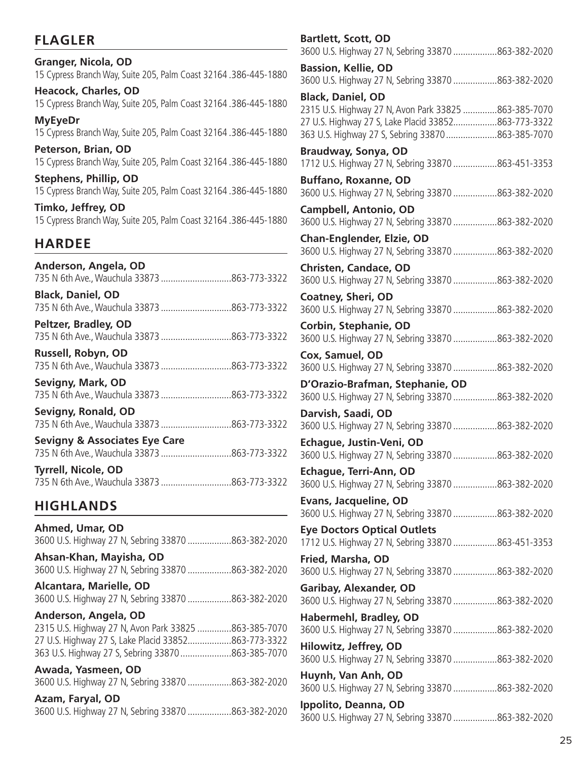# **FLAGLER**

# **Granger, Nicola, OD** 15 Cypress Branch Way, Suite 205, Palm Coast 32164 .386-445-1880 **Heacock, Charles, OD** 15 Cypress Branch Way, Suite 205, Palm Coast 32164 .386-445-1880 **MyEyeDr** 15 Cypress Branch Way, Suite 205, Palm Coast 32164 .386-445-1880

**Peterson, Brian, OD** 15 Cypress Branch Way, Suite 205, Palm Coast 32164 .386-445-1880

**Stephens, Phillip, OD** 15 Cypress Branch Way, Suite 205, Palm Coast 32164 .386-445-1880

**Timko, Jeffrey, OD** 15 Cypress Branch Way, Suite 205, Palm Coast 32164 .386-445-1880

# **HARDEE**

| Anderson, Angela, OD<br>735 N 6th Ave., Wauchula 33873 863-773-3322                     |
|-----------------------------------------------------------------------------------------|
| <b>Black, Daniel, OD</b><br>735 N 6th Ave., Wauchula 33873 863-773-3322                 |
| Peltzer, Bradley, OD<br>735 N 6th Ave., Wauchula 33873 863-773-3322                     |
| Russell, Robyn, OD<br>735 N 6th Ave., Wauchula 33873 863-773-3322                       |
| Sevigny, Mark, OD<br>735 N 6th Ave., Wauchula 33873 863-773-3322                        |
| Sevigny, Ronald, OD                                                                     |
| <b>Sevigny &amp; Associates Eye Care</b><br>735 N 6th Ave., Wauchula 33873 863-773-3322 |
| <b>Tyrrell, Nicole, OD</b>                                                              |
| <b>HIGHLANDS</b>                                                                        |
| Ahmed, Umar, OD                                                                         |

| 3600 U.S. Highway 27 N, Sebring 33870 863-382-2020   |
|------------------------------------------------------|
| Ahsan-Khan, Mayisha, OD                              |
| 3600 U.S. Highway 27 N, Sebring 33870 863-382-2020   |
| <b>Alcantara, Marielle, OD</b>                       |
| 3600 U.S. Highway 27 N, Sebring 33870 863-382-2020   |
| Anderson, Angela, OD                                 |
| 2315 U.S. Highway 27 N, Avon Park 33825 863-385-7070 |
| 27 U.S. Highway 27 S, Lake Placid 33852863-773-3322  |
| 363 U.S. Highway 27 S, Sebring 33870 863-385-7070    |
| Awada, Yasmeen, OD                                   |
| 3600 U.S. Highway 27 N, Sebring 33870 863-382-2020   |
| Azam Farval OD                                       |

| Azam, Faryal, OD |                                                    |
|------------------|----------------------------------------------------|
|                  | 3600 U.S. Highway 27 N, Sebring 33870 863-382-2020 |

| <b>Bartlett, Scott, OD</b><br>3600 U.S. Highway 27 N, Sebring 33870 863-382-2020                            |
|-------------------------------------------------------------------------------------------------------------|
| <b>Bassion, Kellie, OD</b><br>3600 U.S. Highway 27 N, Sebring 33870 863-382-2020                            |
| <b>Black, Daniel, OD</b>                                                                                    |
| 2315 U.S. Highway 27 N, Avon Park 33825 863-385-7070<br>27 U.S. Highway 27 S, Lake Placid 33852863-773-3322 |
| 363 U.S. Highway 27 S, Sebring 33870 863-385-7070                                                           |
| Braudway, Sonya, OD<br>1712 U.S. Highway 27 N, Sebring 33870 863-451-3353                                   |
| <b>Buffano, Roxanne, OD</b><br>3600 U.S. Highway 27 N, Sebring 33870 863-382-2020                           |
| <b>Campbell, Antonio, OD</b><br>3600 U.S. Highway 27 N, Sebring 33870 863-382-2020                          |
| <b>Chan-Englender, Elzie, OD</b><br>3600 U.S. Highway 27 N, Sebring 33870 863-382-2020                      |
| <b>Christen, Candace, OD</b>                                                                                |
| 3600 U.S. Highway 27 N, Sebring 33870 863-382-2020                                                          |
| <b>Coatney, Sheri, OD</b><br>3600 U.S. Highway 27 N, Sebring 33870 863-382-2020                             |
| Corbin, Stephanie, OD<br>3600 U.S. Highway 27 N, Sebring 33870 863-382-2020                                 |
| Cox, Samuel, OD<br>3600 U.S. Highway 27 N, Sebring 33870 863-382-2020                                       |
| D'Orazio-Brafman, Stephanie, OD<br>3600 U.S. Highway 27 N, Sebring 33870 863-382-2020                       |
| Darvish, Saadi, OD<br>3600 U.S. Highway 27 N, Sebring 33870 863-382-2020                                    |
| Echague, Justin-Veni, OD                                                                                    |
| 3600 U.S. Highway 27 N, Sebring 33870 863-382-2020                                                          |
| Echague, Terri-Ann, OD<br>3600 U.S. Highway 27 N, Sebring 33870 863-382-2020                                |
| Evans, Jacqueline, OD                                                                                       |
| 3600 U.S. Highway 27 N, Sebring 33870 863-382-2020                                                          |
| <b>Eye Doctors Optical Outlets</b>                                                                          |
| 1712 U.S. Highway 27 N, Sebring 33870 863-451-3353                                                          |
| Fried, Marsha, OD                                                                                           |
| 3600 U.S. Highway 27 N, Sebring 33870 863-382-2020                                                          |
| <b>Garibay, Alexander, OD</b><br>3600 U.S. Highway 27 N, Sebring 33870 863-382-2020                         |
| Habermehl, Bradley, OD<br>3600 U.S. Highway 27 N, Sebring 33870 863-382-2020                                |
| Hilowitz, Jeffrey, OD                                                                                       |
| 3600 U.S. Highway 27 N, Sebring 33870 863-382-2020                                                          |
| Huynh, Van Anh, OD                                                                                          |
| 3600 U.S. Highway 27 N, Sebring 33870 863-382-2020                                                          |
| Ippolito, Deanna, OD<br>3600 U.S. Highway 27 N, Sebring 33870 863-382-2020                                  |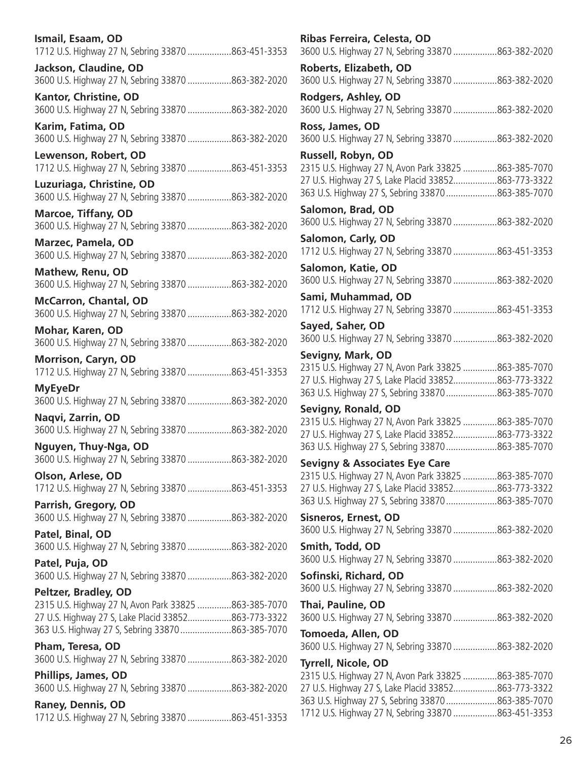| Ismail, Esaam, OD                                                                  |                                                                                                                                                                                                                                                                                               |
|------------------------------------------------------------------------------------|-----------------------------------------------------------------------------------------------------------------------------------------------------------------------------------------------------------------------------------------------------------------------------------------------|
| 1712 U.S. Highway 27 N, Sebring 33870 863-451-3353                                 |                                                                                                                                                                                                                                                                                               |
| Jackson, Claudine, OD                                                              |                                                                                                                                                                                                                                                                                               |
| 3600 U.S. Highway 27 N, Sebring 33870 863-382-2020                                 |                                                                                                                                                                                                                                                                                               |
| Kantor, Christine, OD<br>3600 U.S. Highway 27 N, Sebring 33870 863-382-2020        |                                                                                                                                                                                                                                                                                               |
| Karim, Fatima, OD<br>3600 U.S. Highway 27 N, Sebring 33870 863-382-2020            |                                                                                                                                                                                                                                                                                               |
| Lewenson, Robert, OD                                                               |                                                                                                                                                                                                                                                                                               |
| 1712 U.S. Highway 27 N, Sebring 33870 863-451-3353                                 |                                                                                                                                                                                                                                                                                               |
| Luzuriaga, Christine, OD<br>3600 U.S. Highway 27 N, Sebring 33870 863-382-2020     |                                                                                                                                                                                                                                                                                               |
| <b>Marcoe, Tiffany, OD</b>                                                         |                                                                                                                                                                                                                                                                                               |
| 3600 U.S. Highway 27 N, Sebring 33870 863-382-2020                                 |                                                                                                                                                                                                                                                                                               |
| Marzec, Pamela, OD                                                                 |                                                                                                                                                                                                                                                                                               |
| 3600 U.S. Highway 27 N, Sebring 33870 863-382-2020                                 |                                                                                                                                                                                                                                                                                               |
| <b>Mathew, Renu, OD</b>                                                            |                                                                                                                                                                                                                                                                                               |
| 3600 U.S. Highway 27 N, Sebring 33870 863-382-2020                                 |                                                                                                                                                                                                                                                                                               |
| <b>McCarron, Chantal, OD</b><br>3600 U.S. Highway 27 N, Sebring 33870 863-382-2020 |                                                                                                                                                                                                                                                                                               |
| Mohar, Karen, OD                                                                   |                                                                                                                                                                                                                                                                                               |
| 3600 U.S. Highway 27 N, Sebring 33870 863-382-2020                                 |                                                                                                                                                                                                                                                                                               |
| <b>Morrison, Caryn, OD</b>                                                         |                                                                                                                                                                                                                                                                                               |
| 1712 U.S. Highway 27 N, Sebring 33870 863-451-3353                                 |                                                                                                                                                                                                                                                                                               |
| <b>MyEyeDr</b><br>3600 U.S. Highway 27 N, Sebring 33870 863-382-2020               |                                                                                                                                                                                                                                                                                               |
| Naqvi, Zarrin, OD                                                                  |                                                                                                                                                                                                                                                                                               |
| 3600 U.S. Highway 27 N, Sebring 33870 863-382-2020                                 |                                                                                                                                                                                                                                                                                               |
| Nguyen, Thuy-Nga, OD                                                               |                                                                                                                                                                                                                                                                                               |
| 3600 U.S. Highway 27 N, Sebring 33870 863-382-2020                                 |                                                                                                                                                                                                                                                                                               |
| Olson, Arlese, OD<br>1712 U.S. Highway 27 N, Sebring 33870 863-451-3353            |                                                                                                                                                                                                                                                                                               |
| Parrish, Gregory, OD                                                               |                                                                                                                                                                                                                                                                                               |
| 3600 U.S. Highway 27 N, Sebring 33870 863-382-2020                                 |                                                                                                                                                                                                                                                                                               |
| Patel, Binal, OD                                                                   |                                                                                                                                                                                                                                                                                               |
| 3600 U.S. Highway 27 N, Sebring 33870 863-382-2020                                 | $\ddot{\phantom{a}}$                                                                                                                                                                                                                                                                          |
| Patel, Puja, OD<br>3600 U.S. Highway 27 N, Sebring 33870 863-382-2020              |                                                                                                                                                                                                                                                                                               |
| Peltzer, Bradley, OD                                                               | $\ddot{\phantom{a}}$                                                                                                                                                                                                                                                                          |
| 2315 U.S. Highway 27 N, Avon Park 33825 863-385-7070                               | Ī                                                                                                                                                                                                                                                                                             |
| 27 U.S. Highway 27 S, Lake Placid 33852863-773-3322                                |                                                                                                                                                                                                                                                                                               |
| 363 U.S. Highway 27 S, Sebring 33870 863-385-7070                                  |                                                                                                                                                                                                                                                                                               |
| Pham, Teresa, OD                                                                   |                                                                                                                                                                                                                                                                                               |
| 3600 U.S. Highway 27 N, Sebring 33870 863-382-2020                                 |                                                                                                                                                                                                                                                                                               |
| Phillips, James, OD<br>3600 U.S. Highway 27 N, Sebring 33870 863-382-2020          |                                                                                                                                                                                                                                                                                               |
| Raney, Dennis, OD                                                                  | $\frac{1}{2}$ and $\frac{1}{2}$ and $\frac{1}{2}$ and $\frac{1}{2}$ and $\frac{1}{2}$ and $\frac{1}{2}$ and $\frac{1}{2}$ and $\frac{1}{2}$ and $\frac{1}{2}$ and $\frac{1}{2}$ and $\frac{1}{2}$ and $\frac{1}{2}$ and $\frac{1}{2}$ and $\frac{1}{2}$ and $\frac{1}{2}$ and $\frac{1}{2}$ a |
| 1712 U.S. Highway 27 N, Sebring 33870 863-451-3353                                 |                                                                                                                                                                                                                                                                                               |

| Ribas Ferreira, Celesta, OD                                                  |  |
|------------------------------------------------------------------------------|--|
| 3600 U.S. Highway 27 N, Sebring 33870 863-382-2020                           |  |
| Roberts, Elizabeth, OD<br>3600 U.S. Highway 27 N, Sebring 33870 863-382-2020 |  |
| Rodgers, Ashley, OD<br>3600 U.S. Highway 27 N, Sebring 33870 863-382-2020    |  |
| Ross, James, OD                                                              |  |
| 3600 U.S. Highway 27 N, Sebring 33870 863-382-2020                           |  |
| Russell, Robyn, OD                                                           |  |
| 2315 U.S. Highway 27 N, Avon Park 33825 863-385-7070                         |  |
| 27 U.S. Highway 27 S, Lake Placid 33852863-773-3322                          |  |
| 363 U.S. Highway 27 S, Sebring 33870 863-385-7070                            |  |
| Salomon, Brad, OD<br>3600 U.S. Highway 27 N, Sebring 33870 863-382-2020      |  |
| Salomon, Carly, OD                                                           |  |
| 1712 U.S. Highway 27 N, Sebring 33870 863-451-3353                           |  |
| Salomon, Katie, OD                                                           |  |
| 3600 U.S. Highway 27 N, Sebring 33870 863-382-2020                           |  |
| Sami, Muhammad, OD                                                           |  |
| 1712 U.S. Highway 27 N, Sebring 33870 863-451-3353                           |  |
| Sayed, Saher, OD                                                             |  |
| 3600 U.S. Highway 27 N, Sebring 33870 863-382-2020                           |  |
| <b>Sevigny, Mark, OD</b>                                                     |  |
| 2315 U.S. Highway 27 N, Avon Park 33825 863-385-7070                         |  |
| 27 U.S. Highway 27 S, Lake Placid 33852863-773-3322                          |  |
| 363 U.S. Highway 27 S, Sebring 33870 863-385-7070                            |  |
| Sevigny, Ronald, OD                                                          |  |
| 2315 U.S. Highway 27 N, Avon Park 33825 863-385-7070                         |  |
| 27 U.S. Highway 27 S, Lake Placid 33852863-773-3322                          |  |
| 363 U.S. Highway 27 S, Sebring 33870 863-385-7070                            |  |
| <b>Sevigny &amp; Associates Eye Care</b>                                     |  |
| 2315 U.S. Highway 27 N, Avon Park 33825 863-385-7070                         |  |
| 27 U.S. Highway 27 S, Lake Placid 33852863-773-3322                          |  |
| 363 U.S. Highway 27 S, Sebring 33870 863-385-7070                            |  |
| <b>Sisneros, Ernest, OD</b>                                                  |  |
| 3600 U.S. Highway 27 N, Sebring 33870 863-382-2020                           |  |
| Smith, Todd, OD                                                              |  |
| 3600 U.S. Highway 27 N, Sebring 33870 863-382-2020                           |  |
| Sofinski, Richard, OD                                                        |  |
| 3600 U.S. Highway 27 N, Sebring 33870 863-382-2020                           |  |
| Thai, Pauline, OD                                                            |  |
| 3600 U.S. Highway 27 N, Sebring 33870 863-382-2020                           |  |
| Tomoeda, Allen, OD                                                           |  |
| 3600 U.S. Highway 27 N, Sebring 33870 863-382-2020                           |  |
| Tyrrell, Nicole, OD                                                          |  |
| 2315 U.S. Highway 27 N, Avon Park 33825 863-385-7070                         |  |
| 27 U.S. Highway 27 S, Lake Placid 33852863-773-3322                          |  |
| 363 U.S. Highway 27 S, Sebring 33870 863-385-7070                            |  |
| 1712 U.S. Highway 27 N, Sebring 33870 863-451-3353                           |  |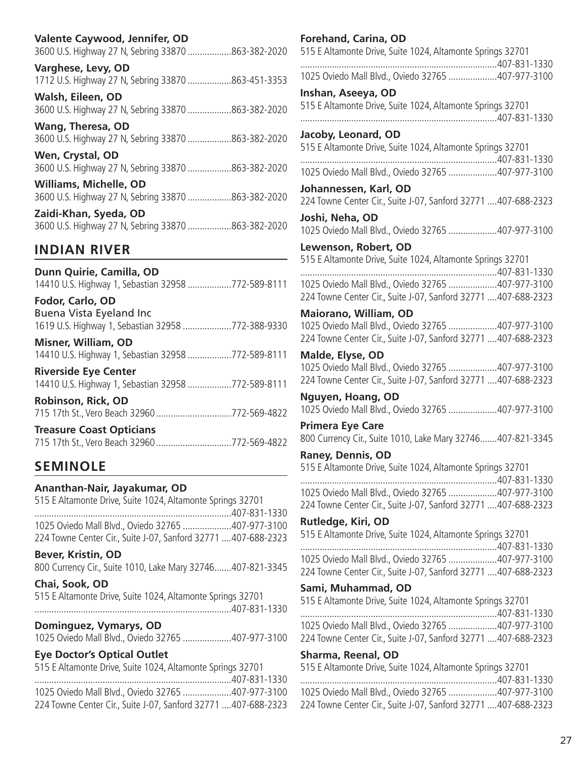| Valente Caywood, Jennifer, OD                                                  | Fo                     |
|--------------------------------------------------------------------------------|------------------------|
| 3600 U.S. Highway 27 N, Sebring 33870 863-382-2020                             | 515                    |
| Varghese, Levy, OD                                                             | .                      |
| 1712 U.S. Highway 27 N, Sebring 33870 863-451-3353                             | 102                    |
| Walsh, Eileen, OD                                                              | Ins                    |
| 3600 U.S. Highway 27 N, Sebring 33870 863-382-2020                             | 515                    |
| <b>Wang, Theresa, OD</b><br>3600 U.S. Highway 27 N, Sebring 33870 863-382-2020 | .<br>Jac<br>515        |
| Wen, Crystal, OD                                                               | .                      |
| 3600 U.S. Highway 27 N, Sebring 33870 863-382-2020                             | 10 <sub>2</sub>        |
| Williams, Michelle, OD                                                         | Jol                    |
| 3600 U.S. Highway 27 N, Sebring 33870 863-382-2020                             | 224                    |
| Zaidi-Khan, Syeda, OD                                                          | Jos                    |
| 3600 U.S. Highway 27 N, Sebring 33870 863-382-2020                             | 10 <sub>2</sub>        |
| <b>INDIAN RIVER</b>                                                            | Le <sup>®</sup><br>515 |

**Dunn Quirie, Camilla, OD** 14410 U.S. Highway 1, Sebastian 32958 ..................772-589-8111

**Fodor, Carlo, OD** Buena Vista Eyeland Inc 1619 U.S. Highway 1, Sebastian 32958 ....................772-388-9330

**Misner, William, OD** 14410 U.S. Highway 1, Sebastian 32958 ..................772-589-8111

**Riverside Eye Center** 14410 U.S. Highway 1, Sebastian 32958 ..................772-589-8111

**Robinson, Rick, OD** 715 17th St., Vero Beach 32960...............................772-569-4822

| <b>Treasure Coast Opticians</b>            |  |
|--------------------------------------------|--|
| 715 17th St., Vero Beach 32960772-569-4822 |  |

# **SEMINOLE**

### **Ananthan-Nair, Jayakumar, OD**

| 515 E Altamonte Drive, Suite 1024, Altamonte Springs 32701     |  |
|----------------------------------------------------------------|--|
|                                                                |  |
| 1025 Oviedo Mall Blvd., Oviedo 32765 407-977-3100              |  |
| 224 Towne Center Cir., Suite J-07, Sanford 32771  407-688-2323 |  |

### **Bever, Kristin, OD**

800 Currency Cir., Suite 1010, Lake Mary 32746.......407-821-3345

### **Chai, Sook, OD**

| 515 E Altamonte Drive, Suite 1024, Altamonte Springs 32701 |  |
|------------------------------------------------------------|--|
|                                                            |  |

### **Dominguez, Vymarys, OD**

1025 Oviedo Mall Blvd., Oviedo 32765 ....................407-977-3100

# **Eye Doctor's Optical Outlet**

| _______________________                                        |  |
|----------------------------------------------------------------|--|
| 515 E Altamonte Drive, Suite 1024, Altamonte Springs 32701     |  |
|                                                                |  |
| 1025 Oviedo Mall Blvd., Oviedo 32765 407-977-3100              |  |
| 224 Towne Center Cir., Suite J-07, Sanford 32771  407-688-2323 |  |

**Forehand, Carina, OD** 5 E Altamonte Drive, Suite 1024, Altamonte Springs 32701 .................................................................................407-831-1330 1025 Oviedo Mall Blvd., Oviedo 32765 ....................407-977-3100 **Inshan, Aseeya, OD** 5 E Altamonte Drive, Suite 1024, Altamonte Springs 32701 .................................................................................407-831-1330 **Jacoby, Leonard, OD** 5 E Altamonte Drive, Suite 1024, Altamonte Springs 32701 .................................................................................407-831-1330 1025 Oviedo Mall Blvd., Oviedo 32765 ....................407-977-3100 **Johannessen, Karl, OD** 224 Towne Center Cir., Suite J-07, Sanford 32771 ....407-688-2323 **Joshi, Neha, OD** 1025 Oviedo Mall Blvd., Oviedo 32765 ....................407-977-3100 **Lewenson, Robert, OD** 5 E Altamonte Drive, Suite 1024, Altamonte Springs 32701 .................................................................................407-831-1330 1025 Oviedo Mall Blvd., Oviedo 32765 ....................407-977-3100 224 Towne Center Cir., Suite J-07, Sanford 32771 ....407-688-2323 **Maiorano, William, OD** 1025 Oviedo Mall Blvd., Oviedo 32765 ....................407-977-3100 224 Towne Center Cir., Suite J-07, Sanford 32771 ....407-688-2323 **Malde, Elyse, OD** 1025 Oviedo Mall Blvd., Oviedo 32765 ....................407-977-3100 224 Towne Center Cir., Suite J-07, Sanford 32771 ....407-688-2323 **Nguyen, Hoang, OD** 1025 Oviedo Mall Blvd., Oviedo 32765 ....................407-977-3100 **Primera Eye Care**  800 Currency Cir., Suite 1010, Lake Mary 32746.......407-821-3345 **Raney, Dennis, OD** 515 E Altamonte Drive, Suite 1024, Altamonte Springs 32701

| 1025 Oviedo Mall Blvd., Oviedo 32765 407-977-3100              |  |
|----------------------------------------------------------------|--|
| 224 Towne Center Cir., Suite J-07, Sanford 32771  407-688-2323 |  |

### **Rutledge, Kiri, OD**

| 515 E Altamonte Drive, Suite 1024, Altamonte Springs 32701     |  |
|----------------------------------------------------------------|--|
|                                                                |  |
| 1025 Oviedo Mall Blvd., Oviedo 32765 407-977-3100              |  |
| 224 Towne Center Cir., Suite J-07, Sanford 32771  407-688-2323 |  |

### **Sami, Muhammad, OD**

| 515 E Altamonte Drive, Suite 1024, Altamonte Springs 32701     |  |
|----------------------------------------------------------------|--|
|                                                                |  |
| 1025 Oviedo Mall Blvd., Oviedo 32765 407-977-3100              |  |
| 224 Towne Center Cir., Suite J-07, Sanford 32771  407-688-2323 |  |

### **Sharma, Reenal, OD**

| 515 E Altamonte Drive, Suite 1024, Altamonte Springs 32701     |  |
|----------------------------------------------------------------|--|
|                                                                |  |
| 1025 Oviedo Mall Blvd., Oviedo 32765 407-977-3100              |  |
| 224 Towne Center Cir., Suite J-07, Sanford 32771  407-688-2323 |  |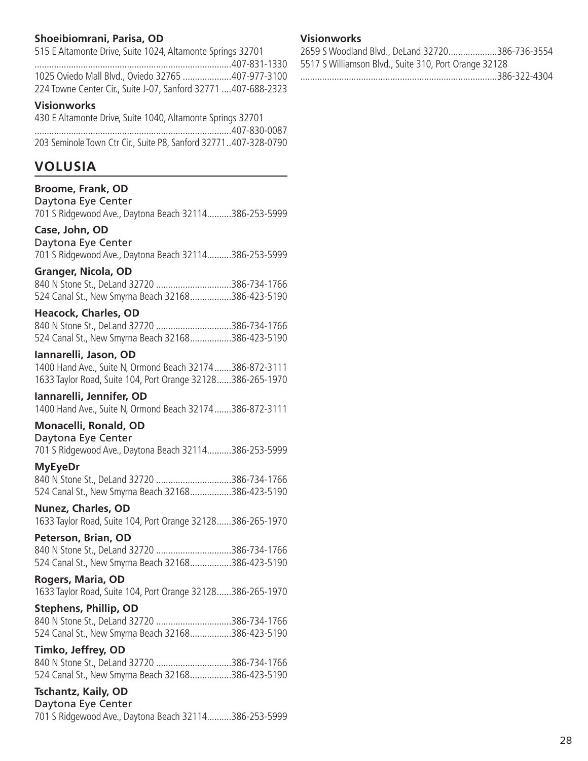# **Shoeibiomrani, Parisa, OD**

| 515 E Altamonte Drive, Suite 1024, Altamonte Springs 32701     |  |
|----------------------------------------------------------------|--|
|                                                                |  |
| 1025 Oviedo Mall Blvd., Oviedo 32765 407-977-3100              |  |
| 224 Towne Center Cir., Suite J-07, Sanford 32771  407-688-2323 |  |

### **Visionworks**

| 430 E Altamonte Drive, Suite 1040, Altamonte Springs 32701      |
|-----------------------------------------------------------------|
|                                                                 |
| 203 Seminole Town Ctr Cir., Suite P8, Sanford 32771407-328-0790 |

# **VOLUSIA**

# **Broome, Frank, OD**

Daytona Eye Center 701 S Ridgewood Ave., Daytona Beach 32114..........386-253-5999

### **Case, John, OD**

### Daytona Eye Center

701 S Ridgewood Ave., Daytona Beach 32114..........386-253-5999

### **Granger, Nicola, OD**

| 840 N Stone St., DeLand 32720 386-734-1766        |  |
|---------------------------------------------------|--|
| 524 Canal St., New Smyrna Beach 32168386-423-5190 |  |

### **Heacock, Charles, OD**

| 840 N Stone St., DeLand 32720 386-734-1766        |  |
|---------------------------------------------------|--|
| 524 Canal St., New Smyrna Beach 32168386-423-5190 |  |

### **Iannarelli, Jason, OD**

1400 Hand Ave., Suite N, Ormond Beach 32174.......386-872-3111 1633 Taylor Road, Suite 104, Port Orange 32128......386-265-1970

### **Iannarelli, Jennifer, OD**

1400 Hand Ave., Suite N, Ormond Beach 32174.......386-872-3111

### **Monacelli, Ronald, OD**

Daytona Eye Center 701 S Ridgewood Ave., Daytona Beach 32114..........386-253-5999

### **MyEyeDr**

840 N Stone St., DeLand 32720 ...............................386-734-1766 524 Canal St., New Smyrna Beach 32168.................386-423-5190

### **Nunez, Charles, OD**

1633 Taylor Road, Suite 104, Port Orange 32128......386-265-1970

### **Peterson, Brian, OD**

840 N Stone St., DeLand 32720 ...............................386-734-1766 524 Canal St., New Smyrna Beach 32168.................386-423-5190

### **Rogers, Maria, OD**

1633 Taylor Road, Suite 104, Port Orange 32128......386-265-1970

# **Stephens, Phillip, OD**

840 N Stone St., DeLand 32720 ...............................386-734-1766 524 Canal St., New Smyrna Beach 32168.................386-423-5190

# **Timko, Jeffrey, OD**

| 840 N Stone St., DeLand 32720 386-734-1766        |  |
|---------------------------------------------------|--|
| 524 Canal St., New Smyrna Beach 32168386-423-5190 |  |

# **Tschantz, Kaily, OD**

Daytona Eye Center 701 S Ridgewood Ave., Daytona Beach 32114..........386-253-5999

# **Visionworks**

|                                                       | 2659 S Woodland Blvd., DeLand 32720386-736-3554 |
|-------------------------------------------------------|-------------------------------------------------|
| 5517 S Williamson Blvd., Suite 310, Port Orange 32128 |                                                 |
|                                                       |                                                 |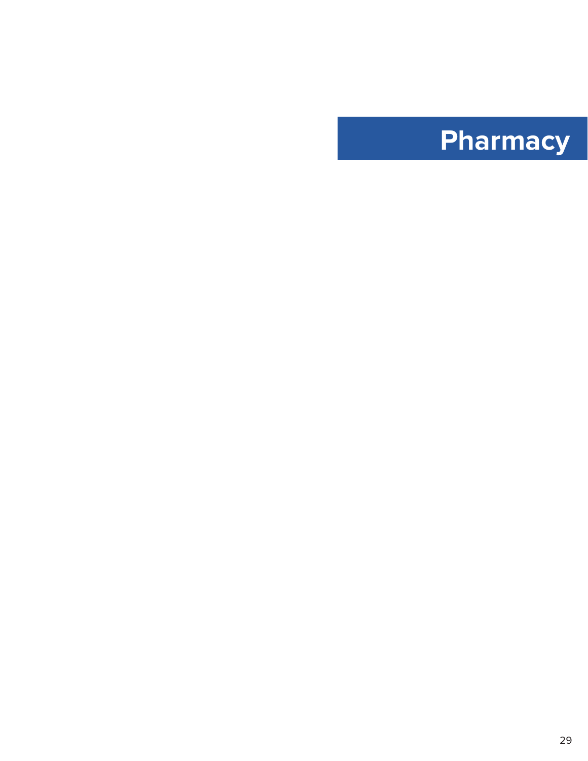<span id="page-29-0"></span>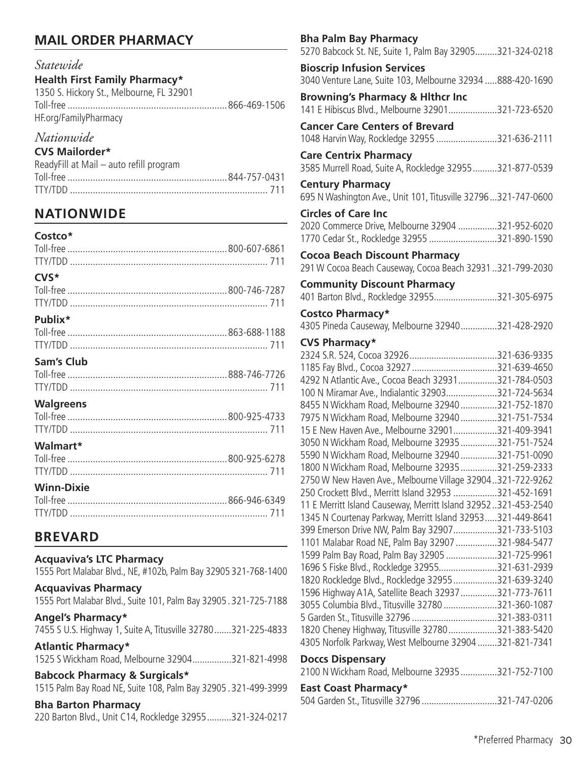# **MAIL ORDER PHARMACY**

# *Statewide*

# **Health First Family Pharmacy\***

1350 S. Hickory St., Melbourne, FL 32901 Toll-free ...............................................................866-469-1506 HF.org/FamilyPharmacy

# *Nationwide*

# **CVS Mailorder\***

| ReadyFill at Mail – auto refill program |  |
|-----------------------------------------|--|
|                                         |  |
|                                         |  |

# **NATIONWIDE**

| Costco*           |  |
|-------------------|--|
|                   |  |
| CVS*              |  |
|                   |  |
|                   |  |
| Publix*           |  |
|                   |  |
|                   |  |
| Sam's Club        |  |
|                   |  |
|                   |  |
| <b>Walgreens</b>  |  |
|                   |  |
|                   |  |
| Walmart*          |  |
|                   |  |
|                   |  |
|                   |  |
| <b>Winn-Dixie</b> |  |
|                   |  |
|                   |  |
|                   |  |

# **BREVARD**

### **Acquaviva's LTC Pharmacy**

| 1555 Port Malabar Blvd., NE, #102b, Palm Bay 32905 321-768-1400                                           |
|-----------------------------------------------------------------------------------------------------------|
| <b>Acquavivas Pharmacy</b><br>1555 Port Malabar Blvd., Suite 101, Palm Bay 32905.321-725-7188             |
| <b>Angel's Pharmacy*</b><br>7455 S U.S. Highway 1, Suite A, Titusville 32780321-225-4833                  |
| <b>Atlantic Pharmacy*</b><br>1525 S Wickham Road, Melbourne 32904321-821-4998                             |
| <b>Babcock Pharmacy &amp; Surgicals*</b><br>1515 Palm Bay Road NE, Suite 108, Palm Bay 32905.321-499-3999 |

# **Bha Barton Pharmacy**

220 Barton Blvd., Unit C14, Rockledge 32955..........321-324-0217

| <b>Bha Palm Bay Pharmacy</b>                                                                          |  |
|-------------------------------------------------------------------------------------------------------|--|
| 5270 Babcock St. NE, Suite 1, Palm Bay 32905321-324-0218                                              |  |
| <b>Bioscrip Infusion Services</b><br>3040 Venture Lane, Suite 103, Melbourne 32934 888-420-1690       |  |
| <b>Browning's Pharmacy &amp; Hithcr Inc</b>                                                           |  |
| 141 E Hibiscus Blvd., Melbourne 32901321-723-6520                                                     |  |
| <b>Cancer Care Centers of Brevard</b>                                                                 |  |
| 1048 Harvin Way, Rockledge 32955 321-636-2111                                                         |  |
| <b>Care Centrix Pharmacy</b><br>3585 Murrell Road, Suite A, Rockledge 32955321-877-0539               |  |
| <b>Century Pharmacy</b><br>695 N Washington Ave., Unit 101, Titusville 32796321-747-0600              |  |
| <b>Circles of Care Inc</b>                                                                            |  |
| 2020 Commerce Drive, Melbourne 32904 321-952-6020                                                     |  |
| 1770 Cedar St., Rockledge 32955 321-890-1590                                                          |  |
| <b>Cocoa Beach Discount Pharmacy</b><br>291 W Cocoa Beach Causeway, Cocoa Beach 32931321-799-2030     |  |
| <b>Community Discount Pharmacy</b>                                                                    |  |
| 401 Barton Blvd., Rockledge 32955321-305-6975                                                         |  |
| Costco Pharmacy*<br>4305 Pineda Causeway, Melbourne 32940321-428-2920                                 |  |
| <b>CVS Pharmacy*</b>                                                                                  |  |
|                                                                                                       |  |
|                                                                                                       |  |
| 4292 N Atlantic Ave., Cocoa Beach 32931321-784-0503                                                   |  |
| 100 N Miramar Ave., Indialantic 32903321-724-5634                                                     |  |
| 8455 N Wickham Road, Melbourne 32940 321-752-1870                                                     |  |
| 7975 N Wickham Road, Melbourne 32940 321-751-7534<br>15 E New Haven Ave., Melbourne 32901321-409-3941 |  |
| 3050 N Wickham Road, Melbourne 32935 321-751-7524                                                     |  |
| 5590 N Wickham Road, Melbourne 32940 321-751-0090                                                     |  |
| 1800 N Wickham Road, Melbourne 32935 321-259-2333                                                     |  |
| 2750 W New Haven Ave., Melbourne Village 32904321-722-9262                                            |  |
| 250 Crockett Blvd., Merritt Island 32953 321-452-1691                                                 |  |
| 11 E Merritt Island Causeway, Merritt Island 32952321-453-2540                                        |  |
| 1345 N Courtenay Parkway, Merritt Island 32953321-449-8641                                            |  |
| 399 Emerson Drive NW, Palm Bay 32907321-733-5103                                                      |  |
| 1101 Malabar Road NE, Palm Bay 32907 321-984-5477                                                     |  |
| 1599 Palm Bay Road, Palm Bay 32905 321-725-9961                                                       |  |
| 1696 S Fiske Blvd., Rockledge 32955321-631-2939                                                       |  |
| 1820 Rockledge Blvd., Rockledge 32955321-639-3240                                                     |  |
| 1596 Highway A1A, Satellite Beach 32937 321-773-7611                                                  |  |
| 3055 Columbia Blvd., Titusville 32780 321-360-1087<br>5 Garden St., Titusville 32796 321-383-0311     |  |
| 1820 Cheney Highway, Titusville 32780321-383-5420                                                     |  |
| 4305 Norfolk Parkway, West Melbourne 32904 321-821-7341                                               |  |
| <b>Doccs Dispensary</b>                                                                               |  |
| 2100 N Wickham Road, Melbourne 32935321-752-7100                                                      |  |
| <b>East Coast Pharmacy*</b>                                                                           |  |
| 504 Garden St., Titusville 32796 321-747-0206                                                         |  |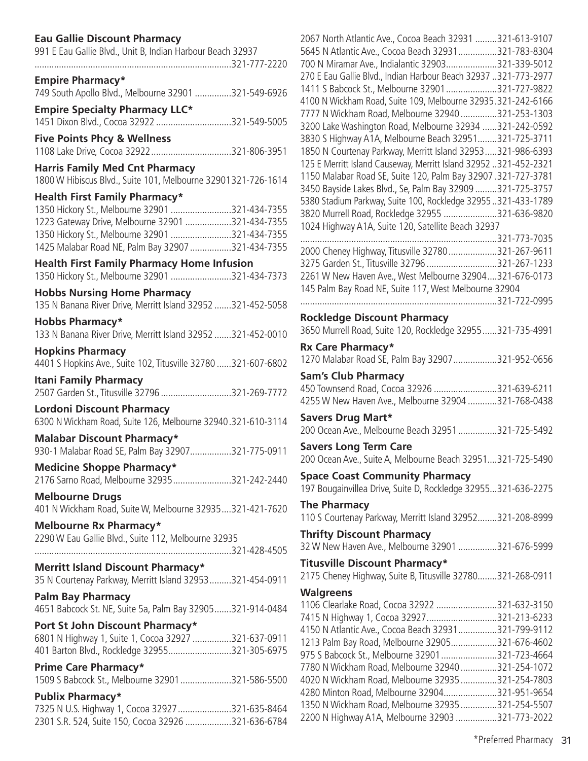# **Eau Gallie Discount Pharmacy**

| 991 E Eau Gallie Blvd., Unit B, Indian Harbour Beach 32937                                       | 5645 N Atlantic Ave., Cocoa Beach 32931321-783-8304<br>700 N Miramar Ave., Indialantic 32903321-339-5012 |  |
|--------------------------------------------------------------------------------------------------|----------------------------------------------------------------------------------------------------------|--|
|                                                                                                  | 270 E Eau Gallie Blvd., Indian Harbour Beach 32937 321-773-2977                                          |  |
| <b>Empire Pharmacy*</b>                                                                          | 1411 S Babcock St., Melbourne 32901321-727-9822                                                          |  |
| 749 South Apollo Blvd., Melbourne 32901 321-549-6926                                             | 4100 N Wickham Road, Suite 109, Melbourne 32935.321-242-6166                                             |  |
| <b>Empire Specialty Pharmacy LLC*</b>                                                            | 7777 N Wickham Road, Melbourne 32940321-253-1303                                                         |  |
| 1451 Dixon Blvd., Cocoa 32922 321-549-5005                                                       | 3200 Lake Washington Road, Melbourne 32934 321-242-0592                                                  |  |
| <b>Five Points Phcy &amp; Wellness</b>                                                           | 3830 S Highway A1A, Melbourne Beach 32951321-725-3711                                                    |  |
|                                                                                                  | 1850 N Courtenay Parkway, Merritt Island 32953321-986-6393                                               |  |
| <b>Harris Family Med Cnt Pharmacy</b>                                                            | 125 E Merritt Island Causeway, Merritt Island 32952.321-452-2321                                         |  |
| 1800 W Hibiscus Blvd., Suite 101, Melbourne 32901321-726-1614                                    | 1150 Malabar Road SE, Suite 120, Palm Bay 32907.321-727-3781                                             |  |
|                                                                                                  | 3450 Bayside Lakes Blvd., Se, Palm Bay 32909 321-725-3757                                                |  |
| <b>Health First Family Pharmacy*</b>                                                             | 5380 Stadium Parkway, Suite 100, Rockledge 32955321-433-1789                                             |  |
| 1350 Hickory St., Melbourne 32901 321-434-7355                                                   | 3820 Murrell Road, Rockledge 32955 321-636-9820                                                          |  |
| 1223 Gateway Drive, Melbourne 32901 321-434-7355                                                 | 1024 Highway A1A, Suite 120, Satellite Beach 32937                                                       |  |
| 1350 Hickory St., Melbourne 32901 321-434-7355                                                   |                                                                                                          |  |
| 1425 Malabar Road NE, Palm Bay 32907 321-434-7355                                                | 2000 Cheney Highway, Titusville 32780321-267-9611                                                        |  |
| <b>Health First Family Pharmacy Home Infusion</b>                                                | 3275 Garden St., Titusville 32796 321-267-1233                                                           |  |
| 1350 Hickory St., Melbourne 32901 321-434-7373                                                   | 2261 W New Haven Ave., West Melbourne 32904321-676-0173                                                  |  |
| <b>Hobbs Nursing Home Pharmacy</b>                                                               | 145 Palm Bay Road NE, Suite 117, West Melbourne 32904                                                    |  |
| 135 N Banana River Drive, Merritt Island 32952 321-452-5058                                      |                                                                                                          |  |
|                                                                                                  | <b>Rockledge Discount Pharmacy</b>                                                                       |  |
| <b>Hobbs Pharmacy*</b>                                                                           | 3650 Murrell Road, Suite 120, Rockledge 32955321-735-4991                                                |  |
| 133 N Banana River Drive, Merritt Island 32952 321-452-0010                                      |                                                                                                          |  |
| <b>Hopkins Pharmacy</b>                                                                          | Rx Care Pharmacy*                                                                                        |  |
| 4401 S Hopkins Ave., Suite 102, Titusville 32780 321-607-6802                                    | 1270 Malabar Road SE, Palm Bay 32907 321-952-0656                                                        |  |
| <b>Itani Family Pharmacy</b>                                                                     | <b>Sam's Club Pharmacy</b>                                                                               |  |
| 2507 Garden St., Titusville 32796 321-269-7772                                                   | 450 Townsend Road, Cocoa 32926 321-639-6211                                                              |  |
|                                                                                                  | 4255 W New Haven Ave., Melbourne 32904 321-768-0438                                                      |  |
| <b>Lordoni Discount Pharmacy</b><br>6300 N Wickham Road, Suite 126, Melbourne 32940.321-610-3114 | <b>Savers Drug Mart*</b>                                                                                 |  |
|                                                                                                  | 200 Ocean Ave., Melbourne Beach 32951 321-725-5492                                                       |  |
| <b>Malabar Discount Pharmacy*</b>                                                                | <b>Savers Long Term Care</b>                                                                             |  |
| 930-1 Malabar Road SE, Palm Bay 32907321-775-0911                                                | 200 Ocean Ave., Suite A, Melbourne Beach 32951321-725-5490                                               |  |
| <b>Medicine Shoppe Pharmacy*</b>                                                                 |                                                                                                          |  |
| 2176 Sarno Road, Melbourne 32935321-242-2440                                                     | <b>Space Coast Community Pharmacy</b>                                                                    |  |
| <b>Melbourne Drugs</b>                                                                           | 197 Bougainvillea Drive, Suite D, Rockledge 32955321-636-2275                                            |  |
| 401 N Wickham Road, Suite W, Melbourne 32935321-421-7620                                         | <b>The Pharmacy</b>                                                                                      |  |
|                                                                                                  | 110 S Courtenay Parkway, Merritt Island 32952321-208-8999                                                |  |
| <b>Melbourne Rx Pharmacy*</b>                                                                    | <b>Thrifty Discount Pharmacy</b>                                                                         |  |
| 2290 W Eau Gallie Blvd., Suite 112, Melbourne 32935                                              | 32 W New Haven Ave., Melbourne 32901 321-676-5999                                                        |  |
|                                                                                                  |                                                                                                          |  |
| <b>Merritt Island Discount Pharmacy*</b>                                                         | <b>Titusville Discount Pharmacy*</b>                                                                     |  |
| 35 N Courtenay Parkway, Merritt Island 32953321-454-0911                                         | 2175 Cheney Highway, Suite B, Titusville 32780321-268-0911                                               |  |
| <b>Palm Bay Pharmacy</b>                                                                         | <b>Walgreens</b>                                                                                         |  |
| 4651 Babcock St. NE, Suite 5a, Palm Bay 32905321-914-0484                                        | 1106 Clearlake Road, Cocoa 32922 321-632-3150                                                            |  |
| Port St John Discount Pharmacy*                                                                  | 7415 N Highway 1, Cocoa 32927321-213-6233                                                                |  |
| 6801 N Highway 1, Suite 1, Cocoa 32927 321-637-0911                                              | 4150 N Atlantic Ave., Cocoa Beach 32931321-799-9112                                                      |  |
| 401 Barton Blvd., Rockledge 32955321-305-6975                                                    | 1213 Palm Bay Road, Melbourne 32905321-676-4602                                                          |  |
|                                                                                                  | 975 S Babcock St., Melbourne 32901321-723-4664                                                           |  |
| Prime Care Pharmacy*                                                                             | 7780 N Wickham Road, Melbourne 32940 321-254-1072                                                        |  |
| 1509 S Babcock St., Melbourne 32901321-586-5500                                                  | 4020 N Wickham Road, Melbourne 32935321-254-7803                                                         |  |
| <b>Publix Pharmacy*</b>                                                                          | 4280 Minton Road, Melbourne 32904321-951-9654                                                            |  |
| 7325 N U.S. Highway 1, Cocoa 32927 321-635-8464                                                  | 1350 N Wickham Road, Melbourne 32935321-254-5507                                                         |  |
| 2301 S.R. 524, Suite 150, Cocoa 32926 321-636-6784                                               | 2200 N Highway A1A, Melbourne 32903 321-773-2022                                                         |  |
|                                                                                                  |                                                                                                          |  |

| 2067 North Atlantic Ave., Cocoa Beach 32931 321-613-9107<br>5645 N Atlantic Ave., Cocoa Beach 32931321-783-8304<br>700 N Miramar Ave., Indialantic 32903321-339-5012<br>270 E Eau Gallie Blvd., Indian Harbour Beach 32937 321-773-2977<br>1411 S Babcock St., Melbourne 32901 321-727-9822<br>4100 N Wickham Road, Suite 109, Melbourne 32935.321-242-6166<br>7777 N Wickham Road, Melbourne 32940 321-253-1303<br>3200 Lake Washington Road, Melbourne 32934 321-242-0592<br>3830 S Highway A1A, Melbourne Beach 32951321-725-3711<br>1850 N Courtenay Parkway, Merritt Island 32953321-986-6393<br>125 E Merritt Island Causeway, Merritt Island 32952 321-452-2321<br>1150 Malabar Road SE, Suite 120, Palm Bay 32907 .321-727-3781<br>3450 Bayside Lakes Blvd., Se, Palm Bay 32909 321-725-3757<br>5380 Stadium Parkway, Suite 100, Rockledge 32955321-433-1789<br>3820 Murrell Road, Rockledge 32955 321-636-9820<br>1024 Highway A1A, Suite 120, Satellite Beach 32937 |  |
|-------------------------------------------------------------------------------------------------------------------------------------------------------------------------------------------------------------------------------------------------------------------------------------------------------------------------------------------------------------------------------------------------------------------------------------------------------------------------------------------------------------------------------------------------------------------------------------------------------------------------------------------------------------------------------------------------------------------------------------------------------------------------------------------------------------------------------------------------------------------------------------------------------------------------------------------------------------------------------|--|
|                                                                                                                                                                                                                                                                                                                                                                                                                                                                                                                                                                                                                                                                                                                                                                                                                                                                                                                                                                               |  |
| 2000 Cheney Highway, Titusville 32780 321-267-9611                                                                                                                                                                                                                                                                                                                                                                                                                                                                                                                                                                                                                                                                                                                                                                                                                                                                                                                            |  |
| 3275 Garden St., Titusville 32796 321-267-1233<br>2261 W New Haven Ave., West Melbourne 32904321-676-0173                                                                                                                                                                                                                                                                                                                                                                                                                                                                                                                                                                                                                                                                                                                                                                                                                                                                     |  |
| 145 Palm Bay Road NE, Suite 117, West Melbourne 32904                                                                                                                                                                                                                                                                                                                                                                                                                                                                                                                                                                                                                                                                                                                                                                                                                                                                                                                         |  |
| 321-722-0995                                                                                                                                                                                                                                                                                                                                                                                                                                                                                                                                                                                                                                                                                                                                                                                                                                                                                                                                                                  |  |
| <b>Rockledge Discount Pharmacy</b>                                                                                                                                                                                                                                                                                                                                                                                                                                                                                                                                                                                                                                                                                                                                                                                                                                                                                                                                            |  |
| 3650 Murrell Road, Suite 120, Rockledge 32955321-735-4991                                                                                                                                                                                                                                                                                                                                                                                                                                                                                                                                                                                                                                                                                                                                                                                                                                                                                                                     |  |
| Rx Care Pharmacy*                                                                                                                                                                                                                                                                                                                                                                                                                                                                                                                                                                                                                                                                                                                                                                                                                                                                                                                                                             |  |
| 1270 Malabar Road SE, Palm Bay 32907 321-952-0656                                                                                                                                                                                                                                                                                                                                                                                                                                                                                                                                                                                                                                                                                                                                                                                                                                                                                                                             |  |
| <b>Sam's Club Pharmacy</b>                                                                                                                                                                                                                                                                                                                                                                                                                                                                                                                                                                                                                                                                                                                                                                                                                                                                                                                                                    |  |
|                                                                                                                                                                                                                                                                                                                                                                                                                                                                                                                                                                                                                                                                                                                                                                                                                                                                                                                                                                               |  |
| 450 Townsend Road, Cocoa 32926 321-639-6211                                                                                                                                                                                                                                                                                                                                                                                                                                                                                                                                                                                                                                                                                                                                                                                                                                                                                                                                   |  |
| 4255 W New Haven Ave., Melbourne 32904 321-768-0438                                                                                                                                                                                                                                                                                                                                                                                                                                                                                                                                                                                                                                                                                                                                                                                                                                                                                                                           |  |
| <b>Savers Drug Mart*</b><br>200 Ocean Ave., Melbourne Beach 32951 321-725-5492                                                                                                                                                                                                                                                                                                                                                                                                                                                                                                                                                                                                                                                                                                                                                                                                                                                                                                |  |
| <b>Savers Long Term Care</b><br>200 Ocean Ave., Suite A, Melbourne Beach 32951321-725-5490                                                                                                                                                                                                                                                                                                                                                                                                                                                                                                                                                                                                                                                                                                                                                                                                                                                                                    |  |
|                                                                                                                                                                                                                                                                                                                                                                                                                                                                                                                                                                                                                                                                                                                                                                                                                                                                                                                                                                               |  |
| <b>Space Coast Community Pharmacy</b><br>197 Bougainvillea Drive, Suite D, Rockledge 32955321-636-2275                                                                                                                                                                                                                                                                                                                                                                                                                                                                                                                                                                                                                                                                                                                                                                                                                                                                        |  |
|                                                                                                                                                                                                                                                                                                                                                                                                                                                                                                                                                                                                                                                                                                                                                                                                                                                                                                                                                                               |  |
| <b>The Pharmacy</b>                                                                                                                                                                                                                                                                                                                                                                                                                                                                                                                                                                                                                                                                                                                                                                                                                                                                                                                                                           |  |
| 110 S Courtenay Parkway, Merritt Island 32952321-208-8999                                                                                                                                                                                                                                                                                                                                                                                                                                                                                                                                                                                                                                                                                                                                                                                                                                                                                                                     |  |
| <b>Thrifty Discount Pharmacy</b><br>32 W New Haven Ave., Melbourne 32901 321-676-5999                                                                                                                                                                                                                                                                                                                                                                                                                                                                                                                                                                                                                                                                                                                                                                                                                                                                                         |  |
|                                                                                                                                                                                                                                                                                                                                                                                                                                                                                                                                                                                                                                                                                                                                                                                                                                                                                                                                                                               |  |
| Titusville Discount Pharmacy*<br>2175 Cheney Highway, Suite B, Titusville 32780321-268-0911                                                                                                                                                                                                                                                                                                                                                                                                                                                                                                                                                                                                                                                                                                                                                                                                                                                                                   |  |
|                                                                                                                                                                                                                                                                                                                                                                                                                                                                                                                                                                                                                                                                                                                                                                                                                                                                                                                                                                               |  |
| <b>Walgreens</b>                                                                                                                                                                                                                                                                                                                                                                                                                                                                                                                                                                                                                                                                                                                                                                                                                                                                                                                                                              |  |
| 1106 Clearlake Road, Cocoa 32922 321-632-3150                                                                                                                                                                                                                                                                                                                                                                                                                                                                                                                                                                                                                                                                                                                                                                                                                                                                                                                                 |  |
| 7415 N Highway 1, Cocoa 32927321-213-6233<br>4150 N Atlantic Ave., Cocoa Beach 32931321-799-9112                                                                                                                                                                                                                                                                                                                                                                                                                                                                                                                                                                                                                                                                                                                                                                                                                                                                              |  |
| 1213 Palm Bay Road, Melbourne 32905321-676-4602                                                                                                                                                                                                                                                                                                                                                                                                                                                                                                                                                                                                                                                                                                                                                                                                                                                                                                                               |  |
| 975 S Babcock St., Melbourne 32901 321-723-4664                                                                                                                                                                                                                                                                                                                                                                                                                                                                                                                                                                                                                                                                                                                                                                                                                                                                                                                               |  |
| 7780 N Wickham Road, Melbourne 32940 321-254-1072                                                                                                                                                                                                                                                                                                                                                                                                                                                                                                                                                                                                                                                                                                                                                                                                                                                                                                                             |  |
| 4020 N Wickham Road, Melbourne 32935321-254-7803                                                                                                                                                                                                                                                                                                                                                                                                                                                                                                                                                                                                                                                                                                                                                                                                                                                                                                                              |  |
| 4280 Minton Road, Melbourne 32904321-951-9654<br>1350 N Wickham Road, Melbourne 32935321-254-5507                                                                                                                                                                                                                                                                                                                                                                                                                                                                                                                                                                                                                                                                                                                                                                                                                                                                             |  |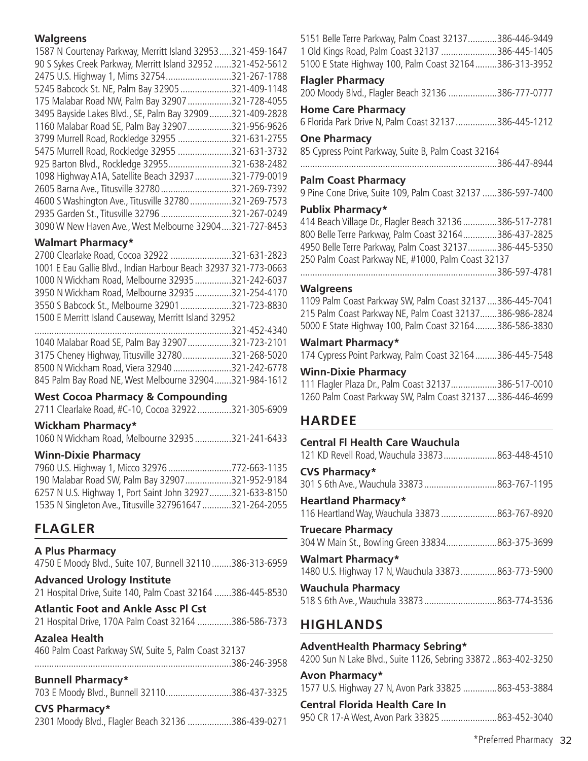# **Walgreens**

| 1587 N Courtenay Parkway, Merritt Island 32953          | 321-459-1647  |
|---------------------------------------------------------|---------------|
| 90 S Sykes Creek Parkway, Merritt Island 32952          | 321-452-5612  |
| 2475 U.S. Highway 1, Mims 32754                         | 321-267-1788  |
| 5245 Babcock St. NE, Palm Bay 32905                     | 321-409-1148  |
| 175 Malabar Road NW, Palm Bay 32907                     | 321-728-4055  |
| 3495 Bayside Lakes Blvd., SE, Palm Bay 32909.           | 321-409-2828  |
| 1160 Malabar Road SE, Palm Bay 32907                    | 321-956-9626  |
| 3799 Murrell Road, Rockledge 32955                      | .321-631-2755 |
| 5475 Murrell Road, Rockledge 32955                      | 321-631-3732  |
| 925 Barton Blvd., Rockledge 32955                       | 321-638-2482  |
| 1098 Highway A1A, Satellite Beach 32937                 | 321-779-0019  |
| 2605 Barna Ave., Titusville 32780                       | 321-269-7392  |
| 4600 S Washington Ave., Titusville 32780                | 321-269-7573  |
| 2935 Garden St., Titusville 32796                       | 321-267-0249  |
| 3090 W New Haven Ave., West Melbourne 32904321-727-8453 |               |

# **Walmart Pharmacy\***

| 2700 Clearlake Road, Cocoa 32922 321-631-2823                    |  |
|------------------------------------------------------------------|--|
| 1001 E Eau Gallie Blvd., Indian Harbour Beach 32937 321-773-0663 |  |
| 1000 N Wickham Road, Melbourne 32935321-242-6037                 |  |
| 3950 N Wickham Road, Melbourne 32935321-254-4170                 |  |
| 3550 S Babcock St., Melbourne 32901321-723-8830                  |  |
| 1500 E Merritt Island Causeway, Merritt Island 32952             |  |

| 1040 Malabar Road SE, Palm Bay 32907321-723-2101       |  |
|--------------------------------------------------------|--|
| 3175 Cheney Highway, Titusville 32780321-268-5020      |  |
| 8500 N Wickham Road, Viera 32940 321-242-6778          |  |
| 845 Palm Bay Road NE, West Melbourne 32904321-984-1612 |  |

### **West Cocoa Pharmacy & Compounding**

| 2711 Clearlake Road, #C-10, Cocoa 32922321-305-6909 |  |  |  |
|-----------------------------------------------------|--|--|--|

### **Wickham Pharmacy\***

| 1060 N Wickham Road, Melbourne 32935321-241-6433 |  |  |
|--------------------------------------------------|--|--|
|--------------------------------------------------|--|--|

### **Winn-Dixie Pharmacy**

| 7960 U.S. Highway 1, Micco 32976 772-663-1135            |  |
|----------------------------------------------------------|--|
| 190 Malabar Road SW, Palm Bay 32907321-952-9184          |  |
| 6257 N U.S. Highway 1, Port Saint John 32927321-633-8150 |  |
| 1535 N Singleton Ave., Titusville 327961647321-264-2055  |  |

# **FLAGLER**

# **A Plus Pharmacy**

4750 E Moody Blvd., Suite 107, Bunnell 32110........386-313-6959

**Advanced Urology Institute** 21 Hospital Drive, Suite 140, Palm Coast 32164 .......386-445-8530

# **Atlantic Foot and Ankle Assc Pl Cst**

21 Hospital Drive, 170A Palm Coast 32164 ..............386-586-7373

### **Azalea Health**

460 Palm Coast Parkway SW, Suite 5, Palm Coast 32137

.................................................................................386-246-3958

### **Bunnell Pharmacy\***

| 703 E Moody Blvd., Bunnell 32110386-437-3325 |  |  |  |  |
|----------------------------------------------|--|--|--|--|
|----------------------------------------------|--|--|--|--|

### **CVS Pharmacy\***

|  |  | 2301 Moody Blvd., Flagler Beach 32136 386-439-0271 |  |
|--|--|----------------------------------------------------|--|
|--|--|----------------------------------------------------|--|

| 5151 Belle Terre Parkway, Palm Coast 32137386-446-9449<br>1 Old Kings Road, Palm Coast 32137 386-445-1405<br>5100 E State Highway 100, Palm Coast 32164386-313-3952                                                                                                                                                                                            |                      |
|----------------------------------------------------------------------------------------------------------------------------------------------------------------------------------------------------------------------------------------------------------------------------------------------------------------------------------------------------------------|----------------------|
| <b>Flagler Pharmacy</b><br>200 Moody Blvd., Flagler Beach 32136 386-777-0777                                                                                                                                                                                                                                                                                   |                      |
| <b>Home Care Pharmacy</b><br>6 Florida Park Drive N, Palm Coast 32137 386-445-1212                                                                                                                                                                                                                                                                             |                      |
| <b>One Pharmacy</b><br>85 Cypress Point Parkway, Suite B, Palm Coast 32164                                                                                                                                                                                                                                                                                     |                      |
| <b>Palm Coast Pharmacy</b>                                                                                                                                                                                                                                                                                                                                     |                      |
| 9 Pine Cone Drive, Suite 109, Palm Coast 32137 386-597-7400                                                                                                                                                                                                                                                                                                    |                      |
| <b>Publix Pharmacy*</b><br>414 Beach Village Dr., Flagler Beach 32136 386-517-2781<br>800 Belle Terre Parkway, Palm Coast 32164386-437-2825<br>4950 Belle Terre Parkway, Palm Coast 32137386-445-5350<br>250 Palm Coast Parkway NE, #1000, Palm Coast 32137                                                                                                    |                      |
| <b>Walgreens</b>                                                                                                                                                                                                                                                                                                                                               |                      |
| 1109 Palm Coast Parkway SW, Palm Coast 32137  386-445-7041<br>215 Palm Coast Parkway NE, Palm Coast 32137386-986-2824<br>5000 E State Highway 100, Palm Coast 32164386-586-3830                                                                                                                                                                                |                      |
| <b>Walmart Pharmacy*</b><br>$\mathbf{L}$ $\mathbf{L}$ $\mathbf{L}$ $\mathbf{L}$ $\mathbf{L}$ $\mathbf{L}$ $\mathbf{L}$ $\mathbf{L}$ $\mathbf{L}$ $\mathbf{L}$ $\mathbf{L}$ $\mathbf{L}$ $\mathbf{L}$ $\mathbf{L}$ $\mathbf{L}$ $\mathbf{L}$ $\mathbf{L}$ $\mathbf{L}$ $\mathbf{L}$ $\mathbf{L}$ $\mathbf{L}$ $\mathbf{L}$ $\mathbf{L}$ $\mathbf{L}$ $\mathbf{$ | $200 \pm 115 = 7510$ |

174 Cypress Point Parkway, Palm Coast 32164.........386-445-7548

### **Winn-Dixie Pharmacy**

| 111 Flagler Plaza Dr., Palm Coast 32137386-517-0010        |  |
|------------------------------------------------------------|--|
| 1260 Palm Coast Parkway SW, Palm Coast 32137  386-446-4699 |  |

# **HARDEE**

| Central El Health Care Wauchula<br>121 KD Revell Road, Wauchula 33873863-448-4510 |  |
|-----------------------------------------------------------------------------------|--|
| <b>CVS Pharmacy*</b>                                                              |  |
| <b>Heartland Pharmacy*</b><br>116 Heartland Way, Wauchula 33873 863-767-8920      |  |
| <b>Truecare Pharmacy</b><br>304 W Main St., Bowling Green 33834863-375-3699       |  |
| <b>Walmart Pharmacy*</b><br>1480 U.S. Highway 17 N, Wauchula 33873863-773-5900    |  |
| <b>Wauchula Pharmacy</b>                                                          |  |

# **HIGHLANDS**

# **AdventHealth Pharmacy Sebring\***

4200 Sun N Lake Blvd., Suite 1126, Sebring 33872 ..863-402-3250

| Avon Pharmacy* |                                                      |
|----------------|------------------------------------------------------|
|                | 1577 U.S. Highway 27 N, Avon Park 33825 863-453-3884 |

### **Central Florida Health Care In**

950 CR 17-A West, Avon Park 33825 .......................863-452-3040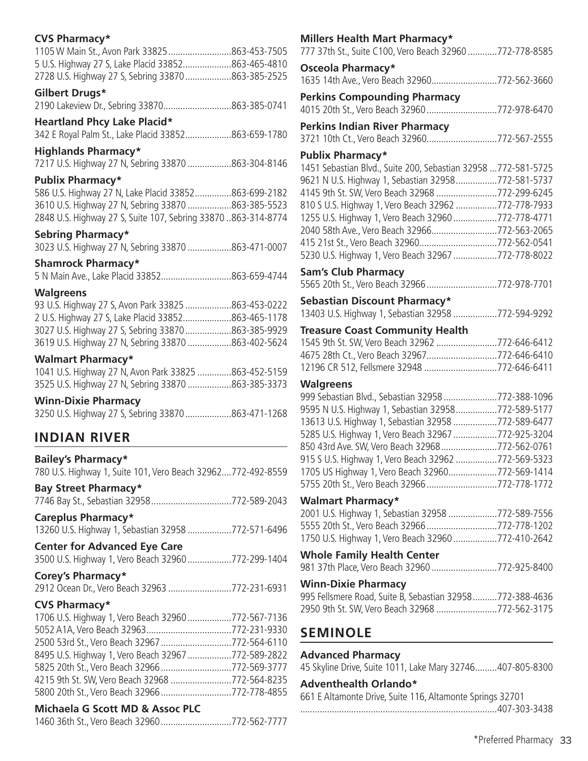# **CVS Pharmacy\***

| 1105 W Main St., Avon Park 33825863-453-7505       |  |
|----------------------------------------------------|--|
| 5 U.S. Highway 27 S, Lake Placid 33852863-465-4810 |  |
| 2728 U.S. Highway 27 S, Sebring 33870863-385-2525  |  |

# **Gilbert Drugs\***

2190 Lakeview Dr., Sebring 33870............................863-385-0741

# **Heartland Phcy Lake Placid\***

342 E Royal Palm St., Lake Placid 33852...................863-659-1780

# **Highlands Pharmacy\***

7217 U.S. Highway 27 N, Sebring 33870 ..................863-304-8146

# **Publix Pharmacy\***

586 U.S. Highway 27 N, Lake Placid 33852...............863-699-2182 3610 U.S. Highway 27 N, Sebring 33870 ..................863-385-5523 2848 U.S. Highway 27 S, Suite 107, Sebring 33870 ..863-314-8774

# **Sebring Pharmacy\***

3023 U.S. Highway 27 N, Sebring 33870 ..................863-471-0007

# **Shamrock Pharmacy\***

5 N Main Ave., Lake Placid 33852.............................863-659-4744

# **Walgreens**

| 93 U.S. Highway 27 S, Avon Park 33825 863-453-0222 |  |
|----------------------------------------------------|--|
| 2 U.S. Highway 27 S, Lake Placid 33852863-465-1178 |  |
| 3027 U.S. Highway 27 S, Sebring 33870863-385-9929  |  |
| 3619 U.S. Highway 27 N, Sebring 33870 863-402-5624 |  |

# **Walmart Pharmacy\***

|  | 1041 U.S. Highway 27 N, Avon Park 33825 863-452-5159 |
|--|------------------------------------------------------|
|  | 3525 U.S. Highway 27 N, Sebring 33870 863-385-3373   |

# **Winn-Dixie Pharmacy**

| 3250 U.S. Highway 27 S, Sebring 33870863-471-1268 |  |
|---------------------------------------------------|--|

# **INDIAN RIVER**

**Bailey's Pharmacy\*** 780 U.S. Highway 1, Suite 101, Vero Beach 32962....772-492-8559

**Bay Street Pharmacy\*** 7746 Bay St., Sebastian 32958.................................772-589-2043

# **Careplus Pharmacy\***

13260 U.S. Highway 1, Sebastian 32958 ..................772-571-6496

# **Center for Advanced Eye Care**

3500 U.S. Highway 1, Vero Beach 32960..................772-299-1404

# **Corey's Pharmacy\***

2912 Ocean Dr., Vero Beach 32963 ..........................772-231-6931

# **CVS Pharmacy\***

| 1706 U.S. Highway 1, Vero Beach 32960 772-567-7136 |  |
|----------------------------------------------------|--|
|                                                    |  |
| 2500 53rd St., Vero Beach 32967 772-564-6110       |  |
| 8495 U.S. Highway 1, Vero Beach 32967 772-589-2822 |  |
| 5825 20th St., Vero Beach 32966 772-569-3777       |  |
| 4215 9th St. SW, Vero Beach 32968 772-564-8235     |  |
| 5800 20th St., Vero Beach 32966772-778-4855        |  |

# **Michaela G Scott MD & Assoc PLC**

1460 36th St., Vero Beach 32960.............................772-562-7777

# **Millers Health Mart Pharmacy\***

| 777 37th St., Suite C100, Vero Beach 32960 772-778-8585                                              |  |
|------------------------------------------------------------------------------------------------------|--|
| Osceola Pharmacy*                                                                                    |  |
| 1635 14th Ave., Vero Beach 32960772-562-3660                                                         |  |
| <b>Perkins Compounding Pharmacy</b>                                                                  |  |
| 4015 20th St., Vero Beach 32960 772-978-6470                                                         |  |
| <b>Perkins Indian River Pharmacy</b>                                                                 |  |
| 3721 10th Ct., Vero Beach 32960772-567-2555                                                          |  |
| <b>Publix Pharmacy*</b>                                                                              |  |
| 1451 Sebastian Blvd., Suite 200, Sebastian 32958  772-581-5725                                       |  |
| 9621 N U.S. Highway 1, Sebastian 32958772-581-5737                                                   |  |
| 4145 9th St. SW, Vero Beach 32968 772-299-6245                                                       |  |
| 810 S U.S. Highway 1, Vero Beach 32962 772-778-7933                                                  |  |
| 1255 U.S. Highway 1, Vero Beach 32960 772-778-4771                                                   |  |
| 2040 58th Ave., Vero Beach 32966772-563-2065                                                         |  |
| 415 21st St., Vero Beach 32960772-562-0541                                                           |  |
| 5230 U.S. Highway 1, Vero Beach 32967 772-778-8022                                                   |  |
| <b>Sam's Club Pharmacy</b>                                                                           |  |
| 5565 20th St., Vero Beach 32966 772-978-7701                                                         |  |
| Sebastian Discount Pharmacy*                                                                         |  |
| 13403 U.S. Highway 1, Sebastian 32958 772-594-9292                                                   |  |
| <b>Treasure Coast Community Health</b>                                                               |  |
| 1545 9th St. SW, Vero Beach 32962 772-646-6412                                                       |  |
| 4675 28th Ct., Vero Beach 32967772-646-6410                                                          |  |
| 12196 CR 512, Fellsmere 32948 772-646-6411                                                           |  |
| <b>Walgreens</b>                                                                                     |  |
| 999 Sebastian Blvd., Sebastian 32958 772-388-1096                                                    |  |
| 9595 N U.S. Highway 1, Sebastian 32958772-589-5177                                                   |  |
| 13613 U.S. Highway 1, Sebastian 32958 772-589-6477                                                   |  |
| 5285 U.S. Highway 1, Vero Beach 32967 772-925-3204<br>850 43rd Ave. SW, Vero Beach 32968772-562-0761 |  |
| 915 S U.S. Highway 1, Vero Beach 32962 772-569-5323                                                  |  |
| 1705 US Highway 1, Vero Beach 32960772-569-1414                                                      |  |
| 5755 20th St., Vero Beach 32966 772-778-1772                                                         |  |
| <b>Walmart Pharmacy*</b>                                                                             |  |
| 2001 U.S. Highway 1, Sebastian 32958 772-589-7556                                                    |  |
| 5555 20th St., Vero Beach 32966 772-778-1202                                                         |  |
| 1750 U.S. Highway 1, Vero Beach 32960 772-410-2642                                                   |  |
| <b>Whole Family Health Center</b>                                                                    |  |
| 981 37th Place, Vero Beach 32960 772-925-8400                                                        |  |
| <b>Winn-Dixie Pharmacy</b>                                                                           |  |
| 995 Fellsmere Road, Suite B, Sebastian 32958772-388-4636                                             |  |
| 2950 9th St. SW, Vero Beach 32968 772-562-3175                                                       |  |

# **SEMINOLE**

# **Advanced Pharmacy**

45 Skyline Drive, Suite 1011, Lake Mary 32746.........407-805-8300

# **Adventhealth Orlando\***

661 E Altamonte Drive, Suite 116, Altamonte Springs 32701

.................................................................................407-303-3438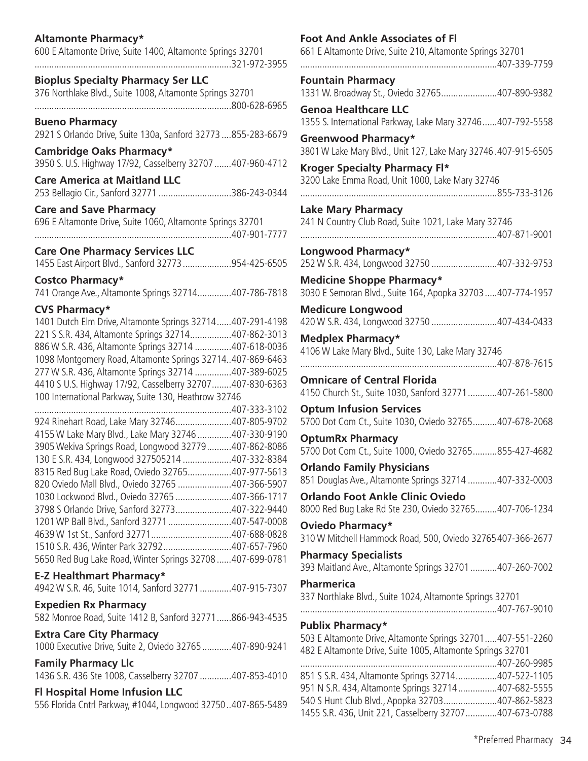# **Altamonte Pharmacy\***

600 E Altamonte Drive, Suite 1400, Altamonte Springs 32701 .................................................................................321-972-3955

### **Bioplus Specialty Pharmacy Ser LLC**

376 Northlake Blvd., Suite 1008, Altamonte Springs 32701 .................................................................................800-628-6965

**Bueno Pharmacy**  2921 S Orlando Drive, Suite 130a, Sanford 32773 ....855-283-6679

**Cambridge Oaks Pharmacy\*** 3950 S. U.S. Highway 17/92, Casselberry 32707.......407-960-4712

**Care America at Maitland LLC**  253 Bellagio Cir., Sanford 32771 ..............................386-243-0344

**Care and Save Pharmacy**  696 E Altamonte Drive, Suite 1060, Altamonte Springs 32701 .................................................................................407-901-7777

### **Care One Pharmacy Services LLC**

1455 East Airport Blvd., Sanford 32773....................954-425-6505

### **Costco Pharmacy\***

741 Orange Ave., Altamonte Springs 32714..............407-786-7818

### **CVS Pharmacy\***

1401 Dutch Elm Drive, Altamonte Springs 32714......407-291-4198 221 S S.R. 434, Altamonte Springs 32714.................407-862-3013 886 W S.R. 436, Altamonte Springs 32714 ...............407-618-0036 1098 Montgomery Road, Altamonte Springs 32714..407-869-6463 277 W S.R. 436, Altamonte Springs 32714 ...............407-389-6025 4410 S U.S. Highway 17/92, Casselberry 32707........407-830-6363 100 International Parkway, Suite 130, Heathrow 32746

| 924 Rinehart Road, Lake Mary 32746407-805-9702           |  |
|----------------------------------------------------------|--|
| 4155 W Lake Mary Blvd., Lake Mary 32746 407-330-9190     |  |
| 3905 Wekiva Springs Road, Longwood 32779407-862-8086     |  |
| 130 E S.R. 434, Longwood 327505214 407-332-8384          |  |
| 8315 Red Bug Lake Road, Oviedo 32765407-977-5613         |  |
| 820 Oviedo Mall Blvd., Oviedo 32765 407-366-5907         |  |
| 1030 Lockwood Blvd., Oviedo 32765 407-366-1717           |  |
| 3798 S Orlando Drive, Sanford 32773407-322-9440          |  |
| 1201 WP Ball Blvd., Sanford 32771 407-547-0008           |  |
|                                                          |  |
| 1510 S.R. 436, Winter Park 32792407-657-7960             |  |
| 5650 Red Bug Lake Road, Winter Springs 32708407-699-0781 |  |
|                                                          |  |

### **E-Z Healthmart Pharmacy\***

4942 W S.R. 46, Suite 1014, Sanford 32771.............407-915-7307

**Expedien Rx Pharmacy**  582 Monroe Road, Suite 1412 B, Sanford 32771......866-943-4535

# **Extra Care City Pharmacy**

1000 Executive Drive, Suite 2, Oviedo 32765............407-890-9241

### **Family Pharmacy Llc**

1436 S.R. 436 Ste 1008, Casselberry 32707 .............407-853-4010

### **Fl Hospital Home Infusion LLC**

556 Florida Cntrl Parkway, #1044, Longwood 32750..407-865-5489

### **Foot And Ankle Associates of Fl**

661 E Altamonte Drive, Suite 210, Altamonte Springs 32701 .................................................................................407-339-7759

**Fountain Pharmacy**  1331 W. Broadway St., Oviedo 32765.......................407-890-9382

**Genoa Healthcare LLC** 1355 S. International Parkway, Lake Mary 32746......407-792-5558

**Greenwood Pharmacy\*** 3801 W Lake Mary Blvd., Unit 127, Lake Mary 32746 .407-915-6505

**Kroger Specialty Pharmacy Fl\*** 3200 Lake Emma Road, Unit 1000, Lake Mary 32746

.................................................................................855-733-3126

**Lake Mary Pharmacy**  241 N Country Club Road, Suite 1021, Lake Mary 32746

.................................................................................407-871-9001 **Longwood Pharmacy\***

252 W S.R. 434, Longwood 32750 ...........................407-332-9753

**Medicine Shoppe Pharmacy\*** 3030 E Semoran Blvd., Suite 164, Apopka 32703.....407-774-1957

**Medicure Longwood**  420 W S.R. 434, Longwood 32750 ...........................407-434-0433

**Medplex Pharmacy\*** 4106 W Lake Mary Blvd., Suite 130, Lake Mary 32746

.................................................................................407-878-7615

**Omnicare of Central Florida**  4150 Church St., Suite 1030, Sanford 32771............407-261-5800

**Optum Infusion Services**  5700 Dot Com Ct., Suite 1030, Oviedo 32765..........407-678-2068

**OptumRx Pharmacy**  5700 Dot Com Ct., Suite 1000, Oviedo 32765..........855-427-4682

**Orlando Family Physicians**  851 Douglas Ave., Altamonte Springs 32714 ............407-332-0003

**Orlando Foot Ankle Clinic Oviedo**  8000 Red Bug Lake Rd Ste 230, Oviedo 32765.........407-706-1234

**Oviedo Pharmacy\*** 310 W Mitchell Hammock Road, 500, Oviedo 32765407-366-2677

**Pharmacy Specialists**  393 Maitland Ave., Altamonte Springs 32701...........407-260-7002

### **Pharmerica**

337 Northlake Blvd., Suite 1024, Altamonte Springs 32701

### .................................................................................407-767-9010

### **Publix Pharmacy\***

503 E Altamonte Drive, Altamonte Springs 32701.....407-551-2260 482 E Altamonte Drive, Suite 1005, Altamonte Springs 32701 .................................................................................407-260-9985 851 S S.R. 434, Altamonte Springs 32714.................407-522-1105 951 N S.R. 434, Altamonte Springs 32714................407-682-5555 540 S Hunt Club Blvd., Apopka 32703......................407-862-5823 1455 S.R. 436, Unit 221, Casselberry 32707.............407-673-0788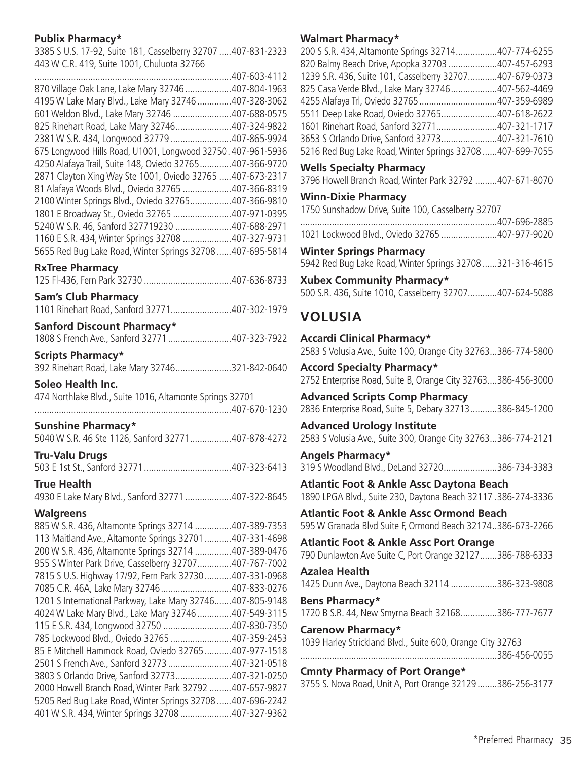# **Publix Pharmacy\***

3385 S U.S. 17-92, Suite 181, Casselberry 32707 .....407-831-2323 443 W C.R. 419, Suite 1001, Chuluota 32766

|                                                              | .407-603-4112 |
|--------------------------------------------------------------|---------------|
| 870 Village Oak Lane, Lake Mary 32746                        | .407-804-1963 |
| 4195 W Lake Mary Blvd., Lake Mary 32746                      | .407-328-3062 |
| 601 Weldon Blvd., Lake Mary 32746 407-688-0575               |               |
| 825 Rinehart Road, Lake Mary 32746407-324-9822               |               |
| 2381 W S.R. 434, Longwood 32779 407-865-9924                 |               |
| 675 Longwood Hills Road, U1001, Longwood 32750. 407-961-5936 |               |
| 4250 Alafaya Trail, Suite 148, Oviedo 32765407-366-9720      |               |
| 2871 Clayton Xing Way Ste 1001, Oviedo 32765  407-673-2317   |               |
| 81 Alafaya Woods Blvd., Oviedo 32765 407-366-8319            |               |
| 2100 Winter Springs Blvd., Oviedo 32765407-366-9810          |               |
| 1801 E Broadway St., Oviedo 32765 407-971-0395               |               |
| 5240 W S.R. 46, Sanford 327719230 407-688-2971               |               |
| 1160 E S.R. 434, Winter Springs 32708 407-327-9731           |               |
| 5655 Red Bug Lake Road, Winter Springs 32708                 | 407-695-5814  |
|                                                              |               |

#### **RxTree Pharmacy**

| <b>Sam's Club Pharmacy</b>                                                                                      |  |
|-----------------------------------------------------------------------------------------------------------------|--|
| 1101 Rinehart Road, Sanford 32771407-302-1979                                                                   |  |
| Sanford Discount Pharmacy*                                                                                      |  |
| 1808 S French Ave., Sanford 32771 407-323-7922                                                                  |  |
| <b>Scripts Pharmacy*</b>                                                                                        |  |
| 392 Rinehart Road, Lake Mary 32746321-842-0640                                                                  |  |
| Soleo Health Inc.                                                                                               |  |
| 474 Northlake Blvd., Suite 1016, Altamonte Springs 32701                                                        |  |
|                                                                                                                 |  |
| <b>Sunshine Pharmacy*</b>                                                                                       |  |
| 5040 W S.R. 46 Ste 1126, Sanford 32771407-878-4272                                                              |  |
| <b>Tru-Valu Drugs</b>                                                                                           |  |
|                                                                                                                 |  |
| <b>True Health</b>                                                                                              |  |
| 4930 E Lake Mary Blvd., Sanford 32771 407-322-8645                                                              |  |
|                                                                                                                 |  |
|                                                                                                                 |  |
| <b>Walgreens</b>                                                                                                |  |
| 885 W S.R. 436, Altamonte Springs 32714 407-389-7353                                                            |  |
| 113 Maitland Ave., Altamonte Springs 32701 407-331-4698<br>200 W S.R. 436, Altamonte Springs 32714 407-389-0476 |  |
| 955 S Winter Park Drive, Casselberry 32707407-767-7002                                                          |  |
| 7815 S U.S. Highway 17/92, Fern Park 32730 407-331-0968                                                         |  |
| 7085 C.R. 46A, Lake Mary 32746 407-833-0276                                                                     |  |
| 1201 S International Parkway, Lake Mary 32746407-805-9148                                                       |  |
| 4024 W Lake Mary Blvd., Lake Mary 32746 407-549-3115                                                            |  |
| 115 E S.R. 434, Longwood 32750 407-830-7350                                                                     |  |
| 785 Lockwood Blvd., Oviedo 32765 407-359-2453                                                                   |  |
| 85 E Mitchell Hammock Road, Oviedo 32765  407-977-1518                                                          |  |
| 2501 S French Ave., Sanford 32773 407-321-0518<br>3803 S Orlando Drive, Sanford 32773407-321-0250               |  |
| 2000 Howell Branch Road, Winter Park 32792 407-657-9827                                                         |  |
| 5205 Red Bug Lake Road, Winter Springs 32708  407-696-2242                                                      |  |
| 401 W S.R. 434, Winter Springs 32708 407-327-9362                                                               |  |

### **Walmart Pharmacy\***

| 200 S S.R. 434, Altamonte Springs 32714407-774-6255      |  |
|----------------------------------------------------------|--|
| 820 Balmy Beach Drive, Apopka 32703 407-457-6293         |  |
| 1239 S.R. 436, Suite 101, Casselberry 32707407-679-0373  |  |
| 825 Casa Verde Blvd., Lake Mary 32746407-562-4469        |  |
| 4255 Alafaya Trl, Oviedo 32765 407-359-6989              |  |
| 5511 Deep Lake Road, Oviedo 32765407-618-2622            |  |
| 1601 Rinehart Road, Sanford 32771407-321-1717            |  |
| 3653 S Orlando Drive, Sanford 32773407-321-7610          |  |
| 5216 Red Bug Lake Road, Winter Springs 32708407-699-7055 |  |
|                                                          |  |

# **Wells Specialty Pharmacy**

3796 Howell Branch Road, Winter Park 32792 .........407-671-8070

### **Winn-Dixie Pharmacy**

1750 Sunshadow Drive, Suite 100, Casselberry 32707

| $1021$ $\leq$ $\leq$ $\leq$ $\leq$ $\leq$ $\leq$ $\leq$ $\leq$ $\leq$ $\leq$ $\leq$ $\leq$ $\leq$ $\leq$ $\leq$ $\leq$ $\leq$ $\leq$ $\leq$ $\leq$ $\leq$ $\leq$ $\leq$ $\leq$ $\leq$ $\leq$ $\leq$ $\leq$ $\leq$ $\leq$ $\leq$ $\leq$ $\leq$ $\leq$ $\leq$ $\leq$ | 107.077.0030 |
|--------------------------------------------------------------------------------------------------------------------------------------------------------------------------------------------------------------------------------------------------------------------|--------------|

1021 Lockwood Blvd., Oviedo 32765 .......................407-977-9020

**Winter Springs Pharmacy** 

5942 Red Bug Lake Road, Winter Springs 32708 ......321-316-4615

**Xubex Community Pharmacy\*** 500 S.R. 436, Suite 1010, Casselberry 32707............407-624-5088

# **VOLUSIA**

**Accardi Clinical Pharmacy\*** 2583 S Volusia Ave., Suite 100, Orange City 32763...386-774-5800

**Accord Specialty Pharmacy\*** 2752 Enterprise Road, Suite B, Orange City 32763....386-456-3000

**Advanced Scripts Comp Pharmacy**  2836 Enterprise Road, Suite 5, Debary 32713...........386-845-1200

**Advanced Urology Institute**  2583 S Volusia Ave., Suite 300, Orange City 32763...386-774-2121

**Angels Pharmacy\*** 319 S Woodland Blvd., DeLand 32720......................386-734-3383

**Atlantic Foot & Ankle Assc Daytona Beach**  1890 LPGA Blvd., Suite 230, Daytona Beach 32117 .386-274-3336

**Atlantic Foot & Ankle Assc Ormond Beach**  595 W Granada Blvd Suite F, Ormond Beach 32174..386-673-2266

**Atlantic Foot & Ankle Assc Port Orange**  790 Dunlawton Ave Suite C, Port Orange 32127.......386-788-6333 **Azalea Health** 

1425 Dunn Ave., Daytona Beach 32114 ...................386-323-9808

**Bens Pharmacy\*** 1720 B S.R. 44, New Smyrna Beach 32168...............386-777-7677

**Carenow Pharmacy\*** 1039 Harley Strickland Blvd., Suite 600, Orange City 32763 .................................................................................386-456-0055

**Cmnty Pharmacy of Port Orange\*** 3755 S. Nova Road, Unit A, Port Orange 32129 ........386-256-3177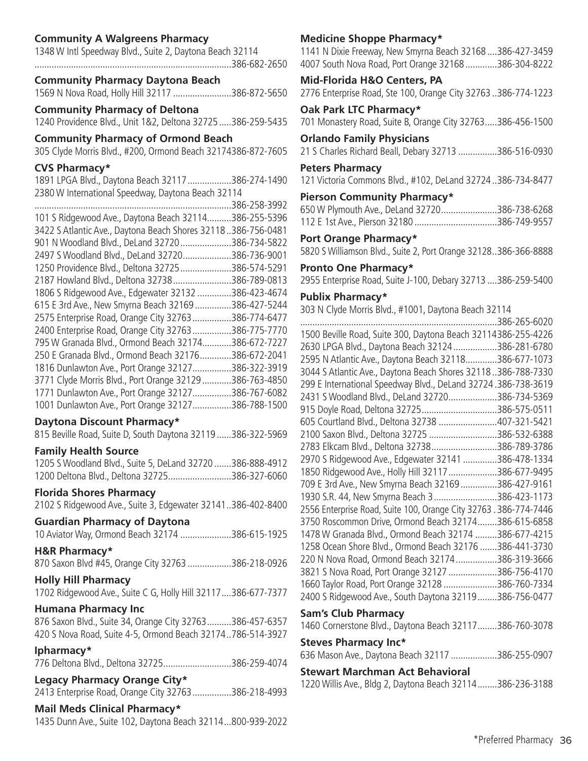# **Community A Walgreens Pharmacy**

| 1348 W Intl Speedway Blvd., Suite 2, Daytona Beach 32114 |  |
|----------------------------------------------------------|--|
|                                                          |  |

#### **Community Pharmacy Daytona Beach**

1569 N Nova Road, Holly Hill 32117 ........................386-872-5650

#### **Community Pharmacy of Deltona**

1240 Providence Blvd., Unit 1&2, Deltona 32725 .....386-259-5435

#### **Community Pharmacy of Ormond Beach**

305 Clyde Morris Blvd., #200, Ormond Beach 32174386-872-7605

### **CVS Pharmacy\***

1891 LPGA Blvd., Daytona Beach 32117..................386-274-1490 2380 W International Speedway, Daytona Beach 32114

|                                                               | 386-258-3992 |
|---------------------------------------------------------------|--------------|
| 101 S Ridgewood Ave., Daytona Beach 32114                     | 386-255-5396 |
| 3422 S Atlantic Ave., Daytona Beach Shores 32118.386-756-0481 |              |
| 901 N Woodland Blvd., DeLand 32720                            | 386-734-5822 |
| 2497 S Woodland Blvd., DeLand 32720                           | 386-736-9001 |
| 1250 Providence Blvd., Deltona 32725                          | 386-574-5291 |
| 2187 Howland Blvd., Deltona 32738                             | 386-789-0813 |
| 1806 S Ridgewood Ave., Edgewater 32132                        | 386-423-4674 |
| 615 E 3rd Ave., New Smyrna Beach 32169                        | 386-427-5244 |
| 2575 Enterprise Road, Orange City 32763.                      | 386-774-6477 |
| 2400 Enterprise Road, Orange City 32763                       | 386-775-7770 |
| 795 W Granada Blvd., Ormond Beach 32174.                      | 386-672-7227 |
| 250 E Granada Blvd., Ormond Beach 32176.                      | 386-672-2041 |
| 1816 Dunlawton Ave., Port Orange 32127                        | 386-322-3919 |
| 3771 Clyde Morris Blvd., Port Orange 32129                    | 386-763-4850 |
| 1771 Dunlawton Ave., Port Orange 32127                        | 386-767-6082 |
| 1001 Dunlawton Ave., Port Orange 32127                        | 386-788-1500 |
|                                                               |              |

### **Daytona Discount Pharmacy\***

815 Beville Road, Suite D, South Daytona 32119......386-322-5969

### **Family Health Source**

| 1205 S Woodland Blvd., Suite 5, DeLand 32720 386-888-4912 |  |
|-----------------------------------------------------------|--|
| 1200 Deltona Blvd., Deltona 32725386-327-6060             |  |

### **Florida Shores Pharmacy**

2102 S Ridgewood Ave., Suite 3, Edgewater 32141..386-402-8400

#### **Guardian Pharmacy of Daytona**

10 Aviator Way, Ormond Beach 32174 .....................386-615-1925

#### **H&R Pharmacy\***

870 Saxon Blvd #45, Orange City 32763 ..................386-218-0926

#### **Holly Hill Pharmacy**

1702 Ridgewood Ave., Suite C G, Holly Hill 32117....386-677-7377

#### **Humana Pharmacy Inc**

876 Saxon Blvd., Suite 34, Orange City 32763..........386-457-6357 420 S Nova Road, Suite 4-5, Ormond Beach 32174..786-514-3927

**Ipharmacy\***

776 Deltona Blvd., Deltona 32725............................386-259-4074

### **Legacy Pharmacy Orange City\***

2413 Enterprise Road, Orange City 32763................386-218-4993

### **Mail Meds Clinical Pharmacy\***

1435 Dunn Ave., Suite 102, Daytona Beach 32114...800-939-2022

### **Medicine Shoppe Pharmacy\***

1141 N Dixie Freeway, New Smyrna Beach 32168 ....386-427-3459 4007 South Nova Road, Port Orange 32168 .............386-304-8222

### **Mid-Florida H&O Centers, PA**

2776 Enterprise Road, Ste 100, Orange City 32763 ..386-774-1223

#### **Oak Park LTC Pharmacy\***

701 Monastery Road, Suite B, Orange City 32763.....386-456-1500

#### **Orlando Family Physicians**

21 S Charles Richard Beall, Debary 32713 ................386-516-0930

#### **Peters Pharmacy**

121 Victoria Commons Blvd., #102, DeLand 32724..386-734-8477

### **Pierson Community Pharmacy\***

| 650 W Plymouth Ave., DeLand 32720386-738-6268 |  |
|-----------------------------------------------|--|
|                                               |  |

#### **Port Orange Pharmacy\***

5820 S Williamson Blvd., Suite 2, Port Orange 32128..386-366-8888

#### **Pronto One Pharmacy\***

2955 Enterprise Road, Suite J-100, Debary 32713 ....386-259-5400

### **Publix Pharmacy\***

303 N Clyde Morris Blvd., #1001, Daytona Beach 32114

| 386-265-6020                                                    |  |
|-----------------------------------------------------------------|--|
| 1500 Beville Road, Suite 300, Daytona Beach 32114386-255-4226   |  |
| 2630 LPGA Blvd., Daytona Beach 32124386-281-6780                |  |
| 2595 N Atlantic Ave., Daytona Beach 32118386-677-1073           |  |
| 3044 S Atlantic Ave., Daytona Beach Shores 32118386-788-7330    |  |
| 299 E International Speedway Blvd., DeLand 32724.386-738-3619   |  |
| 2431 S Woodland Blvd., DeLand 32720386-734-5369                 |  |
| 915 Doyle Road, Deltona 32725386-575-0511                       |  |
| 605 Courtland Blvd., Deltona 32738 407-321-5421                 |  |
| 2100 Saxon Blvd., Deltona 32725 386-532-6388                    |  |
| 2783 Elkcam Blvd., Deltona 32738386-789-3786                    |  |
| 2970 S Ridgewood Ave., Edgewater 32141 386-478-1334             |  |
| 1850 Ridgewood Ave., Holly Hill 32117 386-677-9495              |  |
| 709 E 3rd Ave., New Smyrna Beach 32169386-427-9161              |  |
| 1930 S.R. 44, New Smyrna Beach 3386-423-1173                    |  |
| 2556 Enterprise Road, Suite 100, Orange City 32763.386-774-7446 |  |
| 3750 Roscommon Drive, Ormond Beach 32174386-615-6858            |  |
| 1478 W Granada Blvd., Ormond Beach 32174 386-677-4215           |  |
| 1258 Ocean Shore Blvd., Ormond Beach 32176 386-441-3730         |  |
| 220 N Nova Road, Ormond Beach 32174386-319-3666                 |  |
| 3821 S Nova Road, Port Orange 32127 386-756-4170                |  |
| 1660 Taylor Road, Port Orange 32128 386-760-7334                |  |
| 2400 S Ridgewood Ave., South Daytona 32119386-756-0477          |  |

### **Sam's Club Pharmacy**

1460 Cornerstone Blvd., Daytona Beach 32117........386-760-3078

#### **Steves Pharmacy Inc\***

636 Mason Ave., Daytona Beach 32117 ...................386-255-0907

### **Stewart Marchman Act Behavioral**

1220 Willis Ave., Bldg 2, Daytona Beach 32114........386-236-3188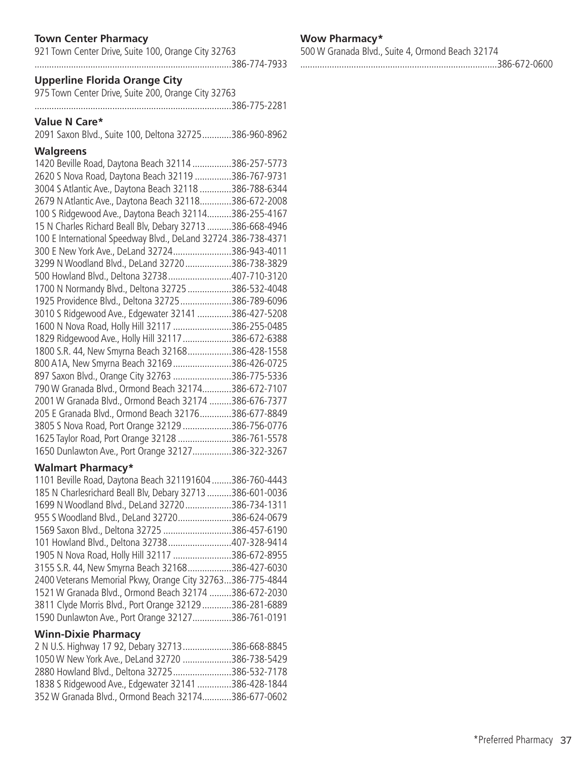# **Town Center Pharmacy**

| 921 Town Center Drive, Suite 100, Orange City 32763 |  |
|-----------------------------------------------------|--|
|                                                     |  |

# **Upperline Florida Orange City**

975 Town Center Drive, Suite 200, Orange City 32763

.................................................................................386-775-2281

# **Value N Care\***

2091 Saxon Blvd., Suite 100, Deltona 32725............386-960-8962

### **Walgreens**

| 1420 Beville Road, Daytona Beach 32114 386-257-5773           |  |
|---------------------------------------------------------------|--|
| 2620 S Nova Road, Daytona Beach 32119 386-767-9731            |  |
| 3004 S Atlantic Ave., Daytona Beach 32118 386-788-6344        |  |
| 2679 N Atlantic Ave., Daytona Beach 32118386-672-2008         |  |
| 100 S Ridgewood Ave., Daytona Beach 32114386-255-4167         |  |
| 15 N Charles Richard Beall Blv, Debary 32713 386-668-4946     |  |
| 100 E International Speedway Blvd., DeLand 32724.386-738-4371 |  |
| 300 E New York Ave., DeLand 32724386-943-4011                 |  |
| 3299 N Woodland Blvd., DeLand 32720386-738-3829               |  |
| 500 Howland Blvd., Deltona 32738407-710-3120                  |  |
| 1700 N Normandy Blvd., Deltona 32725 386-532-4048             |  |
| 1925 Providence Blvd., Deltona 32725386-789-6096              |  |
| 3010 S Ridgewood Ave., Edgewater 32141 386-427-5208           |  |
| 1600 N Nova Road, Holly Hill 32117 386-255-0485               |  |
| 1829 Ridgewood Ave., Holly Hill 32117 386-672-6388            |  |
| 1800 S.R. 44, New Smyrna Beach 32168386-428-1558              |  |
| 800 A1A, New Smyrna Beach 32169386-426-0725                   |  |
| 897 Saxon Blvd., Orange City 32763 386-775-5336               |  |
| 790 W Granada Blvd., Ormond Beach 32174386-672-7107           |  |
| 2001 W Granada Blvd., Ormond Beach 32174 386-676-7377         |  |
| 205 E Granada Blvd., Ormond Beach 32176386-677-8849           |  |
| 3805 S Nova Road, Port Orange 32129 386-756-0776              |  |
| 1625 Taylor Road, Port Orange 32128 386-761-5578              |  |
| 1650 Dunlawton Ave., Port Orange 32127386-322-3267            |  |
|                                                               |  |

### **Walmart Pharmacy\***

| 1101 Beville Road, Daytona Beach 321191604 386-760-4443      |
|--------------------------------------------------------------|
| 185 N Charlesrichard Beall Blv, Debary 32713<br>386-601-0036 |
| 1699 N Woodland Blvd., DeLand 32720<br>386-734-1311          |
| 955 S Woodland Blvd., DeLand 32720386-624-0679               |
| 1569 Saxon Blvd., Deltona 32725 386-457-6190                 |
| 101 Howland Blvd., Deltona 32738407-328-9414                 |
| 1905 N Nova Road, Holly Hill 32117 386-672-8955              |
| 3155 S.R. 44, New Smyrna Beach 32168386-427-6030             |
| 2400 Veterans Memorial Pkwy, Orange City 32763386-775-4844   |
| 1521 W Granada Blvd., Ormond Beach 32174 386-672-2030        |
| 3811 Clyde Morris Blvd., Port Orange 32129 386-281-6889      |
| 1590 Dunlawton Ave., Port Orange 32127386-761-0191           |
|                                                              |

### **Winn-Dixie Pharmacy**

| 2 N U.S. Highway 17 92, Debary 32713386-668-8845    |  |
|-----------------------------------------------------|--|
| 1050 W New York Ave., DeLand 32720 386-738-5429     |  |
| 2880 Howland Blvd., Deltona 32725386-532-7178       |  |
| 1838 S Ridgewood Ave., Edgewater 32141 386-428-1844 |  |
| 352 W Granada Blvd., Ormond Beach 32174386-677-0602 |  |

# **Wow Pharmacy\***

500 W Granada Blvd., Suite 4, Ormond Beach 32174

# .................................................................................386-672-0600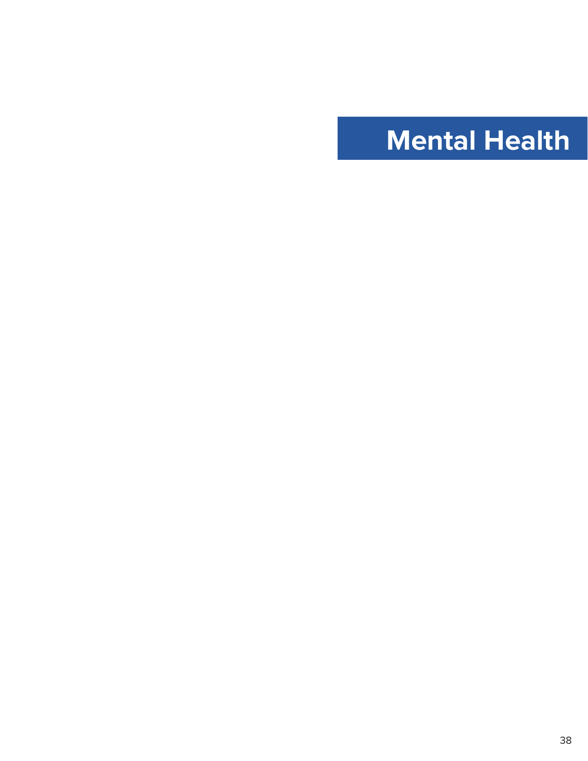# <span id="page-38-0"></span>**Mental Health**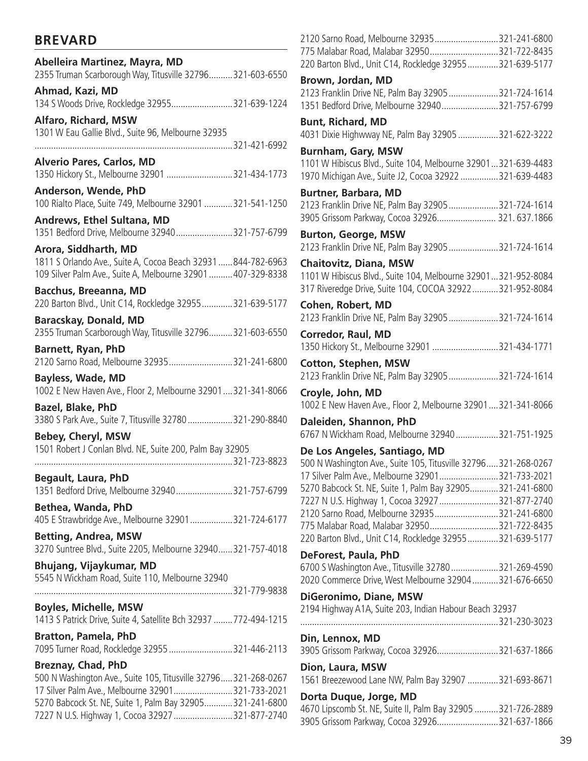# **BREVARD**

| Abelleira Martinez, Mayra, MD<br>2355 Truman Scarborough Way, Titusville 32796321-603-6550                                                                                                                                                                      |              |
|-----------------------------------------------------------------------------------------------------------------------------------------------------------------------------------------------------------------------------------------------------------------|--------------|
| Ahmad, Kazi, MD<br>134 S Woods Drive, Rockledge 32955321-639-1224                                                                                                                                                                                               |              |
| <b>Alfaro, Richard, MSW</b><br>1301 W Eau Gallie Blvd., Suite 96, Melbourne 32935                                                                                                                                                                               |              |
|                                                                                                                                                                                                                                                                 |              |
| <b>Alverio Pares, Carlos, MD</b><br>1350 Hickory St., Melbourne 32901 321-434-1773                                                                                                                                                                              |              |
| Anderson, Wende, PhD<br>100 Rialto Place, Suite 749, Melbourne 32901 321-541-1250                                                                                                                                                                               |              |
| <b>Andrews, Ethel Sultana, MD</b><br>1351 Bedford Drive, Melbourne 32940321-757-6799                                                                                                                                                                            |              |
| Arora, Siddharth, MD<br>1811 S Orlando Ave., Suite A, Cocoa Beach 32931  844-782-6963<br>109 Silver Palm Ave., Suite A, Melbourne 32901  407-329-8338                                                                                                           |              |
| <b>Bacchus, Breeanna, MD</b><br>220 Barton Blvd., Unit C14, Rockledge 32955321-639-5177                                                                                                                                                                         |              |
| <b>Baracskay, Donald, MD</b><br>2355 Truman Scarborough Way, Titusville 32796321-603-6550                                                                                                                                                                       |              |
| <b>Barnett, Ryan, PhD</b><br>2120 Sarno Road, Melbourne 32935321-241-6800                                                                                                                                                                                       |              |
| <b>Bayless, Wade, MD</b><br>1002 E New Haven Ave., Floor 2, Melbourne 32901321-341-8066                                                                                                                                                                         |              |
| Bazel, Blake, PhD<br>3380 S Park Ave., Suite 7, Titusville 32780 321-290-8840                                                                                                                                                                                   |              |
| Bebey, Cheryl, MSW                                                                                                                                                                                                                                              |              |
| 1501 Robert J Conlan Blvd. NE, Suite 200, Palm Bay 32905                                                                                                                                                                                                        |              |
|                                                                                                                                                                                                                                                                 | 321-723-8823 |
| <b>Begault, Laura, PhD</b><br>1351 Bedford Drive, Melbourne 32940321-757-6799                                                                                                                                                                                   |              |
| Bethea, Wanda, PhD<br>405 E Strawbridge Ave., Melbourne 32901321-724-6177                                                                                                                                                                                       |              |
| <b>Betting, Andrea, MSW</b><br>3270 Suntree Blvd., Suite 2205, Melbourne 32940321-757-4018                                                                                                                                                                      |              |
| <b>Bhujang, Vijaykumar, MD</b>                                                                                                                                                                                                                                  |              |
| 5545 N Wickham Road, Suite 110, Melbourne 32940                                                                                                                                                                                                                 |              |
| <b>Boyles, Michelle, MSW</b>                                                                                                                                                                                                                                    |              |
| 1413 S Patrick Drive, Suite 4, Satellite Bch 32937 772-494-1215                                                                                                                                                                                                 |              |
| <b>Bratton, Pamela, PhD</b><br>7095 Turner Road, Rockledge 32955 321-446-2113                                                                                                                                                                                   |              |
| <b>Breznay, Chad, PhD</b><br>500 N Washington Ave., Suite 105, Titusville 32796 321-268-0267<br>17 Silver Palm Ave., Melbourne 32901321-733-2021<br>5270 Babcock St. NE, Suite 1, Palm Bay 32905321-241-6800<br>7227 N U.S. Highway 1, Cocoa 32927 321-877-2740 |              |

| 2120 Sarno Road, Melbourne 32935321-241-6800                                                                 |  |
|--------------------------------------------------------------------------------------------------------------|--|
| 775 Malabar Road, Malabar 32950321-722-8435                                                                  |  |
| 220 Barton Blvd., Unit C14, Rockledge 32955321-639-5177                                                      |  |
|                                                                                                              |  |
| Brown, Jordan, MD                                                                                            |  |
| 2123 Franklin Drive NE, Palm Bay 32905 321-724-1614                                                          |  |
| 1351 Bedford Drive, Melbourne 32940321-757-6799                                                              |  |
| <b>Bunt, Richard, MD</b>                                                                                     |  |
| 4031 Dixie Highwway NE, Palm Bay 32905 321-622-3222                                                          |  |
|                                                                                                              |  |
| <b>Burnham, Gary, MSW</b>                                                                                    |  |
| 1101 W Hibiscus Blvd., Suite 104, Melbourne 32901321-639-4483                                                |  |
| 1970 Michigan Ave., Suite J2, Cocoa 32922 321-639-4483                                                       |  |
|                                                                                                              |  |
| <b>Burtner, Barbara, MD</b>                                                                                  |  |
| 2123 Franklin Drive NE, Palm Bay 32905 321-724-1614                                                          |  |
| 3905 Grissom Parkway, Cocoa 32926 321.637.1866                                                               |  |
| <b>Burton, George, MSW</b>                                                                                   |  |
| 2123 Franklin Drive NE, Palm Bay 32905 321-724-1614                                                          |  |
|                                                                                                              |  |
| <b>Chaitovitz, Diana, MSW</b>                                                                                |  |
| 1101 W Hibiscus Blvd., Suite 104, Melbourne 32901321-952-8084                                                |  |
| 317 Riveredge Drive, Suite 104, COCOA 32922  321-952-8084                                                    |  |
|                                                                                                              |  |
| Cohen, Robert, MD                                                                                            |  |
| 2123 Franklin Drive NE, Palm Bay 32905 321-724-1614                                                          |  |
| <b>Corredor, Raul, MD</b>                                                                                    |  |
| 1350 Hickory St., Melbourne 32901 321-434-1771                                                               |  |
|                                                                                                              |  |
| <b>Cotton, Stephen, MSW</b>                                                                                  |  |
|                                                                                                              |  |
| 2123 Franklin Drive NE, Palm Bay 32905 321-724-1614                                                          |  |
|                                                                                                              |  |
| Croyle, John, MD                                                                                             |  |
| 1002 E New Haven Ave., Floor 2, Melbourne 32901321-341-8066                                                  |  |
| Daleiden, Shannon, PhD                                                                                       |  |
| 6767 N Wickham Road, Melbourne 32940321-751-1925                                                             |  |
|                                                                                                              |  |
| De Los Angeles, Santiago, MD                                                                                 |  |
| 500 N Washington Ave., Suite 105, Titusville 32796321-268-0267                                               |  |
| 17 Silver Palm Ave., Melbourne 32901321-733-2021                                                             |  |
| 5270 Babcock St. NE, Suite 1, Palm Bay 32905321-241-6800                                                     |  |
| 7227 N U.S. Highway 1, Cocoa 32927 321-877-2740                                                              |  |
| 2120 Sarno Road, Melbourne 32935321-241-6800                                                                 |  |
|                                                                                                              |  |
| 775 Malabar Road, Malabar 32950321-722-8435                                                                  |  |
| 220 Barton Blvd., Unit C14, Rockledge 32955321-639-5177                                                      |  |
| DeForest, Paula, PhD                                                                                         |  |
| 6700 S Washington Ave., Titusville 32780321-269-4590                                                         |  |
| 2020 Commerce Drive, West Melbourne 32904 321-676-6650                                                       |  |
|                                                                                                              |  |
| DiGeronimo, Diane, MSW                                                                                       |  |
| 2194 Highway A1A, Suite 203, Indian Habour Beach 32937                                                       |  |
|                                                                                                              |  |
| Din, Lennox, MD                                                                                              |  |
|                                                                                                              |  |
| 3905 Grissom Parkway, Cocoa 32926321-637-1866                                                                |  |
| Dion, Laura, MSW                                                                                             |  |
| 1561 Breezewood Lane NW, Palm Bay 32907 321-693-8671                                                         |  |
|                                                                                                              |  |
| Dorta Duque, Jorge, MD                                                                                       |  |
| 4670 Lipscomb St. NE, Suite II, Palm Bay 32905 321-726-2889<br>3905 Grissom Parkway, Cocoa 32926321-637-1866 |  |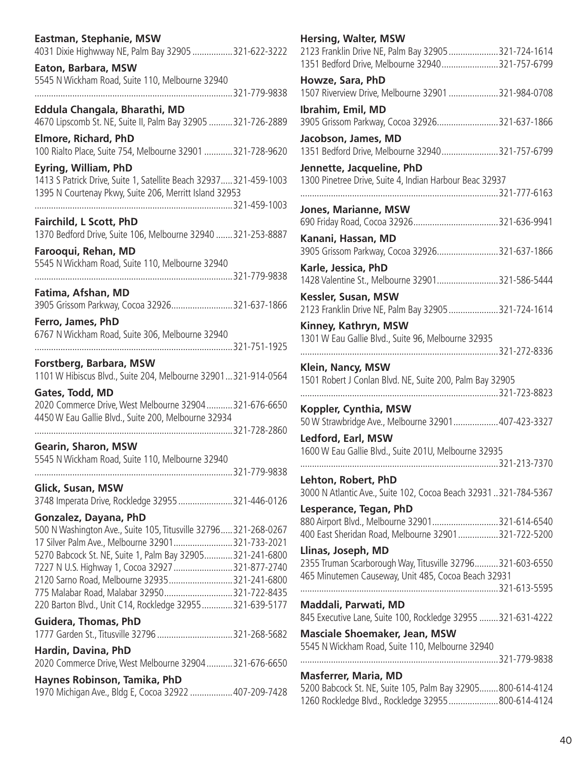| Eastman, Stephanie, MSW<br>4031 Dixie Highwway NE, Palm Bay 32905 321-622-3222                                                                                                                                                                                                                                                                                                                                       |  |
|----------------------------------------------------------------------------------------------------------------------------------------------------------------------------------------------------------------------------------------------------------------------------------------------------------------------------------------------------------------------------------------------------------------------|--|
| Eaton, Barbara, MSW<br>5545 N Wickham Road, Suite 110, Melbourne 32940<br>321-779-9838                                                                                                                                                                                                                                                                                                                               |  |
|                                                                                                                                                                                                                                                                                                                                                                                                                      |  |
| Eddula Changala, Bharathi, MD<br>4670 Lipscomb St. NE, Suite II, Palm Bay 32905 321-726-2889                                                                                                                                                                                                                                                                                                                         |  |
| <b>Elmore, Richard, PhD</b><br>100 Rialto Place, Suite 754, Melbourne 32901 321-728-9620                                                                                                                                                                                                                                                                                                                             |  |
| <b>Eyring, William, PhD</b><br>1413 S Patrick Drive, Suite 1, Satellite Beach 32937 321-459-1003<br>1395 N Courtenay Pkwy, Suite 206, Merritt Island 32953                                                                                                                                                                                                                                                           |  |
| <b>Fairchild, L Scott, PhD</b><br>1370 Bedford Drive, Suite 106, Melbourne 32940 321-253-8887                                                                                                                                                                                                                                                                                                                        |  |
| Farooqui, Rehan, MD                                                                                                                                                                                                                                                                                                                                                                                                  |  |
| 5545 N Wickham Road, Suite 110, Melbourne 32940                                                                                                                                                                                                                                                                                                                                                                      |  |
| Fatima, Afshan, MD<br>3905 Grissom Parkway, Cocoa 32926321-637-1866                                                                                                                                                                                                                                                                                                                                                  |  |
| Ferro, James, PhD<br>6767 N Wickham Road, Suite 306, Melbourne 32940<br>321-751-1925                                                                                                                                                                                                                                                                                                                                 |  |
| Forstberg, Barbara, MSW                                                                                                                                                                                                                                                                                                                                                                                              |  |
| 1101 W Hibiscus Blvd., Suite 204, Melbourne 32901321-914-0564                                                                                                                                                                                                                                                                                                                                                        |  |
| Gates, Todd, MD<br>2020 Commerce Drive, West Melbourne 32904  321-676-6650<br>4450 W Eau Gallie Blvd., Suite 200, Melbourne 32934                                                                                                                                                                                                                                                                                    |  |
|                                                                                                                                                                                                                                                                                                                                                                                                                      |  |
| Gearin, Sharon, MSW                                                                                                                                                                                                                                                                                                                                                                                                  |  |
| 5545 N Wickham Road, Suite 110, Melbourne 32940                                                                                                                                                                                                                                                                                                                                                                      |  |
| Glick, Susan, MSW                                                                                                                                                                                                                                                                                                                                                                                                    |  |
| 3748 Imperata Drive, Rockledge 32955 321-446-0126                                                                                                                                                                                                                                                                                                                                                                    |  |
| Gonzalez, Dayana, PhD<br>500 N Washington Ave., Suite 105, Titusville 32796321-268-0267<br>17 Silver Palm Ave., Melbourne 32901321-733-2021<br>5270 Babcock St. NE, Suite 1, Palm Bay 32905321-241-6800<br>7227 N U.S. Highway 1, Cocoa 32927 321-877-2740<br>2120 Sarno Road, Melbourne 32935321-241-6800<br>775 Malabar Road, Malabar 32950321-722-8435<br>220 Barton Blvd., Unit C14, Rockledge 32955321-639-5177 |  |
| <b>Guidera, Thomas, PhD</b><br>1777 Garden St., Titusville 32796 321-268-5682                                                                                                                                                                                                                                                                                                                                        |  |
| Hardin, Davina, PhD<br>2020 Commerce Drive, West Melbourne 32904 321-676-6650                                                                                                                                                                                                                                                                                                                                        |  |
| Haynes Robinson, Tamika, PhD<br>1970 Michigan Ave., Bldg E, Cocoa 32922  407-209-7428                                                                                                                                                                                                                                                                                                                                |  |

| <b>Hersing, Walter, MSW</b><br>2123 Franklin Drive NE, Palm Bay 32905321-724-1614                                |              |
|------------------------------------------------------------------------------------------------------------------|--------------|
| 1351 Bedford Drive, Melbourne 32940321-757-6799                                                                  |              |
| Howze, Sara, PhD<br>1507 Riverview Drive, Melbourne 32901 321-984-0708                                           |              |
| Ibrahim, Emil, MD<br>3905 Grissom Parkway, Cocoa 32926321-637-1866                                               |              |
| Jacobson, James, MD<br>1351 Bedford Drive, Melbourne 32940321-757-6799                                           |              |
| Jennette, Jacqueline, PhD<br>1300 Pinetree Drive, Suite 4, Indian Harbour Beac 32937                             |              |
| <b>Jones, Marianne, MSW</b>                                                                                      |              |
|                                                                                                                  |              |
| Kanani, Hassan, MD<br>3905 Grissom Parkway, Cocoa 32926321-637-1866                                              |              |
| Karle, Jessica, PhD<br>1428 Valentine St., Melbourne 32901321-586-5444                                           |              |
| Kessler, Susan, MSW<br>2123 Franklin Drive NE, Palm Bay 32905321-724-1614                                        |              |
| Kinney, Kathryn, MSW                                                                                             |              |
| 1301 W Eau Gallie Blvd., Suite 96, Melbourne 32935                                                               | 321-272-8336 |
| Klein, Nancy, MSW<br>1501 Robert J Conlan Blvd. NE, Suite 200, Palm Bay 32905                                    |              |
|                                                                                                                  |              |
| Koppler, Cynthia, MSW<br>50 W Strawbridge Ave., Melbourne 32901 407-423-3327                                     |              |
| Ledford, Earl, MSW                                                                                               |              |
| 1600 W Eau Gallie Blvd., Suite 201U, Melbourne 32935                                                             |              |
| Lehton, Robert, PhD<br>3000 N Atlantic Ave., Suite 102, Cocoa Beach 32931321-784-5367                            |              |
| Lesperance, Tegan, PhD                                                                                           |              |
| 880 Airport Blvd., Melbourne 32901321-614-6540<br>400 East Sheridan Road, Melbourne 32901321-722-5200            |              |
| Llinas, Joseph, MD                                                                                               |              |
| 2355 Truman Scarborough Way, Titusville 32796321-603-6550<br>465 Minutemen Causeway, Unit 485, Cocoa Beach 32931 |              |
|                                                                                                                  |              |
| Maddali, Parwati, MD<br>845 Executive Lane, Suite 100, Rockledge 32955 321-631-4222                              |              |
| <b>Masciale Shoemaker, Jean, MSW</b>                                                                             |              |
| 5545 N Wickham Road, Suite 110, Melbourne 32940                                                                  |              |
| <b>Masferrer, Maria, MD</b><br>5200 Babcock St. NE, Suite 105, Palm Bay 32905 800-614-4124                       |              |
| 1260 Rockledge Blvd., Rockledge 32955 800-614-4124                                                               |              |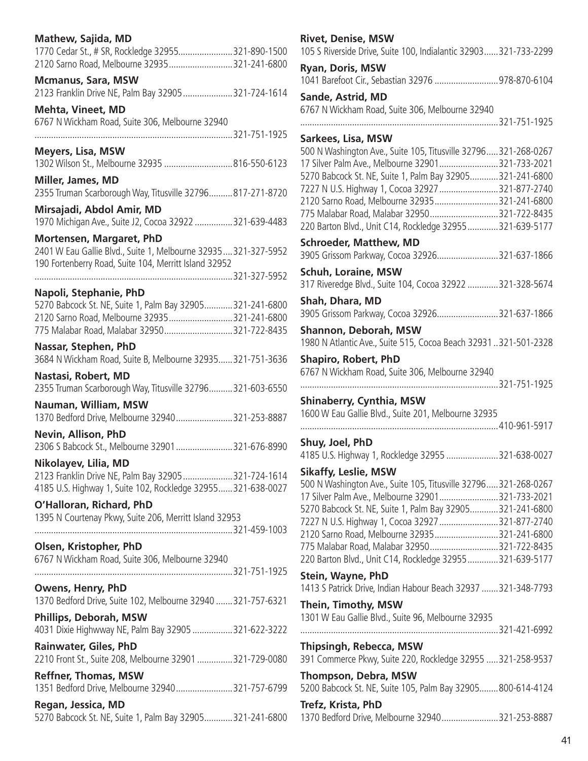| <b>Mathew, Sajida, MD</b><br>1770 Cedar St., # SR, Rockledge 32955321-890-1500    | <b>Rivet, Denise, MSW</b><br>105 S Riverside Drive, Suite 100, Indialantic 32903321-733-2299           |
|-----------------------------------------------------------------------------------|--------------------------------------------------------------------------------------------------------|
| 2120 Sarno Road, Melbourne 32935321-241-6800<br><b>Mcmanus, Sara, MSW</b>         | Ryan, Doris, MSW<br>1041 Barefoot Cir., Sebastian 32976 978-870-6104                                   |
| 2123 Franklin Drive NE, Palm Bay 32905 321-724-1614<br><b>Mehta, Vineet, MD</b>   | Sande, Astrid, MD<br>6767 N Wickham Road, Suite 306, Melbourne 32940                                   |
| 6767 N Wickham Road, Suite 306, Melbourne 32940                                   |                                                                                                        |
|                                                                                   | Sarkees, Lisa, MSW                                                                                     |
| <b>Meyers, Lisa, MSW</b>                                                          | 500 N Washington Ave., Suite 105, Titusville 32796 321-268-0267                                        |
| 1302 Wilson St., Melbourne 32935 816-550-6123                                     | 17 Silver Palm Ave., Melbourne 32901321-733-2021                                                       |
| Miller, James, MD                                                                 | 5270 Babcock St. NE, Suite 1, Palm Bay 32905321-241-6800                                               |
| 2355 Truman Scarborough Way, Titusville 32796817-271-8720                         | 7227 N U.S. Highway 1, Cocoa 32927 321-877-2740                                                        |
| Mirsajadi, Abdol Amir, MD                                                         | 2120 Sarno Road, Melbourne 32935321-241-6800                                                           |
| 1970 Michigan Ave., Suite J2, Cocoa 32922 321-639-4483                            | 775 Malabar Road, Malabar 32950321-722-8435<br>220 Barton Blvd., Unit C14, Rockledge 32955321-639-5177 |
| Mortensen, Margaret, PhD                                                          |                                                                                                        |
| 2401 W Eau Gallie Blvd., Suite 1, Melbourne 32935321-327-5952                     | <b>Schroeder, Matthew, MD</b><br>3905 Grissom Parkway, Cocoa 32926321-637-1866                         |
| 190 Fortenberry Road, Suite 104, Merritt Island 32952                             |                                                                                                        |
|                                                                                   | <b>Schuh, Loraine, MSW</b>                                                                             |
| Napoli, Stephanie, PhD                                                            | 317 Riveredge Blvd., Suite 104, Cocoa 32922 321-328-5674                                               |
| 5270 Babcock St. NE, Suite 1, Palm Bay 32905321-241-6800                          | Shah, Dhara, MD                                                                                        |
| 2120 Sarno Road, Melbourne 32935321-241-6800                                      | 3905 Grissom Parkway, Cocoa 32926321-637-1866                                                          |
| 775 Malabar Road, Malabar 32950321-722-8435                                       | Shannon, Deborah, MSW                                                                                  |
| Nassar, Stephen, PhD                                                              | 1980 N Atlantic Ave., Suite 515, Cocoa Beach 32931321-501-2328                                         |
| 3684 N Wickham Road, Suite B, Melbourne 32935321-751-3636                         | <b>Shapiro, Robert, PhD</b>                                                                            |
| Nastasi, Robert, MD                                                               | 6767 N Wickham Road, Suite 306, Melbourne 32940                                                        |
| 2355 Truman Scarborough Way, Titusville 32796321-603-6550                         |                                                                                                        |
| Nauman, William, MSW                                                              | <b>Shinaberry, Cynthia, MSW</b><br>1600 W Eau Gallie Blvd., Suite 201, Melbourne 32935                 |
| 1370 Bedford Drive, Melbourne 32940321-253-8887                                   |                                                                                                        |
| Nevin, Allison, PhD                                                               | Shuy, Joel, PhD                                                                                        |
| 2306 S Babcock St., Melbourne 32901 321-676-8990                                  | 4185 U.S. Highway 1, Rockledge 32955 321-638-0027                                                      |
| Nikolayev, Lilia, MD                                                              | <b>Sikaffy, Leslie, MSW</b>                                                                            |
| 2123 Franklin Drive NE, Palm Bay 32905321-724-1614                                | 500 N Washington Ave., Suite 105, Titusville 32796321-268-0267                                         |
| 4185 U.S. Highway 1, Suite 102, Rockledge 32955 321-638-0027                      | 17 Silver Palm Ave., Melbourne 32901321-733-2021                                                       |
| O'Halloran, Richard, PhD                                                          | 5270 Babcock St. NE, Suite 1, Palm Bay 32905321-241-6800                                               |
| 1395 N Courtenay Pkwy, Suite 206, Merritt Island 32953                            | 7227 N U.S. Highway 1, Cocoa 32927 321-877-2740                                                        |
|                                                                                   | 2120 Sarno Road, Melbourne 32935321-241-6800                                                           |
| Olsen, Kristopher, PhD                                                            | 775 Malabar Road, Malabar 32950321-722-8435                                                            |
| 6767 N Wickham Road, Suite 306, Melbourne 32940                                   | 220 Barton Blvd., Unit C14, Rockledge 32955321-639-5177                                                |
|                                                                                   | Stein, Wayne, PhD                                                                                      |
| Owens, Henry, PhD<br>1370 Bedford Drive, Suite 102, Melbourne 32940  321-757-6321 | 1413 S Patrick Drive, Indian Habour Beach 32937  321-348-7793                                          |
|                                                                                   | Thein, Timothy, MSW                                                                                    |
| <b>Phillips, Deborah, MSW</b>                                                     | 1301 W Eau Gallie Blvd., Suite 96, Melbourne 32935                                                     |
| 4031 Dixie Highwway NE, Palm Bay 32905 321-622-3222                               |                                                                                                        |
| Rainwater, Giles, PhD<br>2210 Front St., Suite 208, Melbourne 32901 321-729-0080  | <b>Thipsingh, Rebecca, MSW</b><br>391 Commerce Pkwy, Suite 220, Rockledge 32955  321-258-9537          |
| <b>Reffner, Thomas, MSW</b>                                                       | Thompson, Debra, MSW                                                                                   |
| 1351 Bedford Drive, Melbourne 32940321-757-6799                                   | 5200 Babcock St. NE, Suite 105, Palm Bay 32905800-614-4124                                             |
|                                                                                   | Trefz, Krista, PhD                                                                                     |
| Regan, Jessica, MD<br>5270 Babcock St. NE, Suite 1, Palm Bay 32905321-241-6800    | 1370 Bedford Drive, Melbourne 32940321-253-8887                                                        |
|                                                                                   |                                                                                                        |

# .......800-614-4124 .......321-253-8887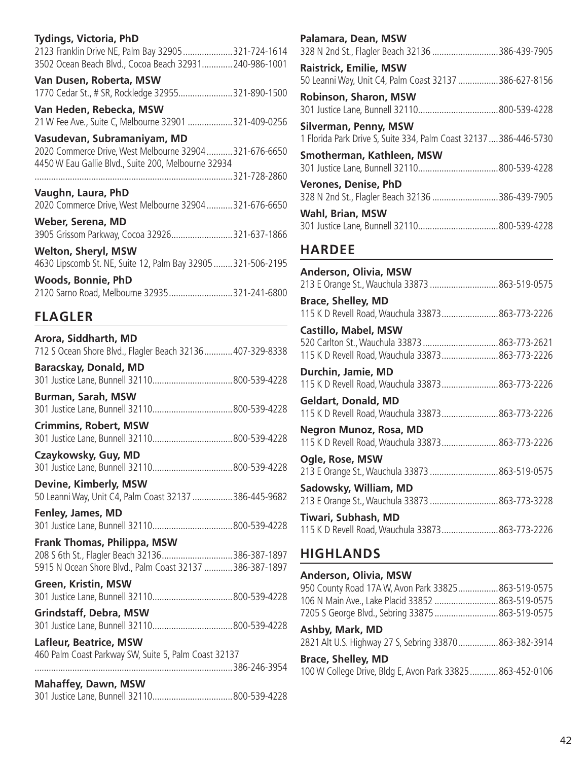| Tydings, Victoria, PhD                                                                                       |
|--------------------------------------------------------------------------------------------------------------|
| 2123 Franklin Drive NE, Palm Bay 32905321-724-1614                                                           |
| 3502 Ocean Beach Blvd., Cocoa Beach 32931 240-986-1001                                                       |
| Van Dusen, Roberta, MSW                                                                                      |
| 1770 Cedar St., # SR, Rockledge 32955321-890-1500                                                            |
| Van Heden, Rebecka, MSW                                                                                      |
| 21 W Fee Ave., Suite C, Melbourne 32901 321-409-0256                                                         |
| Vasudevan, Subramaniyam, MD                                                                                  |
| 2020 Commerce Drive, West Melbourne 32904321-676-6650<br>4450 W Eau Gallie Blvd., Suite 200, Melbourne 32934 |
|                                                                                                              |
|                                                                                                              |
|                                                                                                              |
| Vaughn, Laura, PhD<br>2020 Commerce Drive, West Melbourne 32904 321-676-6650                                 |
|                                                                                                              |
| Weber, Serena, MD<br>3905 Grissom Parkway, Cocoa 32926321-637-1866                                           |
|                                                                                                              |
| <b>Welton, Sheryl, MSW</b><br>4630 Lipscomb St. NE, Suite 12, Palm Bay 32905321-506-2195                     |
| <b>Woods, Bonnie, PhD</b>                                                                                    |
| 2120 Sarno Road, Melbourne 32935321-241-6800                                                                 |

# **FLAGLER**

| Arora, Siddharth, MD<br>712 S Ocean Shore Blvd., Flagler Beach 32136 407-329-8338                                                        |  |
|------------------------------------------------------------------------------------------------------------------------------------------|--|
| <b>Baracskay, Donald, MD</b>                                                                                                             |  |
| <b>Burman, Sarah, MSW</b>                                                                                                                |  |
| <b>Crimmins, Robert, MSW</b>                                                                                                             |  |
| Czaykowsky, Guy, MD                                                                                                                      |  |
| Devine, Kimberly, MSW<br>50 Leanni Way, Unit C4, Palm Coast 32137 386-445-9682                                                           |  |
| Fenley, James, MD                                                                                                                        |  |
| Frank Thomas, Philippa, MSW<br>208 S 6th St., Flagler Beach 32136386-387-1897<br>5915 N Ocean Shore Blvd., Palm Coast 32137 386-387-1897 |  |
| Green, Kristin, MSW                                                                                                                      |  |
| <b>Grindstaff, Debra, MSW</b>                                                                                                            |  |
| Lafleur, Beatrice, MSW<br>460 Palm Coast Parkway SW, Suite 5, Palm Coast 32137<br>386-246-3954                                           |  |
| <b>Mahaffey, Dawn, MSW</b>                                                                                                               |  |

| Palamara, Dean, MSW                                                                      |  |
|------------------------------------------------------------------------------------------|--|
| 328 N 2nd St., Flagler Beach 32136 386-439-7905                                          |  |
| <b>Raistrick, Emilie, MSW</b><br>50 Leanni Way, Unit C4, Palm Coast 32137 386-627-8156   |  |
| <b>Robinson, Sharon, MSW</b>                                                             |  |
| Silverman, Penny, MSW<br>1 Florida Park Drive S, Suite 334, Palm Coast 32137386-446-5730 |  |
| Smotherman, Kathleen, MSW                                                                |  |
| <b>Verones, Denise, PhD</b><br>328 N 2nd St., Flagler Beach 32136 386-439-7905           |  |
| Wahl, Brian, MSW                                                                         |  |
| <b>HARDEE</b>                                                                            |  |

| <b>Anderson, Olivia, MSW</b>                     |
|--------------------------------------------------|
| 213 E Orange St., Wauchula 33873 863-519-0575    |
| <b>Brace, Shelley, MD</b>                        |
| 115 K D Revell Road, Wauchula 33873863-773-2226  |
| <b>Castillo, Mabel, MSW</b>                      |
|                                                  |
| 115 K D Revell Road, Wauchula 33873863-773-2226  |
| Durchin, Jamie, MD                               |
| 115 K D Revell Road, Wauchula 33873 863-773-2226 |
| Geldart, Donald, MD                              |
| 115 K D Revell Road, Wauchula 33873 863-773-2226 |
| <b>Negron Munoz, Rosa, MD</b>                    |
| 115 K D Revell Road, Wauchula 33873 863-773-2226 |
| Ogle, Rose, MSW                                  |
| 213 E Orange St., Wauchula 33873 863-519-0575    |
| Sadowsky, William, MD                            |
| 213 E Orange St., Wauchula 33873  863-773-3228   |
| Tiwari, Subhash, MD                              |
| 115 K D Revell Road, Wauchula 33873863-773-2226  |

# **HIGHLANDS**

# **Anderson, Olivia, MSW**

| 950 County Road 17A W, Avon Park 33825863-519-0575 |  |
|----------------------------------------------------|--|
| 106 N Main Ave., Lake Placid 33852 863-519-0575    |  |
| 7205 S George Blvd., Sebring 33875 863-519-0575    |  |
|                                                    |  |

#### **Ashby, Mark, MD** 2821 Alt U.S. Highway 27 S, Sebring 33870.................863-382-3914

# **Brace, Shelley, MD**

| 100 W College Drive, Bldg E, Avon Park 33825863-452-0106 |  |  |
|----------------------------------------------------------|--|--|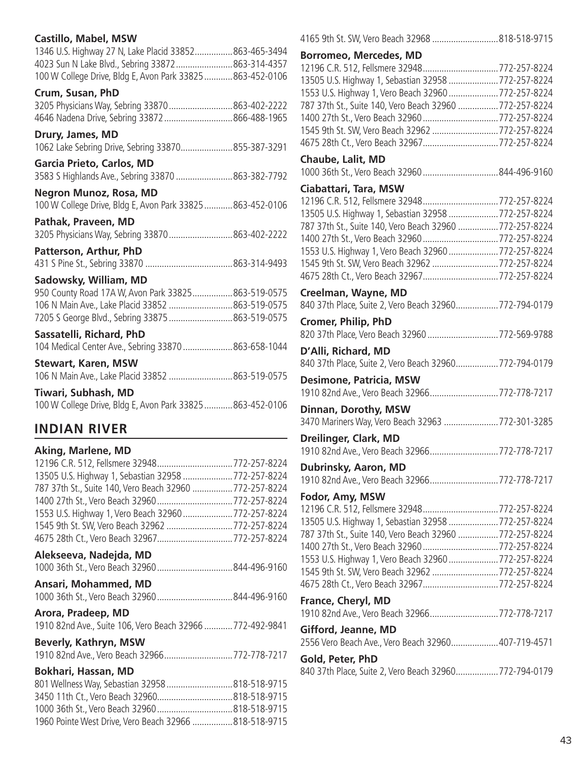| <b>Castillo, Mabel, MSW</b>                                |  |
|------------------------------------------------------------|--|
| 1346 U.S. Highway 27 N, Lake Placid 33852863-465-3494      |  |
| 4023 Sun N Lake Blvd., Sebring 33872863-314-4357           |  |
| 100 W College Drive, Bldg E, Avon Park 33825863-452-0106   |  |
| Crum, Susan, PhD                                           |  |
| 3205 Physicians Way, Sebring 33870 863-402-2222            |  |
| 4646 Nadena Drive, Sebring 33872  866-488-1965             |  |
| Drury, James, MD                                           |  |
| 1062 Lake Sebring Drive, Sebring 33870855-387-3291         |  |
| Garcia Prieto, Carlos, MD                                  |  |
| 3583 S Highlands Ave., Sebring 33870 863-382-7792          |  |
| <b>Negron Munoz, Rosa, MD</b>                              |  |
| 100 W College Drive, Bldg E, Avon Park 33825  863-452-0106 |  |
| Pathak, Praveen, MD                                        |  |
| 3205 Physicians Way, Sebring 33870 863-402-2222            |  |
| Patterson, Arthur, PhD                                     |  |
|                                                            |  |
| Sadowsky, William, MD                                      |  |
| 950 County Road 17A W, Avon Park 33825863-519-0575         |  |
| 106 N Main Ave., Lake Placid 33852  863-519-0575           |  |
| 7205 S George Blvd., Sebring 33875 863-519-0575            |  |
| Sassatelli, Richard, PhD                                   |  |
| 104 Medical Center Ave., Sebring 33870 863-658-1044        |  |
| <b>Stewart, Karen, MSW</b>                                 |  |
| 106 N Main Ave., Lake Placid 33852 863-519-0575            |  |
| Tiwari, Subhash, MD                                        |  |

100 W College Drive, Bldg E, Avon Park 33825............863-452-0106

# **INDIAN RIVER**

# **Aking, Marlene, MD**

| 12196 C.R. 512, Fellsmere 32948772-257-8224               |  |
|-----------------------------------------------------------|--|
| 13505 U.S. Highway 1, Sebastian 32958 772-257-8224        |  |
| 787 37th St., Suite 140, Vero Beach 32960 772-257-8224    |  |
| 1400 27th St., Vero Beach 32960 772-257-8224              |  |
| 1553 U.S. Highway 1, Vero Beach 32960 772-257-8224        |  |
| 1545 9th St. SW, Vero Beach 32962 772-257-8224            |  |
| 4675 28th Ct., Vero Beach 32967772-257-8224               |  |
| Alekseeva, Nadejda, MD                                    |  |
| 1000 36th St., Vero Beach 32960 844-496-9160              |  |
| Ansari, Mohammed, MD                                      |  |
| 1000 36th St., Vero Beach 32960 844-496-9160              |  |
| Arora, Pradeep, MD                                        |  |
| 1910 82nd Ave., Suite 106, Vero Beach 32966  772-492-9841 |  |
| Beverly, Kathryn, MSW                                     |  |
| 1910 82nd Ave., Vero Beach 32966772-778-7217              |  |
| Bokhari, Hassan, MD                                       |  |
| 801 Wellness Way, Sebastian 32958 818-518-9715            |  |
| 3450 11th Ct., Vero Beach 32960818-518-9715               |  |
|                                                           |  |
| 1960 Pointe West Drive, Vero Beach 32966 818-518-9715     |  |
|                                                           |  |

| 4165 9th St. SW, Vero Beach 32968 818-518-9715                                                                                                                                                                                                                                                                                                                                                                                                     |  |
|----------------------------------------------------------------------------------------------------------------------------------------------------------------------------------------------------------------------------------------------------------------------------------------------------------------------------------------------------------------------------------------------------------------------------------------------------|--|
| <b>Borromeo, Mercedes, MD</b><br>12196 C.R. 512, Fellsmere 32948772-257-8224<br>13505 U.S. Highway 1, Sebastian 32958  772-257-8224<br>1553 U.S. Highway 1, Vero Beach 32960  772-257-8224<br>787 37th St., Suite 140, Vero Beach 32960 772-257-8224<br>1400 27th St., Vero Beach 32960772-257-8224<br>1545 9th St. SW, Vero Beach 32962 772-257-8224<br>4675 28th Ct., Vero Beach 32967772-257-8224<br>Chaube, Lalit, MD<br>Ciabattari, Tara, MSW |  |
| 13505 U.S. Highway 1, Sebastian 32958 772-257-8224<br>787 37th St., Suite 140, Vero Beach 32960  772-257-8224<br>1400 27th St., Vero Beach 32960 772-257-8224<br>1553 U.S. Highway 1, Vero Beach 32960  772-257-8224<br>1545 9th St. SW, Vero Beach 32962 772-257-8224                                                                                                                                                                             |  |
| Creelman, Wayne, MD<br>840 37th Place, Suite 2, Vero Beach 32960 772-794-0179<br><b>Cromer, Philip, PhD</b><br>820 37th Place, Vero Beach 32960 772-569-9788                                                                                                                                                                                                                                                                                       |  |
| D'Alli, Richard, MD<br>840 37th Place, Suite 2, Vero Beach 32960772-794-0179                                                                                                                                                                                                                                                                                                                                                                       |  |
| <b>Desimone, Patricia, MSW</b><br>1910 82nd Ave., Vero Beach 32966772-778-7217<br>Dinnan, Dorothy, MSW                                                                                                                                                                                                                                                                                                                                             |  |
| 3470 Mariners Way, Vero Beach 32963 772-301-3285<br>Dreilinger, Clark, MD<br>1910 82nd Ave., Vero Beach 32966772-778-7217                                                                                                                                                                                                                                                                                                                          |  |
| Dubrinsky, Aaron, MD<br>1910 82nd Ave., Vero Beach 32966772-778-7217                                                                                                                                                                                                                                                                                                                                                                               |  |
| Fodor, Amy, MSW<br>13505 U.S. Highway 1, Sebastian 32958  772-257-8224<br>787 37th St., Suite 140, Vero Beach 32960  772-257-8224<br>1400 27th St., Vero Beach 32960772-257-8224<br>1553 U.S. Highway 1, Vero Beach 32960 772-257-8224<br>1545 9th St. SW, Vero Beach 32962 772-257-8224                                                                                                                                                           |  |
| <b>France, Cheryl, MD</b><br>1910 82nd Ave., Vero Beach 32966 772-778-7217                                                                                                                                                                                                                                                                                                                                                                         |  |
| Gifford, Jeanne, MD<br>2556 Vero Beach Ave., Vero Beach 32960 407-719-4571                                                                                                                                                                                                                                                                                                                                                                         |  |
| Gold, Peter, PhD<br>840 37th Place, Suite 2, Vero Beach 32960 772-794-0179                                                                                                                                                                                                                                                                                                                                                                         |  |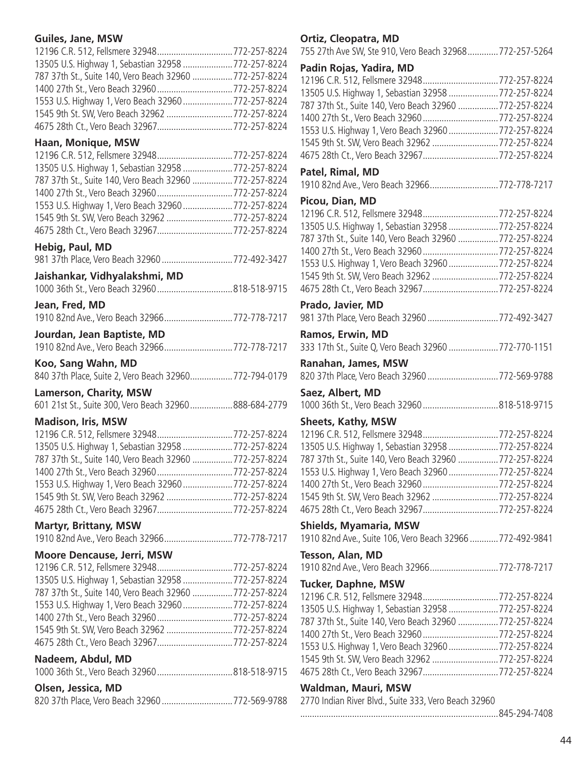# **Guiles, Jane, MSW**

| 12196 C.R. 512, Fellsmere 32948772-257-8224             |  |
|---------------------------------------------------------|--|
| 13505 U.S. Highway 1, Sebastian 32958 772-257-8224      |  |
| 787 37th St., Suite 140, Vero Beach 32960  772-257-8224 |  |
|                                                         |  |
| 1553 U.S. Highway 1, Vero Beach 32960  772-257-8224     |  |
| 1545 9th St. SW, Vero Beach 32962 772-257-8224          |  |
|                                                         |  |

# **Haan, Monique, MSW**

| 13505 U.S. Highway 1, Sebastian 32958  772-257-8224    |  |
|--------------------------------------------------------|--|
| 787 37th St., Suite 140, Vero Beach 32960 772-257-8224 |  |
|                                                        |  |
| 1553 U.S. Highway 1, Vero Beach 32960  772-257-8224    |  |
| 1545 9th St. SW, Vero Beach 32962 772-257-8224         |  |
| 4675 28th Ct., Vero Beach 32967772-257-8224            |  |

# **Hebig, Paul, MD**

|  |  |  | 981 37th Place, Vero Beach 32960 772-492-3427 |  |
|--|--|--|-----------------------------------------------|--|

# **Jaishankar, Vidhyalakshmi, MD**

# **Jean, Fred, MD**

|  | 1910 82nd Ave., Vero Beach 32966772-778-7217 |
|--|----------------------------------------------|
|  |                                              |

# **Jourdan, Jean Baptiste, MD**

| 1910 82nd Ave., Vero Beach 32966772-778-7217          |  |
|-------------------------------------------------------|--|
| Koo, Sang Wahn, MD                                    |  |
| 840 37th Place, Suite 2, Vero Beach 32960772-794-0179 |  |

# **Lamerson, Charity, MSW**

601 21st St., Suite 300, Vero Beach 32960..................888-684-2779

# **Madison, Iris, MSW**

| 13505 U.S. Highway 1, Sebastian 32958  772-257-8224     |  |
|---------------------------------------------------------|--|
| 787 37th St., Suite 140, Vero Beach 32960  772-257-8224 |  |
| 1400 27th St., Vero Beach 32960772-257-8224             |  |
| 1553 U.S. Highway 1, Vero Beach 32960  772-257-8224     |  |
| 1545 9th St. SW, Vero Beach 32962 772-257-8224          |  |
| 4675 28th Ct., Vero Beach 32967772-257-8224             |  |

# **Martyr, Brittany, MSW**

1910 82nd Ave., Vero Beach 32966.............................772-778-7217

# **Moore Dencause, Jerri, MSW**

| 13505 U.S. Highway 1, Sebastian 32958 772-257-8224     |  |
|--------------------------------------------------------|--|
| 787 37th St., Suite 140, Vero Beach 32960 772-257-8224 |  |
| 1553 U.S. Highway 1, Vero Beach 32960  772-257-8224    |  |
|                                                        |  |
| 1545 9th St. SW, Vero Beach 32962 772-257-8224         |  |
| 4675 28th Ct., Vero Beach 32967772-257-8224            |  |
| Nadeem, Abdul, MD                                      |  |
| 1000 36th St., Vero Beach 32960818-518-9715            |  |
| Olsen, Jessica, MD                                     |  |
|                                                        |  |

| 820 37th Place, Vero Beach 32960772-569-9788 |  |
|----------------------------------------------|--|

# **Ortiz, Cleopatra, MD**

755 27th Ave SW, Ste 910, Vero Beach 32968.............772-257-5264

# **Padin Rojas, Yadira, MD**

| 12196 C.R. 512, Fellsmere 32948772-257-8224               |
|-----------------------------------------------------------|
| 13505 U.S. Highway 1, Sebastian 32958  772-257-8224       |
| 787 37th St., Suite 140, Vero Beach 32960 772-257-8224    |
| 1400 27th St., Vero Beach 32960 772-257-8224              |
| 1553 U.S. Highway 1, Vero Beach 32960  772-257-8224       |
| 1545 9th St. SW, Vero Beach 32962  772-257-8224           |
| 4675 28th Ct., Vero Beach 32967772-257-8224               |
|                                                           |
| 1910 82nd Ave., Vero Beach 32966772-778-7217              |
|                                                           |
| 12196 C.R. 512, Fellsmere 32948772-257-8224               |
| 13505 U.S. Highway 1, Sebastian 32958  772-257-8224       |
| 787 37th St., Suite 140, Vero Beach 32960  772-257-8224   |
|                                                           |
| 1400 27th St., Vero Beach 32960772-257-8224               |
| 1553 U.S. Highway 1, Vero Beach 32960  772-257-8224       |
| 1545 9th St. SW, Vero Beach 32962  772-257-8224           |
| 4675 28th Ct., Vero Beach 32967772-257-8224               |
|                                                           |
| 981 37th Place, Vero Beach 32960 772-492-3427             |
|                                                           |
| 333 17th St., Suite Q, Vero Beach 32960 772-770-1151      |
|                                                           |
|                                                           |
| 820 37th Place, Vero Beach 32960 772-569-9788             |
|                                                           |
| 1000 36th St., Vero Beach 32960 818-518-9715              |
|                                                           |
| 12196 C.R. 512, Fellsmere 32948772-257-8224               |
|                                                           |
| 13505 U.S. Highway 1, Sebastian 32958  772-257-8224       |
| 787 37th St., Suite 140, Vero Beach 32960  772-257-8224   |
| 1553 U.S. Highway 1, Vero Beach 32960  772-257-8224       |
|                                                           |
| 1545 9th St. SW, Vero Beach 32962 772-257-8224            |
| 4675 28th Ct., Vero Beach 32967772-257-8224               |
|                                                           |
| 1910 82nd Ave., Suite 106, Vero Beach 32966  772-492-9841 |
|                                                           |
|                                                           |
| 1910 82nd Ave., Vero Beach 32966772-778-7217              |
|                                                           |
| 12196 C.R. 512, Fellsmere 32948772-257-8224               |
| 13505 U.S. Highway 1, Sebastian 32958  772-257-8224       |
| 787 37th St., Suite 140, Vero Beach 32960  772-257-8224   |
| 1400 27th St., Vero Beach 32960 772-257-8224              |
| 1553 U.S. Highway 1, Vero Beach 32960  772-257-8224       |
|                                                           |
| 1545 9th St. SW, Vero Beach 32962 772-257-8224            |
| 4675 28th Ct., Vero Beach 32967772-257-8224               |
|                                                           |
|                                                           |
|                                                           |
|                                                           |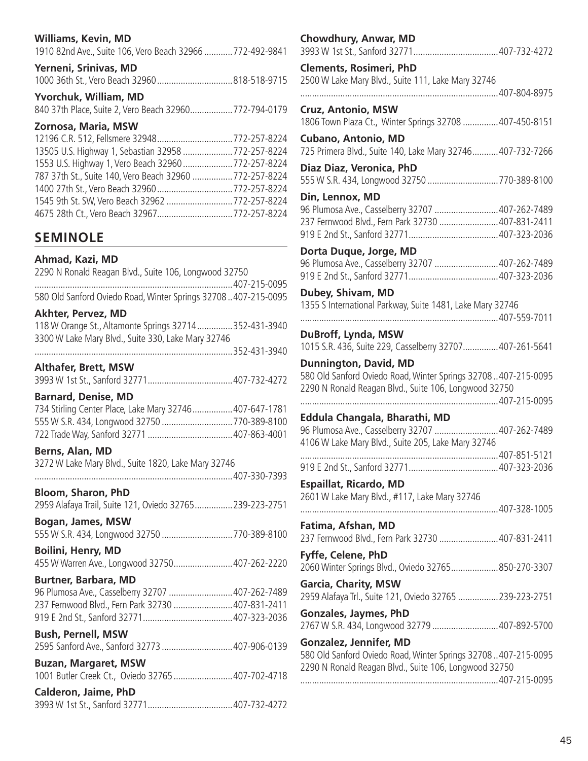### **Williams, Kevin, MD**

|  | 1910 82nd Ave., Suite 106, Vero Beach 32966  772-492-9841 |  |
|--|-----------------------------------------------------------|--|
|--|-----------------------------------------------------------|--|

#### **Yerneni, Srinivas, MD**

|--|--|--|

# **Yvorchuk, William, MD**

840 37th Place, Suite 2, Vero Beach 32960..................772-794-0179

# **Zornosa, Maria, MSW**

| 13505 U.S. Highway 1, Sebastian 32958 772-257-8224      |  |
|---------------------------------------------------------|--|
| 1553 U.S. Highway 1, Vero Beach 32960  772-257-8224     |  |
| 787 37th St., Suite 140, Vero Beach 32960  772-257-8224 |  |
|                                                         |  |
| 1545 9th St. SW, Vero Beach 32962 772-257-8224          |  |
|                                                         |  |

# **SEMINOLE**

### **Ahmad, Kazi, MD**

2290 N Ronald Reagan Blvd., Suite 106, Longwood 32750

| 580 Old Sanford Oviedo Road, Winter Springs 32708407-215-0095 |  |  |
|---------------------------------------------------------------|--|--|

### **Akhter, Pervez, MD**

| 118 W Orange St., Altamonte Springs 32714352-431-3940 |              |
|-------------------------------------------------------|--------------|
| 3300 W Lake Mary Blvd., Suite 330, Lake Mary 32746    |              |
|                                                       | 352-431-3040 |

| <b>Althafer, Brett, MSW</b> |  |
|-----------------------------|--|

# 3993 W 1st St., Sanford 32771....................................407-732-4272

**Barnard, Denise, MD** 734 Stirling Center Place, Lake Mary 32746.................407-647-1781 555 W S.R. 434, Longwood 32750 ..............................770-389-8100 722 Trade Way, Sanford 32771 ....................................407-863-4001

#### **Berns, Alan, MD**

3272 W Lake Mary Blvd., Suite 1820, Lake Mary 32746 ....................................................................................407-330-7393

| Bloom, Sharon, PhD                                       |  |
|----------------------------------------------------------|--|
| 2959 Alafaya Trail, Suite 121, Oviedo 32765 239-223-2751 |  |

**Bogan, James, MSW** 555 W S.R. 434, Longwood 32750 ..............................770-389-8100

**Boilini, Henry, MD**

455 W Warren Ave., Longwood 32750.........................407-262-2220

# **Burtner, Barbara, MD**

96 Plumosa Ave., Casselberry 32707 ...........................407-262-7489 237 Fernwood Blvd., Fern Park 32730 .........................407-831-2411 919 E 2nd St., Sanford 32771......................................407-323-2036

#### **Bush, Pernell, MSW** 2595 Sanford Ave., Sanford 32773 ..............................407-906-0139

| <b>Buzan, Margaret, MSW</b> |             |
|-----------------------------|-------------|
|                             | $107 - 700$ |

|                             | 1001 Butler Creek Ct., Oviedo 32765 407-702-4718 |
|-----------------------------|--------------------------------------------------|
| <b>Calderon, Jaime, PhD</b> |                                                  |

|--|--|--|

| Chowdhury, Anwar, MD                                                                                                                                   |  |
|--------------------------------------------------------------------------------------------------------------------------------------------------------|--|
| <b>Clements, Rosimeri, PhD</b><br>2500 W Lake Mary Blvd., Suite 111, Lake Mary 32746                                                                   |  |
|                                                                                                                                                        |  |
| Cruz, Antonio, MSW<br>1806 Town Plaza Ct., Winter Springs 32708  407-450-8151                                                                          |  |
| <b>Cubano, Antonio, MD</b><br>725 Primera Blvd., Suite 140, Lake Mary 32746 407-732-7266                                                               |  |
| Diaz Diaz, Veronica, PhD<br>555 W S.R. 434, Longwood 32750 770-389-8100                                                                                |  |
| Din, Lennox, MD<br>96 Plumosa Ave., Casselberry 32707 407-262-7489<br>237 Fernwood Blvd., Fern Park 32730  407-831-2411                                |  |
| Dorta Duque, Jorge, MD<br>96 Plumosa Ave., Casselberry 32707 407-262-7489                                                                              |  |
| Dubey, Shivam, MD<br>1355 S International Parkway, Suite 1481, Lake Mary 32746                                                                         |  |
| DuBroff, Lynda, MSW<br>1015 S.R. 436, Suite 229, Casselberry 32707 407-261-5641                                                                        |  |
| <b>Dunnington, David, MD</b><br>580 Old Sanford Oviedo Road, Winter Springs 32708407-215-0095<br>2290 N Ronald Reagan Blvd., Suite 106, Longwood 32750 |  |
| Eddula Changala, Bharathi, MD                                                                                                                          |  |
| 96 Plumosa Ave., Casselberry 32707 407-262-7489<br>4106 W Lake Mary Blvd., Suite 205, Lake Mary 32746                                                  |  |
|                                                                                                                                                        |  |
| <b>Espaillat, Ricardo, MD</b><br>2601 W Lake Mary Blvd., #117, Lake Mary 32746                                                                         |  |
| Fatima, Afshan, MD<br>237 Fernwood Blvd., Fern Park 32730 407-831-2411                                                                                 |  |
| Fyffe, Celene, PhD<br>2060 Winter Springs Blvd., Oviedo 32765850-270-3307                                                                              |  |
| <b>Garcia, Charity, MSW</b><br>2959 Alafaya Trl., Suite 121, Oviedo 32765  239-223-2751                                                                |  |
| <b>Gonzales, Jaymes, PhD</b><br>2767 W S.R. 434, Longwood 32779  407-892-5700                                                                          |  |
| Gonzalez, Jennifer, MD<br>580 Old Sanford Oviedo Road, Winter Springs 32708407-215-0095<br>2290 N Ronald Reagan Blvd., Suite 106, Longwood 32750       |  |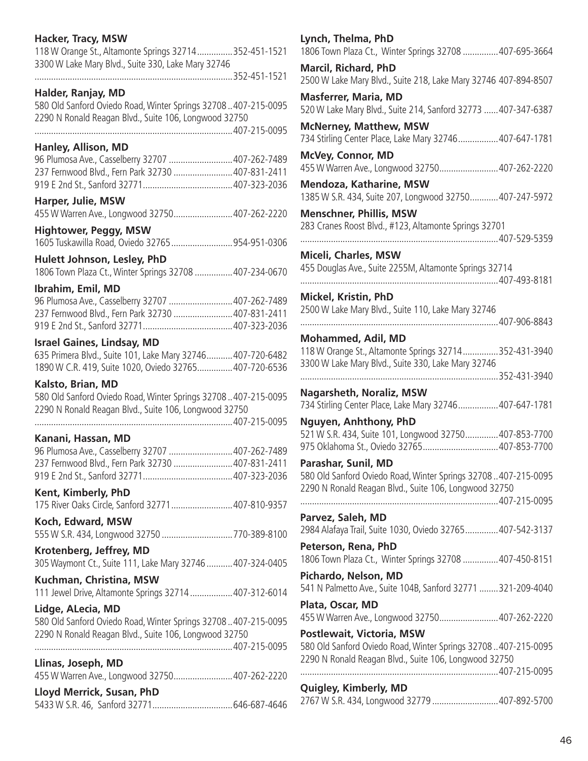| Hacker, Tracy, MSW                                                                                                     | Lyno        |
|------------------------------------------------------------------------------------------------------------------------|-------------|
| 118 W Orange St., Altamonte Springs 32714352-451-1521<br>3300 W Lake Mary Blvd., Suite 330, Lake Mary 32746            | 1806<br>Mar |
|                                                                                                                        | 2500        |
| Halder, Ranjay, MD                                                                                                     | <b>Mas</b>  |
| 580 Old Sanford Oviedo Road, Winter Springs 32708407-215-0095<br>2290 N Ronald Reagan Blvd., Suite 106, Longwood 32750 | 520V        |
|                                                                                                                        | <b>McN</b>  |
| Hanley, Allison, MD                                                                                                    | 734 S       |
| 96 Plumosa Ave., Casselberry 32707  407-262-7489                                                                       | McV         |
| 237 Fernwood Blvd., Fern Park 32730  407-831-2411                                                                      | 455V<br>Mer |
| Harper, Julie, MSW<br>455 W Warren Ave., Longwood 32750 407-262-2220                                                   | 1385<br>Mer |
| <b>Hightower, Peggy, MSW</b>                                                                                           | 283 0       |
| 1605 Tuskawilla Road, Oviedo 32765954-951-0306                                                                         | .           |
| Hulett Johnson, Lesley, PhD                                                                                            | <b>Mice</b> |
| 1806 Town Plaza Ct., Winter Springs 32708  407-234-0670                                                                | 455 L       |
| Ibrahim, Emil, MD                                                                                                      | .           |
| 96 Plumosa Ave., Casselberry 32707  407-262-7489                                                                       | Micl        |
| 237 Fernwood Blvd., Fern Park 32730  407-831-2411                                                                      | 2500        |
|                                                                                                                        | .           |
| <b>Israel Gaines, Lindsay, MD</b>                                                                                      | Moł         |
| 635 Primera Blvd., Suite 101, Lake Mary 32746 407-720-6482                                                             | 118V        |
| 1890 W C.R. 419, Suite 1020, Oviedo 32765 407-720-6536                                                                 | 3300        |
| Kalsto, Brian, MD                                                                                                      |             |
| 580 Old Sanford Oviedo Road, Winter Springs 32708407-215-0095                                                          | <b>Nag</b>  |
| 2290 N Ronald Reagan Blvd., Suite 106, Longwood 32750                                                                  | 734 S       |
|                                                                                                                        | <b>Ngu</b>  |
| Kanani, Hassan, MD                                                                                                     | 521V        |
| 96 Plumosa Ave., Casselberry 32707 407-262-7489                                                                        | 9750        |
| 237 Fernwood Blvd., Fern Park 32730 407-831-2411                                                                       | Para        |
|                                                                                                                        | 5800        |
| Kent, Kimberly, PhD                                                                                                    | 2290        |
| 175 River Oaks Circle, Sanford 32771 407-810-9357                                                                      | .           |
| Koch, Edward, MSW                                                                                                      | Parv        |
| 555 W S.R. 434, Longwood 32750 770-389-8100                                                                            | 2984        |
| Krotenberg, Jeffrey, MD                                                                                                | Pete        |
| 305 Waymont Ct., Suite 111, Lake Mary 32746  407-324-0405                                                              | 1806        |
| Kuchman, Christina, MSW                                                                                                | Pich        |
| 111 Jewel Drive, Altamonte Springs 32714  407-312-6014                                                                 | 541 \       |
| Lidge, ALecia, MD                                                                                                      | Plat        |
| 580 Old Sanford Oviedo Road, Winter Springs 32708407-215-0095                                                          | 455V        |
| 2290 N Ronald Reagan Blvd., Suite 106, Longwood 32750                                                                  | Post        |
|                                                                                                                        | 580 0       |
| Llinas, Joseph, MD                                                                                                     | 2290        |
| 455 W Warren Ave., Longwood 32750 407-262-2220                                                                         | .           |
| Lloyd Merrick, Susan, PhD                                                                                              | Quig        |
|                                                                                                                        | 2767        |

| Lynch, Thelma, PhD<br>1806 Town Plaza Ct., Winter Springs 32708  407-695-3664                  |  |
|------------------------------------------------------------------------------------------------|--|
| <b>Marcil, Richard, PhD</b><br>2500 W Lake Mary Blvd., Suite 218, Lake Mary 32746 407-894-8507 |  |
| <b>Masferrer, Maria, MD</b>                                                                    |  |
| 520 W Lake Mary Blvd., Suite 214, Sanford 32773  407-347-6387                                  |  |
| <b>McNerney, Matthew, MSW</b><br>734 Stirling Center Place, Lake Mary 32746 407-647-1781       |  |
| McVey, Connor, MD<br>455 W Warren Ave., Longwood 32750 407-262-2220                            |  |
| Mendoza, Katharine, MSW                                                                        |  |
| 1385 W S.R. 434, Suite 207, Longwood 32750 407-247-5972                                        |  |
| <b>Menschner, Phillis, MSW</b>                                                                 |  |
| 283 Cranes Roost Blvd., #123, Altamonte Springs 32701                                          |  |
| Miceli, Charles, MSW                                                                           |  |
| 455 Douglas Ave., Suite 2255M, Altamonte Springs 32714                                         |  |
|                                                                                                |  |
| <b>Mickel, Kristin, PhD</b>                                                                    |  |
| 2500 W Lake Mary Blvd., Suite 110, Lake Mary 32746                                             |  |
| <b>Mohammed, Adil, MD</b>                                                                      |  |
| 118 W Orange St., Altamonte Springs 32714352-431-3940                                          |  |
| 3300 W Lake Mary Blvd., Suite 330, Lake Mary 32746                                             |  |
|                                                                                                |  |
| <b>Nagarsheth, Noraliz, MSW</b>                                                                |  |
| 734 Stirling Center Place, Lake Mary 32746 407-647-1781                                        |  |
| Nguyen, Anhthony, PhD<br>521 W S.R. 434, Suite 101, Longwood 32750 407-853-7700                |  |
| 975 Oklahoma St., Oviedo 32765407-853-7700                                                     |  |
| Parashar, Sunil, MD                                                                            |  |
| 580 Old Sanford Oviedo Road, Winter Springs 32708407-215-0095                                  |  |
| 2290 N Ronald Reagan Blvd., Suite 106, Longwood 32750                                          |  |
|                                                                                                |  |
| Parvez, Saleh, MD<br>2984 Alafaya Trail, Suite 1030, Oviedo 32765 407-542-3137                 |  |
| Peterson, Rena, PhD                                                                            |  |
| 1806 Town Plaza Ct., Winter Springs 32708  407-450-8151                                        |  |
| Pichardo, Nelson, MD                                                                           |  |
| 541 N Palmetto Ave., Suite 104B, Sanford 32771 321-209-4040                                    |  |
| Plata, Oscar, MD                                                                               |  |
| 455 W Warren Ave., Longwood 32750407-262-2220                                                  |  |
| Postlewait, Victoria, MSW                                                                      |  |
| 580 Old Sanford Oviedo Road, Winter Springs 32708407-215-0095                                  |  |
| 2290 N Ronald Reagan Blvd., Suite 106, Longwood 32750                                          |  |
| Quigley, Kimberly, MD                                                                          |  |
| 2767 W S.R. 434, Longwood 32779 407-892-5700                                                   |  |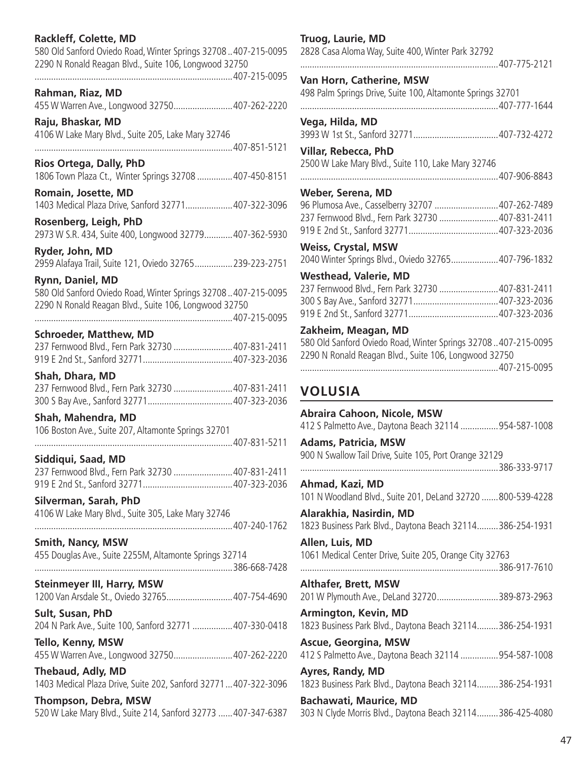### **Rackleff, Colette, MD**

580 Old Sanford Oviedo Road, Winter Springs 32708 ..407-215-0095 2290 N Ronald Reagan Blvd., Suite 106, Longwood 32750 ....................................................................................407-215-0095

**Rahman, Riaz, MD** 455 W Warren Ave., Longwood 32750.........................407-262-2220

**Raju, Bhaskar, MD** 4106 W Lake Mary Blvd., Suite 205, Lake Mary 32746 ....................................................................................407-851-5121

**Rios Ortega, Dally, PhD** 1806 Town Plaza Ct., Winter Springs 32708 ...............407-450-8151

**Romain, Josette, MD** 1403 Medical Plaza Drive, Sanford 32771....................407-322-3096

**Rosenberg, Leigh, PhD** 2973 W S.R. 434, Suite 400, Longwood 32779............407-362-5930

**Ryder, John, MD** 2959 Alafaya Trail, Suite 121, Oviedo 32765................239-223-2751

**Rynn, Daniel, MD** 580 Old Sanford Oviedo Road, Winter Springs 32708 ..407-215-0095 2290 N Ronald Reagan Blvd., Suite 106, Longwood 32750

....................................................................................407-215-0095

**Schroeder, Matthew, MD** 237 Fernwood Blvd., Fern Park 32730 .........................407-831-2411 919 E 2nd St., Sanford 32771......................................407-323-2036

**Shah, Dhara, MD** 237 Fernwood Blvd., Fern Park 32730 .........................407-831-2411 300 S Bay Ave., Sanford 32771....................................407-323-2036

**Shah, Mahendra, MD** 106 Boston Ave., Suite 207, Altamonte Springs 32701

....................................................................................407-831-5211 **Siddiqui, Saad, MD**

237 Fernwood Blvd., Fern Park 32730 .........................407-831-2411 919 E 2nd St., Sanford 32771......................................407-323-2036

**Silverman, Sarah, PhD** 4106 W Lake Mary Blvd., Suite 305, Lake Mary 32746 ....................................................................................407-240-1762

**Smith, Nancy, MSW** 455 Douglas Ave., Suite 2255M, Altamonte Springs 32714

....................................................................................386-668-7428 **Steinmeyer III, Harry, MSW**

1200 Van Arsdale St., Oviedo 32765............................407-754-4690

**Sult, Susan, PhD** 204 N Park Ave., Suite 100, Sanford 32771 .................407-330-0418

**Tello, Kenny, MSW** 455 W Warren Ave., Longwood 32750.........................407-262-2220

**Thebaud, Adly, MD** 1403 Medical Plaza Drive, Suite 202, Sanford 32771...407-322-3096

**Thompson, Debra, MSW** 520 W Lake Mary Blvd., Suite 214, Sanford 32773 ......407-347-6387

#### **Truog, Laurie, MD**

2828 Casa Aloma Way, Suite 400, Winter Park 32792

....................................................................................407-775-2121

**Van Horn, Catherine, MSW**

498 Palm Springs Drive, Suite 100, Altamonte Springs 32701 ....................................................................................407-777-1644

**Vega, Hilda, MD** 3993 W 1st St., Sanford 32771....................................407-732-4272

**Villar, Rebecca, PhD** 2500 W Lake Mary Blvd., Suite 110, Lake Mary 32746

....................................................................................407-906-8843

**Weber, Serena, MD**

| 96 Plumosa Ave., Casselberry 32707  407-262-7489 |  |
|--------------------------------------------------|--|
| 237 Fernwood Blvd., Fern Park 32730 407-831-2411 |  |
|                                                  |  |

**Weiss, Crystal, MSW** 2040 Winter Springs Blvd., Oviedo 32765....................407-796-1832

**Westhead, Valerie, MD**

| 237 Fernwood Blvd., Fern Park 32730 407-831-2411 |  |
|--------------------------------------------------|--|
|                                                  |  |
|                                                  |  |

### **Zakheim, Meagan, MD**

580 Old Sanford Oviedo Road, Winter Springs 32708 ..407-215-0095 2290 N Ronald Reagan Blvd., Suite 106, Longwood 32750 ....................................................................................407-215-0095

# **VOLUSIA**

**Abraira Cahoon, Nicole, MSW** 412 S Palmetto Ave., Daytona Beach 32114 ................954-587-1008 **Adams, Patricia, MSW** 900 N Swallow Tail Drive, Suite 105, Port Orange 32129 ....................................................................................386-333-9717 **Ahmad, Kazi, MD** 101 N Woodland Blvd., Suite 201, DeLand 32720 .......800-539-4228 **Alarakhia, Nasirdin, MD** 1823 Business Park Blvd., Daytona Beach 32114.........386-254-1931 **Allen, Luis, MD** 1061 Medical Center Drive, Suite 205, Orange City 32763 ....................................................................................386-917-7610 **Althafer, Brett, MSW** 201 W Plymouth Ave., DeLand 32720..........................389-873-2963 **Armington, Kevin, MD** 1823 Business Park Blvd., Daytona Beach 32114.........386-254-1931 **Ascue, Georgina, MSW** 412 S Palmetto Ave., Daytona Beach 32114 ................954-587-1008 **Ayres, Randy, MD** 1823 Business Park Blvd., Daytona Beach 32114.........386-254-1931 **Bachawati, Maurice, MD** 303 N Clyde Morris Blvd., Daytona Beach 32114.........386-425-4080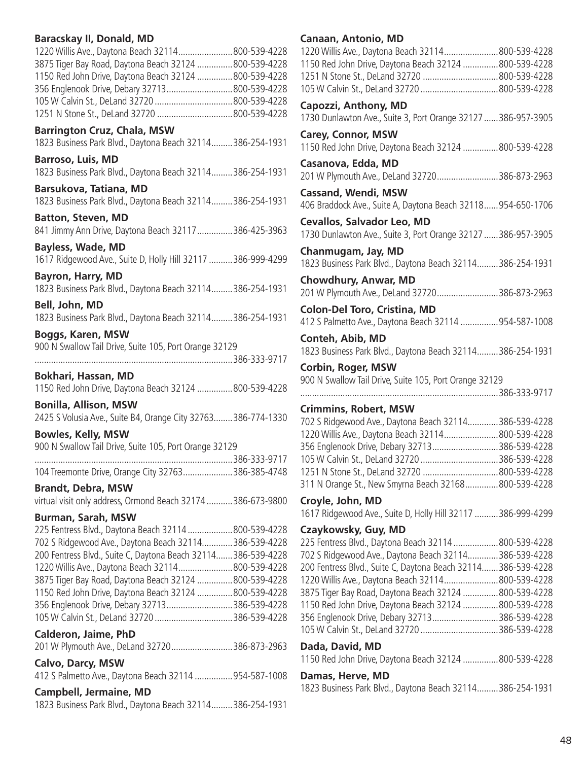## **Baracskay II, Donald, MD**

| 1220 Willis Ave., Daytona Beach 32114 800-539-4228     |
|--------------------------------------------------------|
| 3875 Tiger Bay Road, Daytona Beach 32124 800-539-4228  |
| 1150 Red John Drive, Daytona Beach 32124  800-539-4228 |
| 356 Englenook Drive, Debary 32713800-539-4228          |
|                                                        |
|                                                        |
|                                                        |

**Barrington Cruz, Chala, MSW** 1823 Business Park Blvd., Daytona Beach 32114.........386-254-1931

**Barroso, Luis, MD** 1823 Business Park Blvd., Daytona Beach 32114.........386-254-1931

**Barsukova, Tatiana, MD** 1823 Business Park Blvd., Daytona Beach 32114.........386-254-1931

**Batton, Steven, MD** 841 Jimmy Ann Drive, Daytona Beach 32117...............386-425-3963

**Bayless, Wade, MD** 1617 Ridgewood Ave., Suite D, Holly Hill 32117 ..........386-999-4299

**Bayron, Harry, MD** 1823 Business Park Blvd., Daytona Beach 32114.........386-254-1931

**Bell, John, MD** 1823 Business Park Blvd., Daytona Beach 32114.........386-254-1931

**Boggs, Karen, MSW** 900 N Swallow Tail Drive, Suite 105, Port Orange 32129

....................................................................................386-333-9717 **Bokhari, Hassan, MD**

1150 Red John Drive, Daytona Beach 32124 ...............800-539-4228

**Bonilla, Allison, MSW** 2425 S Volusia Ave., Suite B4, Orange City 32763........386-774-1330

**Bowles, Kelly, MSW** 900 N Swallow Tail Drive, Suite 105, Port Orange 32129

| 104 Treemonte Drive, Orange City 32763386-385-4748 |  |
|----------------------------------------------------|--|

**Brandt, Debra, MSW**

virtual visit only address, Ormond Beach 32174...........386-673-9800

# **Burman, Sarah, MSW**

225 Fentress Blvd., Daytona Beach 32114 ...................800-539-4228 702 S Ridgewood Ave., Daytona Beach 32114.............386-539-4228 200 Fentress Blvd., Suite C, Daytona Beach 32114.......386-539-4228 1220 Willis Ave., Daytona Beach 32114.......................800-539-4228 3875 Tiger Bay Road, Daytona Beach 32124 ...............800-539-4228 1150 Red John Drive, Daytona Beach 32124 ...............800-539-4228 356 Englenook Drive, Debary 32713............................386-539-4228 105 W Calvin St., DeLand 32720 .................................386-539-4228

**Calderon, Jaime, PhD**

|  |  | 201 W Plymouth Ave., DeLand 32720386-873-2963 |
|--|--|-----------------------------------------------|
|--|--|-----------------------------------------------|

### **Calvo, Darcy, MSW**

412 S Palmetto Ave., Daytona Beach 32114 ................954-587-1008

### **Campbell, Jermaine, MD**

1823 Business Park Blvd., Daytona Beach 32114.........386-254-1931

# **Canaan, Antonio, MD**

| שויו היונטוווי, הייסוויי, שו<br>1220 Willis Ave., Daytona Beach 32114 800-539-4228<br>1150 Red John Drive, Daytona Beach 32124 800-539-4228<br>1251 N Stone St., DeLand 32720 800-539-4228<br>105 W Calvin St., DeLand 32720 800-539-4228 |  |
|-------------------------------------------------------------------------------------------------------------------------------------------------------------------------------------------------------------------------------------------|--|
| Capozzi, Anthony, MD<br>1730 Dunlawton Ave., Suite 3, Port Orange 32127  386-957-3905                                                                                                                                                     |  |
| <b>Carey, Connor, MSW</b><br>1150 Red John Drive, Daytona Beach 32124 800-539-4228                                                                                                                                                        |  |
| Casanova, Edda, MD<br>201 W Plymouth Ave., DeLand 32720386-873-2963                                                                                                                                                                       |  |
| <b>Cassand, Wendi, MSW</b><br>406 Braddock Ave., Suite A, Daytona Beach 32118954-650-1706                                                                                                                                                 |  |
| <b>Cevallos, Salvador Leo, MD</b><br>1730 Dunlawton Ave., Suite 3, Port Orange 32127  386-957-3905                                                                                                                                        |  |
| Chanmugam, Jay, MD<br>1823 Business Park Blvd., Daytona Beach 32114386-254-1931                                                                                                                                                           |  |
| Chowdhury, Anwar, MD<br>201 W Plymouth Ave., DeLand 32720386-873-2963                                                                                                                                                                     |  |
| <b>Colon-Del Toro, Cristina, MD</b><br>412 S Palmetto Ave., Daytona Beach 32114  954-587-1008                                                                                                                                             |  |
| Conteh, Abib, MD<br>1823 Business Park Blvd., Daytona Beach 32114386-254-1931                                                                                                                                                             |  |
| <b>Corbin, Roger, MSW</b><br>900 N Swallow Tail Drive, Suite 105, Port Orange 32129                                                                                                                                                       |  |
|                                                                                                                                                                                                                                           |  |
| <b>Crimmins, Robert, MSW</b>                                                                                                                                                                                                              |  |
| 702 S Ridgewood Ave., Daytona Beach 32114386-539-4228                                                                                                                                                                                     |  |
| 1220 Willis Ave., Daytona Beach 32114800-539-4228                                                                                                                                                                                         |  |
| 356 Englenook Drive, Debary 32713386-539-4228                                                                                                                                                                                             |  |
| 105 W Calvin St., DeLand 32720 386-539-4228                                                                                                                                                                                               |  |
| 1251 N Stone St., DeLand 32720 800-539-4228                                                                                                                                                                                               |  |
| 311 N Orange St., New Smyrna Beach 32168800-539-4228                                                                                                                                                                                      |  |
| Croyle, John, MD                                                                                                                                                                                                                          |  |
| 1617 Ridgewood Ave., Suite D, Holly Hill 32117  386-999-4299                                                                                                                                                                              |  |
| Czaykowsky, Guy, MD                                                                                                                                                                                                                       |  |
| 225 Fentress Blvd., Daytona Beach 32114 800-539-4228                                                                                                                                                                                      |  |
| 702 S Ridgewood Ave., Daytona Beach 32114386-539-4228                                                                                                                                                                                     |  |
| 200 Fentress Blvd., Suite C, Daytona Beach 32114386-539-4228                                                                                                                                                                              |  |
| 1220 Willis Ave., Daytona Beach 32114800-539-4228                                                                                                                                                                                         |  |
|                                                                                                                                                                                                                                           |  |
| 3875 Tiger Bay Road, Daytona Beach 32124 800-539-4228<br>1150 Red John Drive, Daytona Beach 32124 800-539-4228                                                                                                                            |  |
|                                                                                                                                                                                                                                           |  |
| 356 Englenook Drive, Debary 32713386-539-4228<br>105 W Calvin St., DeLand 32720 386-539-4228                                                                                                                                              |  |
|                                                                                                                                                                                                                                           |  |
| Dada, David, MD                                                                                                                                                                                                                           |  |
| 1150 Red John Drive, Daytona Beach 32124 800-539-4228                                                                                                                                                                                     |  |
| Damas, Herve, MD<br>1823 Business Park Blvd., Daytona Beach 32114386-254-1931                                                                                                                                                             |  |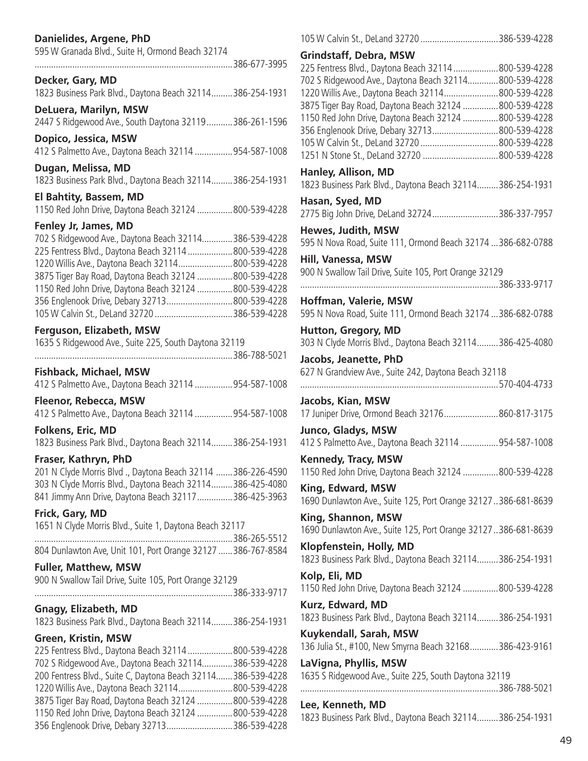# **Danielides, Argene, PhD**

| 595 W Granada Blvd., Suite H, Ormond Beach 32174              |  |
|---------------------------------------------------------------|--|
| 386-677-3995                                                  |  |
|                                                               |  |
| Decker, Gary, MD                                              |  |
| 1823 Business Park Blvd., Daytona Beach 32114386-254-1931     |  |
|                                                               |  |
| DeLuera, Marilyn, MSW                                         |  |
| 2447 S Ridgewood Ave., South Daytona 32119386-261-1596        |  |
| Dopico, Jessica, MSW                                          |  |
| 412 S Palmetto Ave., Daytona Beach 32114 954-587-1008         |  |
|                                                               |  |
| Dugan, Melissa, MD                                            |  |
| 1823 Business Park Blvd., Daytona Beach 32114386-254-1931     |  |
| El Bahtity, Bassem, MD                                        |  |
|                                                               |  |
| 1150 Red John Drive, Daytona Beach 32124 800-539-4228         |  |
| Fenley Jr, James, MD                                          |  |
| 702 S Ridgewood Ave., Daytona Beach 32114386-539-4228         |  |
| 225 Fentress Blvd., Daytona Beach 32114  800-539-4228         |  |
| 1220 Willis Ave., Daytona Beach 32114 800-539-4228            |  |
| 3875 Tiger Bay Road, Daytona Beach 32124 800-539-4228         |  |
|                                                               |  |
| 1150 Red John Drive, Daytona Beach 32124 800-539-4228         |  |
| 356 Englenook Drive, Debary 32713800-539-4228                 |  |
| 105 W Calvin St., DeLand 32720 386-539-4228                   |  |
| Ferguson, Elizabeth, MSW                                      |  |
| 1635 S Ridgewood Ave., Suite 225, South Daytona 32119         |  |
|                                                               |  |
|                                                               |  |
| <b>Fishback, Michael, MSW</b>                                 |  |
| 412 S Palmetto Ave., Daytona Beach 32114 954-587-1008         |  |
|                                                               |  |
| <b>Fleenor, Rebecca, MSW</b>                                  |  |
| 412 S Palmetto Ave., Daytona Beach 32114 954-587-1008         |  |
| Folkens, Eric, MD                                             |  |
| 1823 Business Park Blvd., Daytona Beach 32114386-254-1931     |  |
|                                                               |  |
| Fraser, Kathryn, PhD                                          |  |
| 201 N Clyde Morris Blvd ., Daytona Beach 32114 386-226-4590   |  |
| 303 N Clyde Morris Blvd., Daytona Beach 32114386-425-4080     |  |
| 841 Jimmy Ann Drive, Daytona Beach 32117 386-425-3963         |  |
|                                                               |  |
| Frick, Gary, MD                                               |  |
| 1651 N Clyde Morris Blvd., Suite 1, Daytona Beach 32117       |  |
|                                                               |  |
| 804 Dunlawton Ave, Unit 101, Port Orange 32127  386-767-8584  |  |
| <b>Fuller, Matthew, MSW</b>                                   |  |
|                                                               |  |
| 900 N Swallow Tail Drive, Suite 105, Port Orange 32129        |  |
|                                                               |  |
| <b>Gnagy, Elizabeth, MD</b>                                   |  |
| 1823 Business Park Blvd., Daytona Beach 32114386-254-1931     |  |
|                                                               |  |
| <b>Green, Kristin, MSW</b>                                    |  |
| 225 Fentress Blvd., Daytona Beach 32114  800-539-4228         |  |
| 702 S Ridgewood Ave., Daytona Beach 32114386-539-4228         |  |
| 200 Fentress Blvd., Suite C, Daytona Beach 32114 386-539-4228 |  |
| 1220 Willis Ave., Daytona Beach 32114 800-539-4228            |  |
| 3875 Tiger Bay Road, Daytona Beach 32124 800-539-4228         |  |
| 1150 Red John Drive, Daytona Beach 32124 800-539-4228         |  |
|                                                               |  |

356 Englenook Drive, Debary 32713............................386-539-4228

| 105 W Calvin St., DeLand 32720 386-539-4228                                             |  |
|-----------------------------------------------------------------------------------------|--|
| <b>Grindstaff, Debra, MSW</b>                                                           |  |
| 225 Fentress Blvd., Daytona Beach 32114 800-539-4228                                    |  |
| 702 S Ridgewood Ave., Daytona Beach 32114 800-539-4228                                  |  |
| 1220 Willis Ave., Daytona Beach 32114800-539-4228                                       |  |
| 3875 Tiger Bay Road, Daytona Beach 32124 800-539-4228                                   |  |
| 1150 Red John Drive, Daytona Beach 32124 800-539-4228                                   |  |
| 356 Englenook Drive, Debary 32713800-539-4228                                           |  |
|                                                                                         |  |
| 1251 N Stone St., DeLand 32720  800-539-4228                                            |  |
| Hanley, Allison, MD                                                                     |  |
| 1823 Business Park Blvd., Daytona Beach 32114386-254-1931                               |  |
| Hasan, Syed, MD                                                                         |  |
| 2775 Big John Drive, DeLand 32724386-337-7957                                           |  |
| Hewes, Judith, MSW                                                                      |  |
| 595 N Nova Road, Suite 111, Ormond Beach 32174  386-682-0788                            |  |
| Hill, Vanessa, MSW                                                                      |  |
| 900 N Swallow Tail Drive, Suite 105, Port Orange 32129                                  |  |
|                                                                                         |  |
| Hoffman, Valerie, MSW                                                                   |  |
| 595 N Nova Road, Suite 111, Ormond Beach 32174  386-682-0788                            |  |
| <b>Hutton, Gregory, MD</b><br>303 N Clyde Morris Blvd., Daytona Beach 32114386-425-4080 |  |
| Jacobs, Jeanette, PhD                                                                   |  |
| 627 N Grandview Ave., Suite 242, Daytona Beach 32118                                    |  |
|                                                                                         |  |
| Jacobs, Kian, MSW                                                                       |  |
| 17 Juniper Drive, Ormond Beach 32176860-817-3175                                        |  |
|                                                                                         |  |
| Junco, Gladys, MSW                                                                      |  |
| 412 S Palmetto Ave., Daytona Beach 32114 954-587-1008                                   |  |
| Kennedy, Tracy, MSW                                                                     |  |
| 1150 Red John Drive, Daytona Beach 32124 800-539-4228                                   |  |
| King, Edward, MSW                                                                       |  |
| 1690 Dunlawton Ave., Suite 125, Port Orange 32127386-681-8639                           |  |
|                                                                                         |  |
| King, Shannon, MSW                                                                      |  |
| 1690 Dunlawton Ave., Suite 125, Port Orange 32127386-681-8639                           |  |
| Klopfenstein, Holly, MD                                                                 |  |
| 1823 Business Park Blvd., Daytona Beach 32114386-254-1931                               |  |
| Kolp, Eli, MD                                                                           |  |
| 1150 Red John Drive, Daytona Beach 32124  800-539-4228                                  |  |
| Kurz, Edward, MD                                                                        |  |
| 1823 Business Park Blvd., Daytona Beach 32114 386-254-1931                              |  |
|                                                                                         |  |
| Kuykendall, Sarah, MSW                                                                  |  |
| 136 Julia St., #100, New Smyrna Beach 32168386-423-9161                                 |  |
| LaVigna, Phyllis, MSW                                                                   |  |
| 1635 S Ridgewood Ave., Suite 225, South Daytona 32119                                   |  |
|                                                                                         |  |
| Lee, Kenneth, MD                                                                        |  |
|                                                                                         |  |

1823 Business Park Blvd., Daytona Beach 32114.........386-254-1931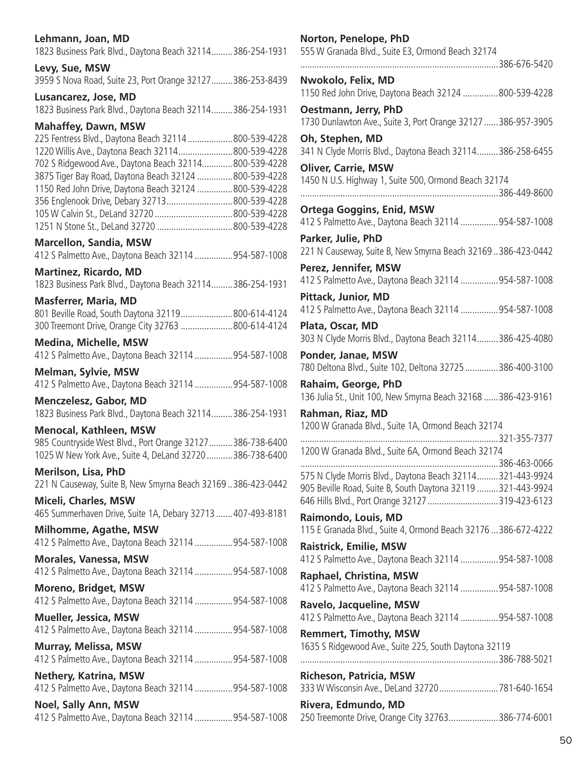| Lehmann, Joan, MD                                                                                                      | Norton, Penelope, PhD                                                                                                    |  |
|------------------------------------------------------------------------------------------------------------------------|--------------------------------------------------------------------------------------------------------------------------|--|
| 1823 Business Park Blvd., Daytona Beach 32114386-254-1931                                                              | 555 W Granada Blvd., Suite E3, Ormond Beach 32174                                                                        |  |
| Levy, Sue, MSW                                                                                                         |                                                                                                                          |  |
| 3959 S Nova Road, Suite 23, Port Orange 32127386-253-8439                                                              | Nwokolo, Felix, MD                                                                                                       |  |
| Lusancarez, Jose, MD                                                                                                   | 1150 Red John Drive, Daytona Beach 32124 800-539-4228                                                                    |  |
| 1823 Business Park Blvd., Daytona Beach 32114 386-254-1931                                                             | Oestmann, Jerry, PhD                                                                                                     |  |
| <b>Mahaffey, Dawn, MSW</b>                                                                                             | 1730 Dunlawton Ave., Suite 3, Port Orange 32127  386-957-3905                                                            |  |
| 225 Fentress Blvd., Daytona Beach 32114  800-539-4228                                                                  | Oh, Stephen, MD                                                                                                          |  |
| 1220 Willis Ave., Daytona Beach 32114800-539-4228                                                                      | 341 N Clyde Morris Blvd., Daytona Beach 32114386-258-6455                                                                |  |
| 702 S Ridgewood Ave., Daytona Beach 32114800-539-4228                                                                  | <b>Oliver, Carrie, MSW</b>                                                                                               |  |
| 3875 Tiger Bay Road, Daytona Beach 32124 800-539-4228                                                                  | 1450 N U.S. Highway 1, Suite 500, Ormond Beach 32174                                                                     |  |
| 1150 Red John Drive, Daytona Beach 32124 800-539-4228                                                                  |                                                                                                                          |  |
| 356 Englenook Drive, Debary 32713 800-539-4228                                                                         | <b>Ortega Goggins, Enid, MSW</b>                                                                                         |  |
|                                                                                                                        | 412 S Palmetto Ave., Daytona Beach 32114  954-587-1008                                                                   |  |
| <b>Marcellon, Sandia, MSW</b>                                                                                          | Parker, Julie, PhD                                                                                                       |  |
| 412 S Palmetto Ave., Daytona Beach 32114 954-587-1008                                                                  | 221 N Causeway, Suite B, New Smyrna Beach 32169  386-423-0442<br>Perez, Jennifer, MSW                                    |  |
| <b>Martinez, Ricardo, MD</b><br>1823 Business Park Blvd., Daytona Beach 32114386-254-1931                              | 412 S Palmetto Ave., Daytona Beach 32114  954-587-1008                                                                   |  |
| <b>Masferrer, Maria, MD</b>                                                                                            | <b>Pittack, Junior, MD</b>                                                                                               |  |
| 801 Beville Road, South Daytona 32119800-614-4124                                                                      | 412 S Palmetto Ave., Daytona Beach 32114  954-587-1008                                                                   |  |
| 300 Treemont Drive, Orange City 32763 800-614-4124                                                                     | Plata, Oscar, MD                                                                                                         |  |
| <b>Medina, Michelle, MSW</b>                                                                                           | 303 N Clyde Morris Blvd., Daytona Beach 32114386-425-4080                                                                |  |
| 412 S Palmetto Ave., Daytona Beach 32114 954-587-1008                                                                  | Ponder, Janae, MSW                                                                                                       |  |
| <b>Melman, Sylvie, MSW</b>                                                                                             | 780 Deltona Blvd., Suite 102, Deltona 32725  386-400-3100                                                                |  |
| 412 S Palmetto Ave., Daytona Beach 32114  954-587-1008                                                                 | Rahaim, George, PhD                                                                                                      |  |
| <b>Menczelesz, Gabor, MD</b>                                                                                           | 136 Julia St., Unit 100, New Smyrna Beach 32168  386-423-9161                                                            |  |
| 1823 Business Park Blvd., Daytona Beach 32114386-254-1931                                                              | Rahman, Riaz, MD                                                                                                         |  |
| <b>Menocal, Kathleen, MSW</b>                                                                                          | 1200 W Granada Blvd., Suite 1A, Ormond Beach 32174                                                                       |  |
| 985 Countryside West Blvd., Port Orange 32127386-738-6400<br>1025 W New York Ave., Suite 4, DeLand 32720  386-738-6400 | 1200 W Granada Blvd., Suite 6A, Ormond Beach 32174                                                                       |  |
| <b>Merilson, Lisa, PhD</b><br>221 N Causeway, Suite B, New Smyrna Beach 32169.386-423-0442                             | 575 N Clyde Morris Blvd., Daytona Beach 32114321-443-9924<br>905 Beville Road, Suite B, South Daytona 32119 321-443-9924 |  |
| <b>Miceli, Charles, MSW</b>                                                                                            | 646 Hills Blvd., Port Orange 32127 319-423-6123                                                                          |  |
| 465 Summerhaven Drive, Suite 1A, Debary 32713  407-493-8181                                                            | Raimondo, Louis, MD                                                                                                      |  |
| <b>Milhomme, Agathe, MSW</b><br>412 S Palmetto Ave., Daytona Beach 32114  954-587-1008                                 | 115 E Granada Blvd., Suite 4, Ormond Beach 32176  386-672-4222                                                           |  |
| <b>Morales, Vanessa, MSW</b>                                                                                           | <b>Raistrick, Emilie, MSW</b><br>412 S Palmetto Ave., Daytona Beach 32114  954-587-1008                                  |  |
| 412 S Palmetto Ave., Daytona Beach 32114  954-587-1008                                                                 | Raphael, Christina, MSW                                                                                                  |  |
| <b>Moreno, Bridget, MSW</b>                                                                                            | 412 S Palmetto Ave., Daytona Beach 32114  954-587-1008                                                                   |  |
| 412 S Palmetto Ave., Daytona Beach 32114  954-587-1008                                                                 | Ravelo, Jacqueline, MSW                                                                                                  |  |
| <b>Mueller, Jessica, MSW</b>                                                                                           | 412 S Palmetto Ave., Daytona Beach 32114  954-587-1008                                                                   |  |
| 412 S Palmetto Ave., Daytona Beach 32114  954-587-1008                                                                 | <b>Remmert, Timothy, MSW</b>                                                                                             |  |
| <b>Murray, Melissa, MSW</b>                                                                                            | 1635 S Ridgewood Ave., Suite 225, South Daytona 32119                                                                    |  |
| 412 S Palmetto Ave., Daytona Beach 32114 954-587-1008                                                                  |                                                                                                                          |  |
| <b>Nethery, Katrina, MSW</b>                                                                                           | <b>Richeson, Patricia, MSW</b>                                                                                           |  |
| 412 S Palmetto Ave., Daytona Beach 32114  954-587-1008                                                                 | 333 W Wisconsin Ave., DeLand 32720  781-640-1654                                                                         |  |
| <b>Noel, Sally Ann, MSW</b>                                                                                            | Rivera, Edmundo, MD                                                                                                      |  |
| 412 S Palmetto Ave., Daytona Beach 32114  954-587-1008                                                                 | 250 Treemonte Drive, Orange City 32763386-774-6001                                                                       |  |

| 555 W Granada Blvd., Suite E3, Ormond Beach 32174                                                                                                                                           |
|---------------------------------------------------------------------------------------------------------------------------------------------------------------------------------------------|
| 386-676-5420                                                                                                                                                                                |
| Nwokolo, Felix, MD<br>1150 Red John Drive, Daytona Beach 32124 800-539-4228                                                                                                                 |
| Oestmann, Jerry, PhD<br>1730 Dunlawton Ave., Suite 3, Port Orange 32127  386-957-3905                                                                                                       |
| Oh, Stephen, MD<br>341 N Clyde Morris Blvd., Daytona Beach 32114386-258-6455                                                                                                                |
| <b>Oliver, Carrie, MSW</b><br>1450 N U.S. Highway 1, Suite 500, Ormond Beach 32174                                                                                                          |
| <b>Ortega Goggins, Enid, MSW</b><br>412 S Palmetto Ave., Daytona Beach 32114 954-587-1008                                                                                                   |
| Parker, Julie, PhD<br>221 N Causeway, Suite B, New Smyrna Beach 32169386-423-0442                                                                                                           |
| Perez, Jennifer, MSW<br>412 S Palmetto Ave., Daytona Beach 32114 954-587-1008                                                                                                               |
| <b>Pittack, Junior, MD</b><br>412 S Palmetto Ave., Daytona Beach 32114 954-587-1008                                                                                                         |
| Plata, Oscar, MD<br>303 N Clyde Morris Blvd., Daytona Beach 32114386-425-4080                                                                                                               |
| Ponder, Janae, MSW<br>780 Deltona Blvd., Suite 102, Deltona 32725 386-400-3100                                                                                                              |
| Rahaim, George, PhD<br>136 Julia St., Unit 100, New Smyrna Beach 32168  386-423-9161                                                                                                        |
| Rahman, Riaz, MD<br>1200 W Granada Blvd., Suite 1A, Ormond Beach 32174                                                                                                                      |
| .<br>1200 W Granada Blvd., Suite 6A, Ormond Beach 32174                                                                                                                                     |
| 386-463-0066<br>575 N Clyde Morris Blvd., Daytona Beach 32114321-443-9924<br>905 Beville Road, Suite B, South Daytona 32119 321-443-9924<br>646 Hills Blvd., Port Orange 32127 319-423-6123 |
| Raimondo, Louis, MD<br>115 E Granada Blvd., Suite 4, Ormond Beach 32176  386-672-4222                                                                                                       |
| <b>Raistrick, Emilie, MSW</b><br>412 S Palmetto Ave., Daytona Beach 32114 954-587-1008                                                                                                      |
| <b>Raphael, Christina, MSW</b><br>412 S Palmetto Ave., Daytona Beach 32114 954-587-1008                                                                                                     |
| <b>Ravelo, Jacqueline, MSW</b><br>412 S Palmetto Ave., Daytona Beach 32114 954-587-1008                                                                                                     |
| <b>Remmert, Timothy, MSW</b><br>1635 S Ridgewood Ave., Suite 225, South Daytona 32119                                                                                                       |
| <b>Richeson, Patricia, MSW</b><br>333 W Wisconsin Ave., DeLand 32720781-640-1654                                                                                                            |
| Rivera, Edmundo, MD                                                                                                                                                                         |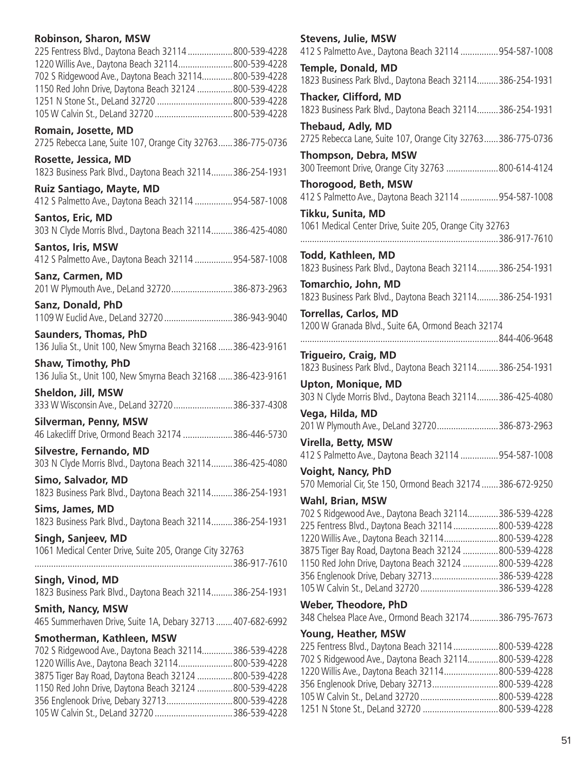# **Robinson, Sharon, MSW**

| 225 Fentress Blvd., Daytona Beach 32114 800-539-4228                                                           |  |
|----------------------------------------------------------------------------------------------------------------|--|
| 1220 Willis Ave., Daytona Beach 32114 800-539-4228                                                             |  |
| 702 S Ridgewood Ave., Daytona Beach 32114800-539-4228<br>1150 Red John Drive, Daytona Beach 32124 800-539-4228 |  |
|                                                                                                                |  |
| 105 W Calvin St., DeLand 32720 800-539-4228                                                                    |  |
|                                                                                                                |  |
| Romain, Josette, MD<br>2725 Rebecca Lane, Suite 107, Orange City 32763386-775-0736                             |  |
|                                                                                                                |  |
| Rosette, Jessica, MD<br>1823 Business Park Blvd., Daytona Beach 32114386-254-1931                              |  |
| Ruiz Santiago, Mayte, MD                                                                                       |  |
| 412 S Palmetto Ave., Daytona Beach 32114 954-587-1008                                                          |  |
| Santos, Eric, MD                                                                                               |  |
| 303 N Clyde Morris Blvd., Daytona Beach 32114386-425-4080                                                      |  |
| Santos, Iris, MSW                                                                                              |  |
| 412 S Palmetto Ave., Daytona Beach 32114 954-587-1008                                                          |  |
| Sanz, Carmen, MD                                                                                               |  |
| 201 W Plymouth Ave., DeLand 32720386-873-2963                                                                  |  |
| Sanz, Donald, PhD                                                                                              |  |
| 1109 W Euclid Ave., DeLand 32720 386-943-9040                                                                  |  |
|                                                                                                                |  |
| <b>Saunders, Thomas, PhD</b><br>136 Julia St., Unit 100, New Smyrna Beach 32168  386-423-9161                  |  |
| <b>Shaw, Timothy, PhD</b>                                                                                      |  |
| 136 Julia St., Unit 100, New Smyrna Beach 32168  386-423-9161                                                  |  |
| Sheldon, Jill, MSW<br>333 W Wisconsin Ave., DeLand 32720386-337-4308                                           |  |
| <b>Silverman, Penny, MSW</b>                                                                                   |  |
| 46 Lakecliff Drive, Ormond Beach 32174 386-446-5730                                                            |  |
| Silvestre, Fernando, MD                                                                                        |  |
| 303 N Clyde Morris Blvd., Daytona Beach 32114386-425-4080                                                      |  |
| Simo, Salvador, MD                                                                                             |  |
| 1823 Business Park Blvd., Daytona Beach 32114386-254-1931                                                      |  |
|                                                                                                                |  |
| Sims, James, MD                                                                                                |  |
| 1823 Business Park Blvd., Daytona Beach 32114386-254-1931                                                      |  |
| Singh, Sanjeev, MD                                                                                             |  |
| 1061 Medical Center Drive, Suite 205, Orange City 32763                                                        |  |
|                                                                                                                |  |
| Singh, Vinod, MD                                                                                               |  |
| 1823 Business Park Blvd., Daytona Beach 32114386-254-1931                                                      |  |
| <b>Smith, Nancy, MSW</b>                                                                                       |  |
| 465 Summerhaven Drive, Suite 1A, Debary 32713  407-682-6992                                                    |  |
| Smotherman, Kathleen, MSW                                                                                      |  |
| 702 S Ridgewood Ave., Daytona Beach 32114386-539-4228                                                          |  |
| 1220 Willis Ave., Daytona Beach 32114 800-539-4228                                                             |  |
| 3875 Tiger Bay Road, Daytona Beach 32124 800-539-4228                                                          |  |
| 1150 Red John Drive, Daytona Beach 32124 800-539-4228                                                          |  |
| 356 Englenook Drive, Debary 32713 800-539-4228                                                                 |  |

105 W Calvin St., DeLand 32720 .................................386-539-4228

| <b>Stevens, Julie, MSW</b><br>412 S Palmetto Ave., Daytona Beach 32114 954-587-1008                           |  |
|---------------------------------------------------------------------------------------------------------------|--|
| Temple, Donald, MD                                                                                            |  |
| 1823 Business Park Blvd., Daytona Beach 32114386-254-1931                                                     |  |
| Thacker, Clifford, MD<br>1823 Business Park Blvd., Daytona Beach 32114386-254-1931                            |  |
| Thebaud, Adly, MD<br>2725 Rebecca Lane, Suite 107, Orange City 32763 386-775-0736                             |  |
| <b>Thompson, Debra, MSW</b><br>300 Treemont Drive, Orange City 32763 800-614-4124                             |  |
| Thorogood, Beth, MSW<br>412 S Palmetto Ave., Daytona Beach 32114  954-587-1008                                |  |
| Tikku, Sunita, MD<br>1061 Medical Center Drive, Suite 205, Orange City 32763<br>.                             |  |
| Todd, Kathleen, MD<br>1823 Business Park Blvd., Daytona Beach 32114386-254-1931                               |  |
| Tomarchio, John, MD<br>1823 Business Park Blvd., Daytona Beach 32114 386-254-1931                             |  |
| <b>Torrellas, Carlos, MD</b><br>1200 W Granada Blvd., Suite 6A, Ormond Beach 32174                            |  |
| Trigueiro, Craig, MD                                                                                          |  |
| 1823 Business Park Blvd., Daytona Beach 32114386-254-1931<br><b>Upton, Monique, MD</b>                        |  |
| 303 N Clyde Morris Blvd., Daytona Beach 32114386-425-4080                                                     |  |
| Vega, Hilda, MD<br>201 W Plymouth Ave., DeLand 32720386-873-2963                                              |  |
| Virella, Betty, MSW<br>412 S Palmetto Ave., Daytona Beach 32114 954-587-1008                                  |  |
| <b>Voight, Nancy, PhD</b><br>570 Memorial Cir, Ste 150, Ormond Beach 32174  386-672-9250                      |  |
| Wahl, Brian, MSW                                                                                              |  |
| 702 S Ridgewood Ave., Daytona Beach 32114386-539-4228<br>225 Fentress Blvd., Daytona Beach 32114 800-539-4228 |  |
| 1220 Willis Ave., Daytona Beach 32114800-539-4228                                                             |  |
| 3875 Tiger Bay Road, Daytona Beach 32124 800-539-4228                                                         |  |
| 1150 Red John Drive, Daytona Beach 32124 800-539-4228                                                         |  |
| 356 Englenook Drive, Debary 32713386-539-4228                                                                 |  |
| 105 W Calvin St., DeLand 32720 386-539-4228                                                                   |  |
| Weber, Theodore, PhD<br>348 Chelsea Place Ave., Ormond Beach 32174386-795-7673                                |  |
| Young, Heather, MSW                                                                                           |  |
| 225 Fentress Blvd., Daytona Beach 32114  800-539-4228                                                         |  |
| 702 S Ridgewood Ave., Daytona Beach 32114800-539-4228                                                         |  |
| 1220 Willis Ave., Daytona Beach 32114 800-539-4228                                                            |  |
| 356 Englenook Drive, Debary 32713800-539-4228<br>105 W Calvin St., DeLand 32720  800-539-4228                 |  |
|                                                                                                               |  |

1251 N Stone St., DeLand 32720 ................................800-539-4228